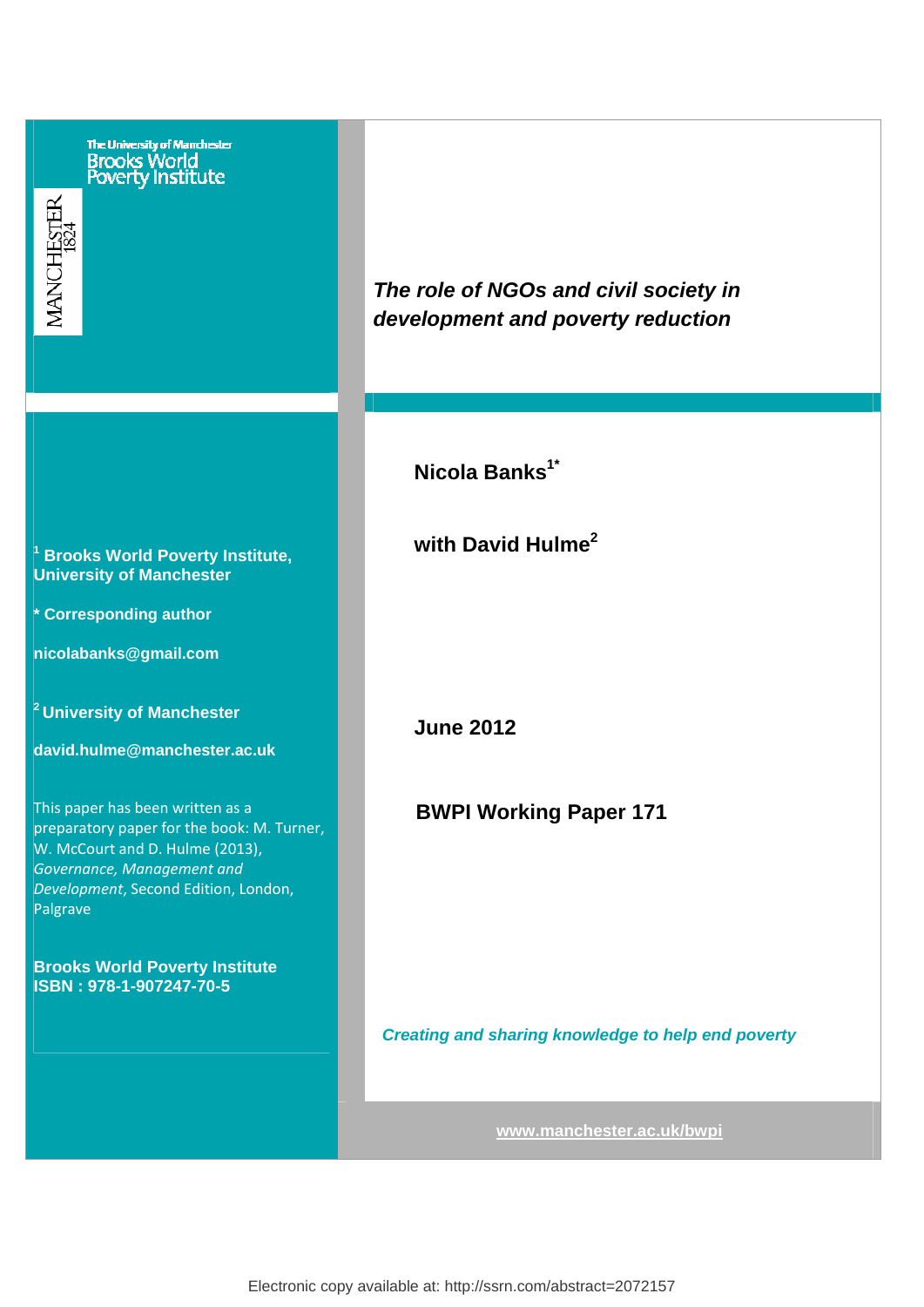The University of Manchester Brooks World<br>Poverty Institute MANCHESTER<br>1824 **1 Brooks World Poverty Institute, University of Manchester \* Corresponding author nicolabanks@gmail.com 2 University of Manchester david.hulme@manchester.ac.uk**  This paper has been written as a preparatory paper for the book: M. Turner, W. McCourt and D. Hulme (2013), *Governance, Management and Development*, Second Edition, London, Palgrave

**Brooks World Poverty Institute ISBN : 978-1-907247-70-5** 

# *The role of NGOs and civil society in development and poverty reduction*

 **Nicola Banks1\***

 **with David Hulme<sup>2</sup>**

**June 2012** 

**BWPI Working Paper 171** 

*Creating and sharing knowledge to help end poverty* 

**www.manchester.ac.uk/bwpi**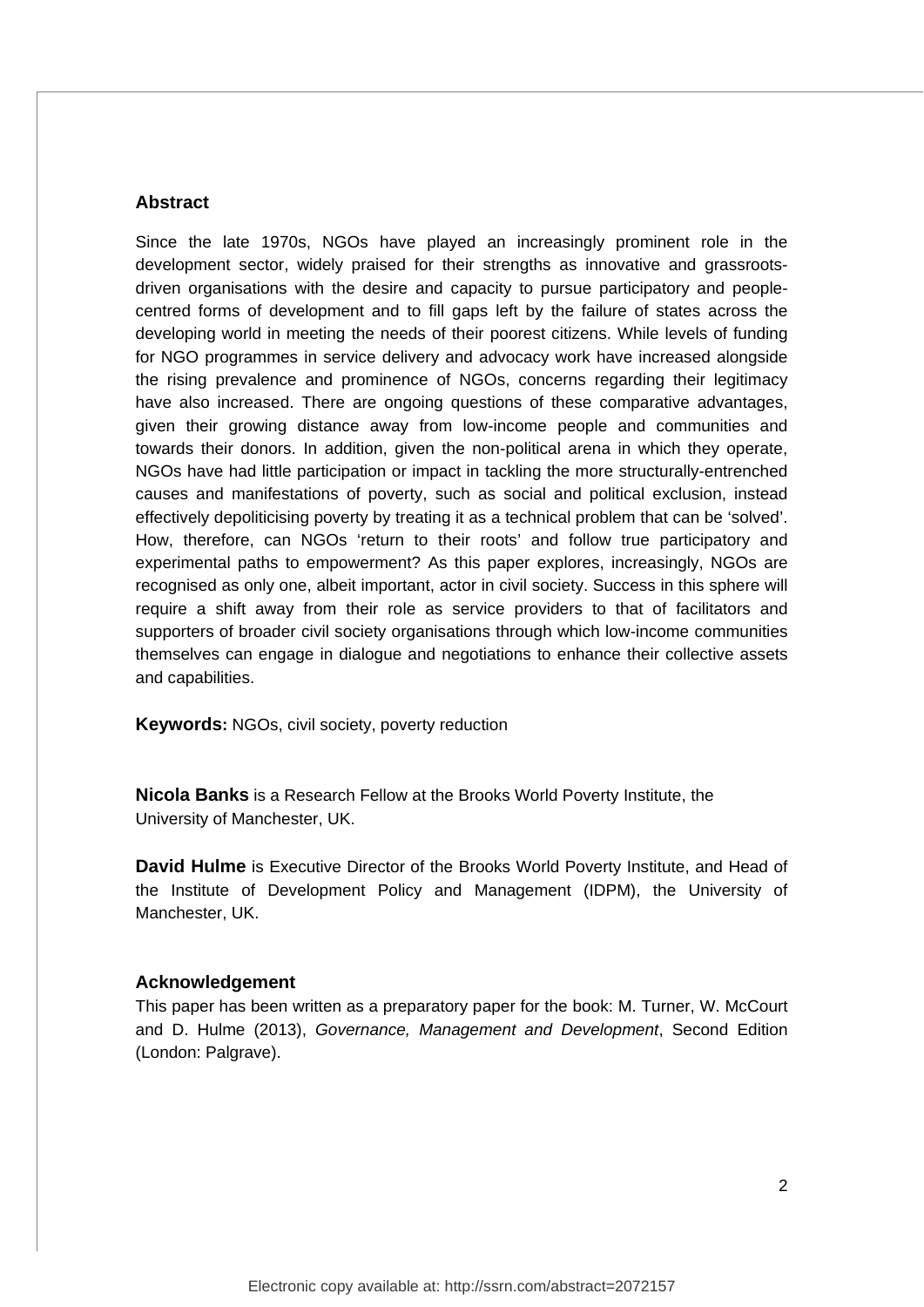#### **Abstract**

Since the late 1970s, NGOs have played an increasingly prominent role in the development sector, widely praised for their strengths as innovative and grassrootsdriven organisations with the desire and capacity to pursue participatory and peoplecentred forms of development and to fill gaps left by the failure of states across the developing world in meeting the needs of their poorest citizens. While levels of funding for NGO programmes in service delivery and advocacy work have increased alongside the rising prevalence and prominence of NGOs, concerns regarding their legitimacy have also increased. There are ongoing questions of these comparative advantages, given their growing distance away from low-income people and communities and towards their donors. In addition, given the non-political arena in which they operate, NGOs have had little participation or impact in tackling the more structurally-entrenched causes and manifestations of poverty, such as social and political exclusion, instead effectively depoliticising poverty by treating it as a technical problem that can be 'solved'. How, therefore, can NGOs 'return to their roots' and follow true participatory and experimental paths to empowerment? As this paper explores, increasingly, NGOs are recognised as only one, albeit important, actor in civil society. Success in this sphere will require a shift away from their role as service providers to that of facilitators and supporters of broader civil society organisations through which low-income communities themselves can engage in dialogue and negotiations to enhance their collective assets and capabilities.

**Keywords:** NGOs, civil society, poverty reduction

**Nicola Banks** is a Research Fellow at the Brooks World Poverty Institute, the University of Manchester, UK.

**David Hulme** is Executive Director of the Brooks World Poverty Institute, and Head of the Institute of Development Policy and Management (IDPM), the University of Manchester, UK.

#### **Acknowledgement**

This paper has been written as a preparatory paper for the book: M. Turner, W. McCourt and D. Hulme (2013), *Governance, Management and Development*, Second Edition (London: Palgrave).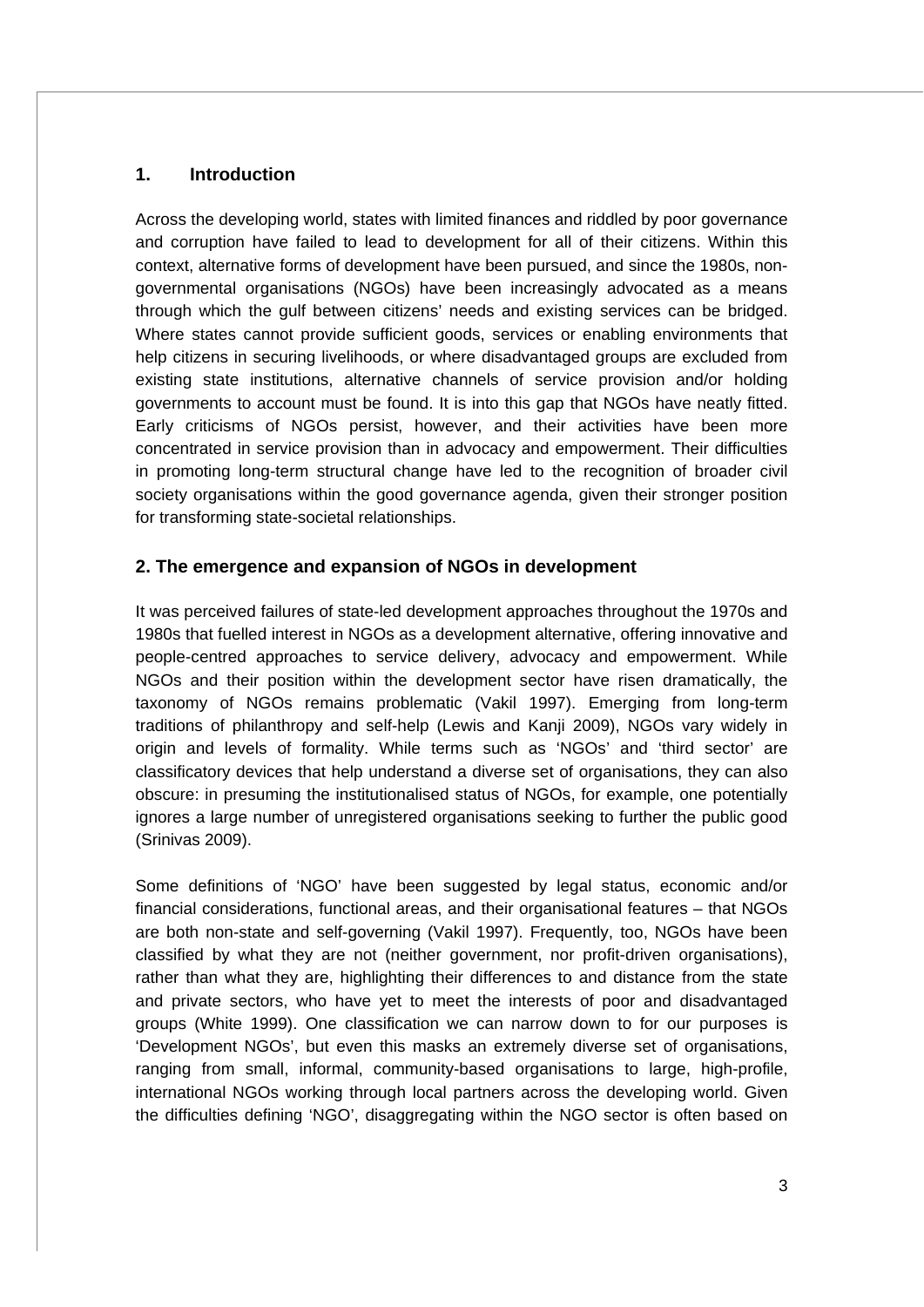#### **1. Introduction**

Across the developing world, states with limited finances and riddled by poor governance and corruption have failed to lead to development for all of their citizens. Within this context, alternative forms of development have been pursued, and since the 1980s, nongovernmental organisations (NGOs) have been increasingly advocated as a means through which the gulf between citizens' needs and existing services can be bridged. Where states cannot provide sufficient goods, services or enabling environments that help citizens in securing livelihoods, or where disadvantaged groups are excluded from existing state institutions, alternative channels of service provision and/or holding governments to account must be found. It is into this gap that NGOs have neatly fitted. Early criticisms of NGOs persist, however, and their activities have been more concentrated in service provision than in advocacy and empowerment. Their difficulties in promoting long-term structural change have led to the recognition of broader civil society organisations within the good governance agenda, given their stronger position for transforming state-societal relationships.

#### **2. The emergence and expansion of NGOs in development**

It was perceived failures of state-led development approaches throughout the 1970s and 1980s that fuelled interest in NGOs as a development alternative, offering innovative and people-centred approaches to service delivery, advocacy and empowerment. While NGOs and their position within the development sector have risen dramatically, the taxonomy of NGOs remains problematic (Vakil 1997). Emerging from long-term traditions of philanthropy and self-help (Lewis and Kanji 2009), NGOs vary widely in origin and levels of formality. While terms such as 'NGOs' and 'third sector' are classificatory devices that help understand a diverse set of organisations, they can also obscure: in presuming the institutionalised status of NGOs, for example, one potentially ignores a large number of unregistered organisations seeking to further the public good (Srinivas 2009).

Some definitions of 'NGO' have been suggested by legal status, economic and/or financial considerations, functional areas, and their organisational features – that NGOs are both non-state and self-governing (Vakil 1997). Frequently, too, NGOs have been classified by what they are not (neither government, nor profit-driven organisations), rather than what they are, highlighting their differences to and distance from the state and private sectors, who have yet to meet the interests of poor and disadvantaged groups (White 1999). One classification we can narrow down to for our purposes is 'Development NGOs', but even this masks an extremely diverse set of organisations, ranging from small, informal, community-based organisations to large, high-profile, international NGOs working through local partners across the developing world. Given the difficulties defining 'NGO', disaggregating within the NGO sector is often based on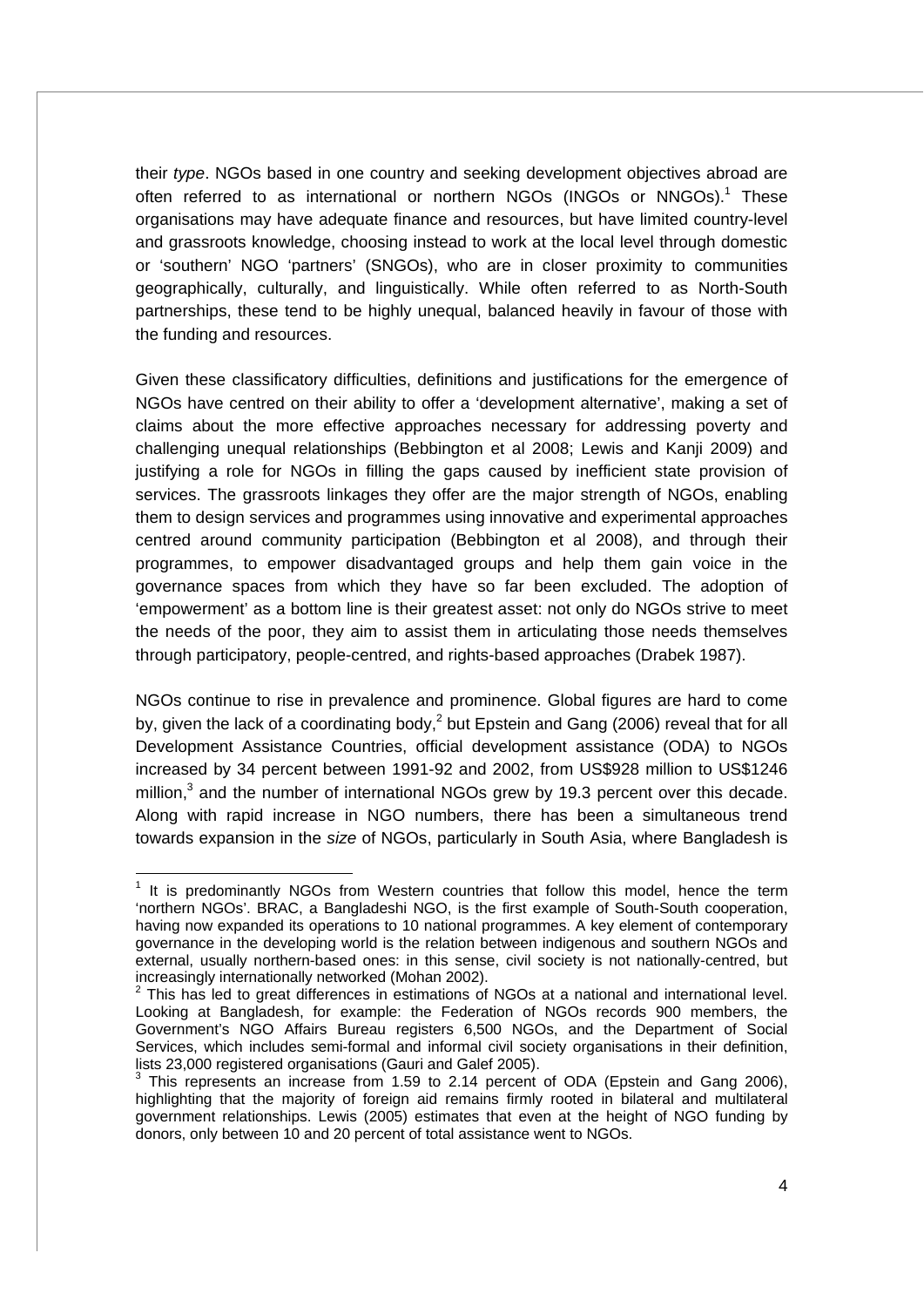their *type*. NGOs based in one country and seeking development objectives abroad are often referred to as international or northern NGOs (INGOs or NNGOs).<sup>1</sup> These organisations may have adequate finance and resources, but have limited country-level and grassroots knowledge, choosing instead to work at the local level through domestic or 'southern' NGO 'partners' (SNGOs), who are in closer proximity to communities geographically, culturally, and linguistically. While often referred to as North-South partnerships, these tend to be highly unequal, balanced heavily in favour of those with the funding and resources.

Given these classificatory difficulties, definitions and justifications for the emergence of NGOs have centred on their ability to offer a 'development alternative', making a set of claims about the more effective approaches necessary for addressing poverty and challenging unequal relationships (Bebbington et al 2008; Lewis and Kanji 2009) and justifying a role for NGOs in filling the gaps caused by inefficient state provision of services. The grassroots linkages they offer are the major strength of NGOs, enabling them to design services and programmes using innovative and experimental approaches centred around community participation (Bebbington et al 2008), and through their programmes, to empower disadvantaged groups and help them gain voice in the governance spaces from which they have so far been excluded. The adoption of 'empowerment' as a bottom line is their greatest asset: not only do NGOs strive to meet the needs of the poor, they aim to assist them in articulating those needs themselves through participatory, people-centred, and rights-based approaches (Drabek 1987).

NGOs continue to rise in prevalence and prominence. Global figures are hard to come by, given the lack of a coordinating body,<sup>2</sup> but Epstein and Gang (2006) reveal that for all Development Assistance Countries, official development assistance (ODA) to NGOs increased by 34 percent between 1991-92 and 2002, from US\$928 million to US\$1246 million, $3$  and the number of international NGOs grew by 19.3 percent over this decade. Along with rapid increase in NGO numbers, there has been a simultaneous trend towards expansion in the *size* of NGOs, particularly in South Asia, where Bangladesh is

 $1$  It is predominantly NGOs from Western countries that follow this model, hence the term 'northern NGOs'. BRAC, a Bangladeshi NGO, is the first example of South-South cooperation, having now expanded its operations to 10 national programmes. A key element of contemporary governance in the developing world is the relation between indigenous and southern NGOs and external, usually northern-based ones: in this sense, civil society is not nationally-centred, but increasingly internationally networked (Mohan 2002).

 $2$  This has led to great differences in estimations of NGOs at a national and international level. Looking at Bangladesh, for example: the Federation of NGOs records 900 members, the Government's NGO Affairs Bureau registers 6,500 NGOs, and the Department of Social Services, which includes semi-formal and informal civil society organisations in their definition, lists 23,000 registered organisations (Gauri and Galef 2005).

 $3$  This represents an increase from 1.59 to 2.14 percent of ODA (Epstein and Gang 2006), highlighting that the majority of foreign aid remains firmly rooted in bilateral and multilateral government relationships. Lewis (2005) estimates that even at the height of NGO funding by donors, only between 10 and 20 percent of total assistance went to NGOs.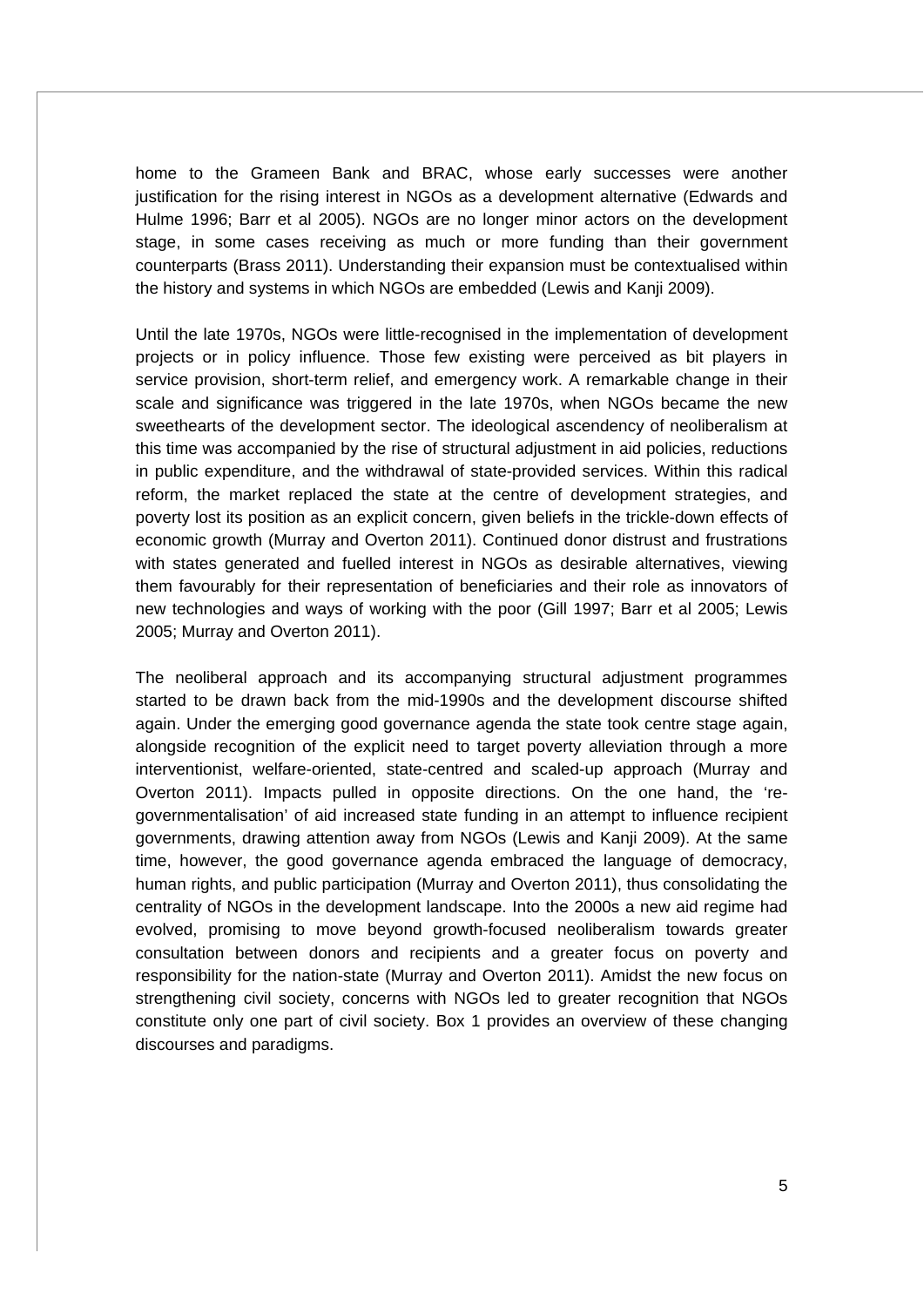home to the Grameen Bank and BRAC, whose early successes were another justification for the rising interest in NGOs as a development alternative (Edwards and Hulme 1996; Barr et al 2005). NGOs are no longer minor actors on the development stage, in some cases receiving as much or more funding than their government counterparts (Brass 2011). Understanding their expansion must be contextualised within the history and systems in which NGOs are embedded (Lewis and Kanji 2009).

Until the late 1970s, NGOs were little-recognised in the implementation of development projects or in policy influence. Those few existing were perceived as bit players in service provision, short-term relief, and emergency work. A remarkable change in their scale and significance was triggered in the late 1970s, when NGOs became the new sweethearts of the development sector. The ideological ascendency of neoliberalism at this time was accompanied by the rise of structural adjustment in aid policies, reductions in public expenditure, and the withdrawal of state-provided services. Within this radical reform, the market replaced the state at the centre of development strategies, and poverty lost its position as an explicit concern, given beliefs in the trickle-down effects of economic growth (Murray and Overton 2011). Continued donor distrust and frustrations with states generated and fuelled interest in NGOs as desirable alternatives, viewing them favourably for their representation of beneficiaries and their role as innovators of new technologies and ways of working with the poor (Gill 1997; Barr et al 2005; Lewis 2005; Murray and Overton 2011).

The neoliberal approach and its accompanying structural adjustment programmes started to be drawn back from the mid-1990s and the development discourse shifted again. Under the emerging good governance agenda the state took centre stage again, alongside recognition of the explicit need to target poverty alleviation through a more interventionist, welfare-oriented, state-centred and scaled-up approach (Murray and Overton 2011). Impacts pulled in opposite directions. On the one hand, the 'regovernmentalisation' of aid increased state funding in an attempt to influence recipient governments, drawing attention away from NGOs (Lewis and Kanji 2009). At the same time, however, the good governance agenda embraced the language of democracy, human rights, and public participation (Murray and Overton 2011), thus consolidating the centrality of NGOs in the development landscape. Into the 2000s a new aid regime had evolved, promising to move beyond growth-focused neoliberalism towards greater consultation between donors and recipients and a greater focus on poverty and responsibility for the nation-state (Murray and Overton 2011). Amidst the new focus on strengthening civil society, concerns with NGOs led to greater recognition that NGOs constitute only one part of civil society. Box 1 provides an overview of these changing discourses and paradigms.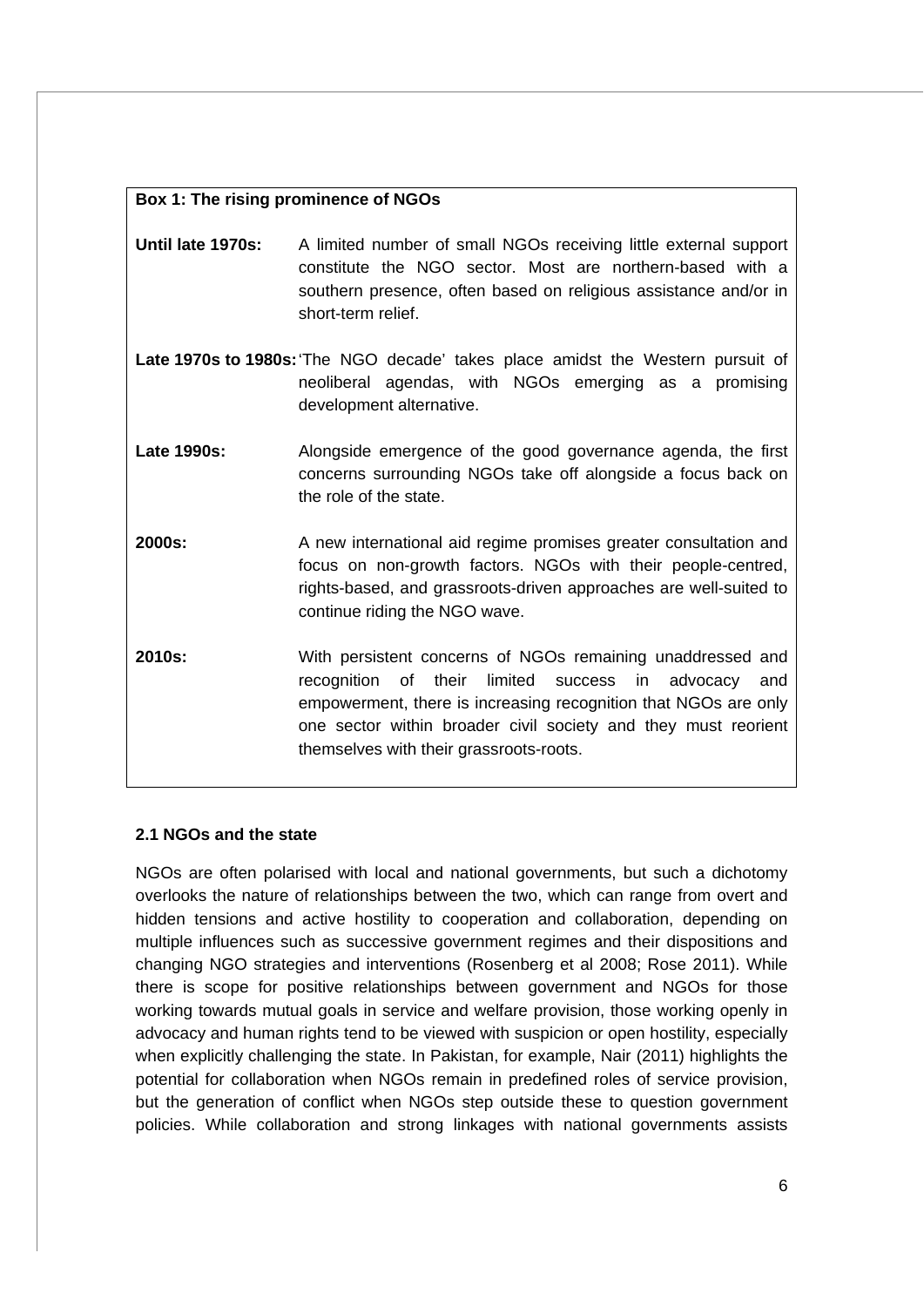#### **Box 1: The rising prominence of NGOs**

- **Until late 1970s:** A limited number of small NGOs receiving little external support constitute the NGO sector. Most are northern-based with a southern presence, often based on religious assistance and/or in short-term relief.
- **Late 1970s to 1980s:** 'The NGO decade' takes place amidst the Western pursuit of neoliberal agendas, with NGOs emerging as a promising development alternative.
- **Late 1990s:** Alongside emergence of the good governance agenda, the first concerns surrounding NGOs take off alongside a focus back on the role of the state.
- **2000s:** A new international aid regime promises greater consultation and focus on non-growth factors. NGOs with their people-centred, rights-based, and grassroots-driven approaches are well-suited to continue riding the NGO wave.
- **2010s:** With persistent concerns of NGOs remaining unaddressed and recognition of their limited success in advocacy and empowerment, there is increasing recognition that NGOs are only one sector within broader civil society and they must reorient themselves with their grassroots-roots.

#### **2.1 NGOs and the state**

NGOs are often polarised with local and national governments, but such a dichotomy overlooks the nature of relationships between the two, which can range from overt and hidden tensions and active hostility to cooperation and collaboration, depending on multiple influences such as successive government regimes and their dispositions and changing NGO strategies and interventions (Rosenberg et al 2008; Rose 2011). While there is scope for positive relationships between government and NGOs for those working towards mutual goals in service and welfare provision, those working openly in advocacy and human rights tend to be viewed with suspicion or open hostility, especially when explicitly challenging the state. In Pakistan, for example, Nair (2011) highlights the potential for collaboration when NGOs remain in predefined roles of service provision, but the generation of conflict when NGOs step outside these to question government policies. While collaboration and strong linkages with national governments assists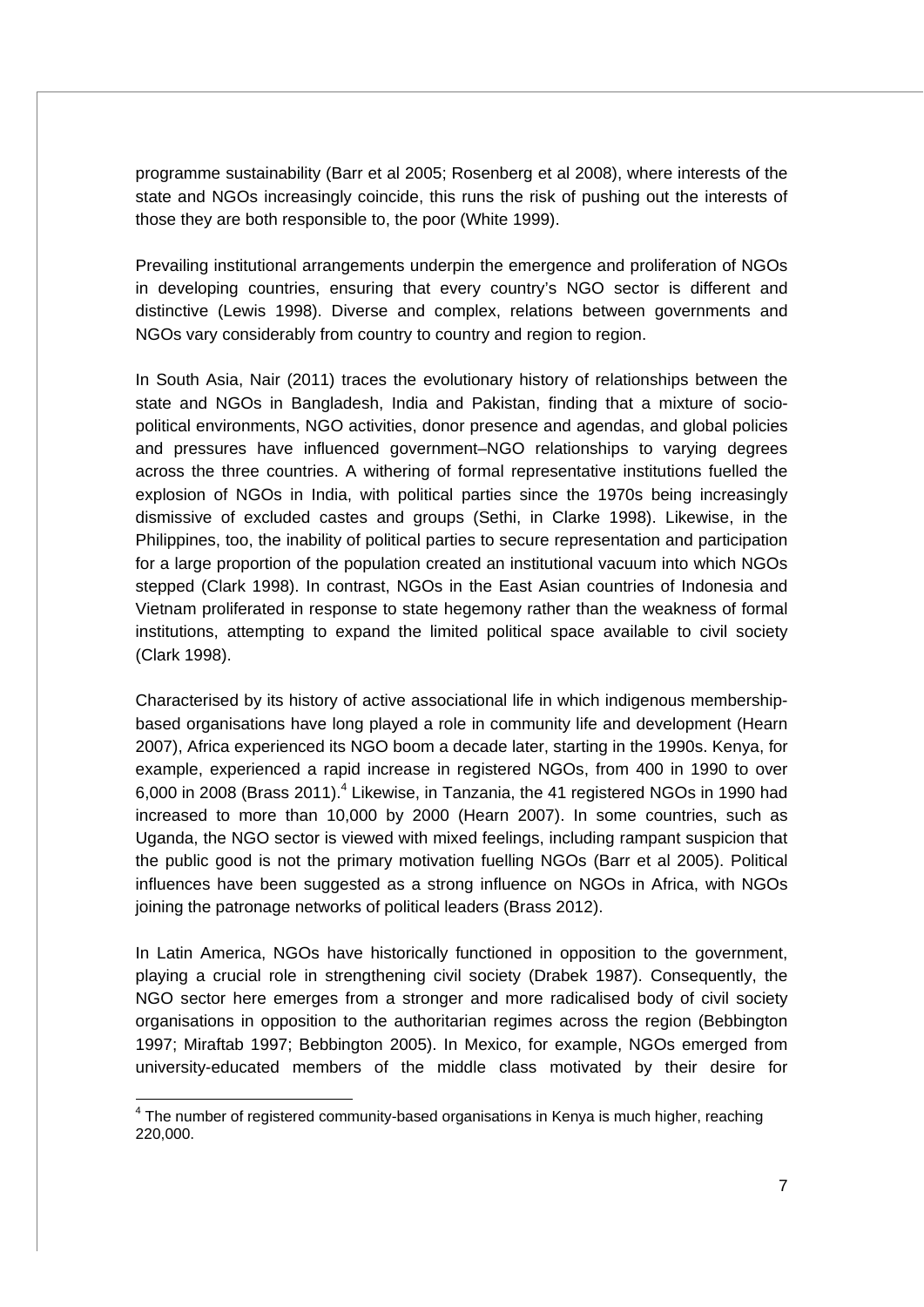programme sustainability (Barr et al 2005; Rosenberg et al 2008), where interests of the state and NGOs increasingly coincide, this runs the risk of pushing out the interests of those they are both responsible to, the poor (White 1999).

Prevailing institutional arrangements underpin the emergence and proliferation of NGOs in developing countries, ensuring that every country's NGO sector is different and distinctive (Lewis 1998). Diverse and complex, relations between governments and NGOs vary considerably from country to country and region to region.

In South Asia, Nair (2011) traces the evolutionary history of relationships between the state and NGOs in Bangladesh, India and Pakistan, finding that a mixture of sociopolitical environments, NGO activities, donor presence and agendas, and global policies and pressures have influenced government–NGO relationships to varying degrees across the three countries. A withering of formal representative institutions fuelled the explosion of NGOs in India, with political parties since the 1970s being increasingly dismissive of excluded castes and groups (Sethi, in Clarke 1998). Likewise, in the Philippines, too, the inability of political parties to secure representation and participation for a large proportion of the population created an institutional vacuum into which NGOs stepped (Clark 1998). In contrast, NGOs in the East Asian countries of Indonesia and Vietnam proliferated in response to state hegemony rather than the weakness of formal institutions, attempting to expand the limited political space available to civil society (Clark 1998).

Characterised by its history of active associational life in which indigenous membershipbased organisations have long played a role in community life and development (Hearn 2007), Africa experienced its NGO boom a decade later, starting in the 1990s. Kenya, for example, experienced a rapid increase in registered NGOs, from 400 in 1990 to over 6,000 in 2008 (Brass 2011).<sup>4</sup> Likewise, in Tanzania, the 41 registered NGOs in 1990 had increased to more than 10,000 by 2000 (Hearn 2007). In some countries, such as Uganda, the NGO sector is viewed with mixed feelings, including rampant suspicion that the public good is not the primary motivation fuelling NGOs (Barr et al 2005). Political influences have been suggested as a strong influence on NGOs in Africa, with NGOs joining the patronage networks of political leaders (Brass 2012).

In Latin America, NGOs have historically functioned in opposition to the government, playing a crucial role in strengthening civil society (Drabek 1987). Consequently, the NGO sector here emerges from a stronger and more radicalised body of civil society organisations in opposition to the authoritarian regimes across the region (Bebbington 1997; Miraftab 1997; Bebbington 2005). In Mexico, for example, NGOs emerged from university-educated members of the middle class motivated by their desire for

<sup>&</sup>lt;sup>4</sup> The number of registered community-based organisations in Kenya is much higher, reaching 220,000.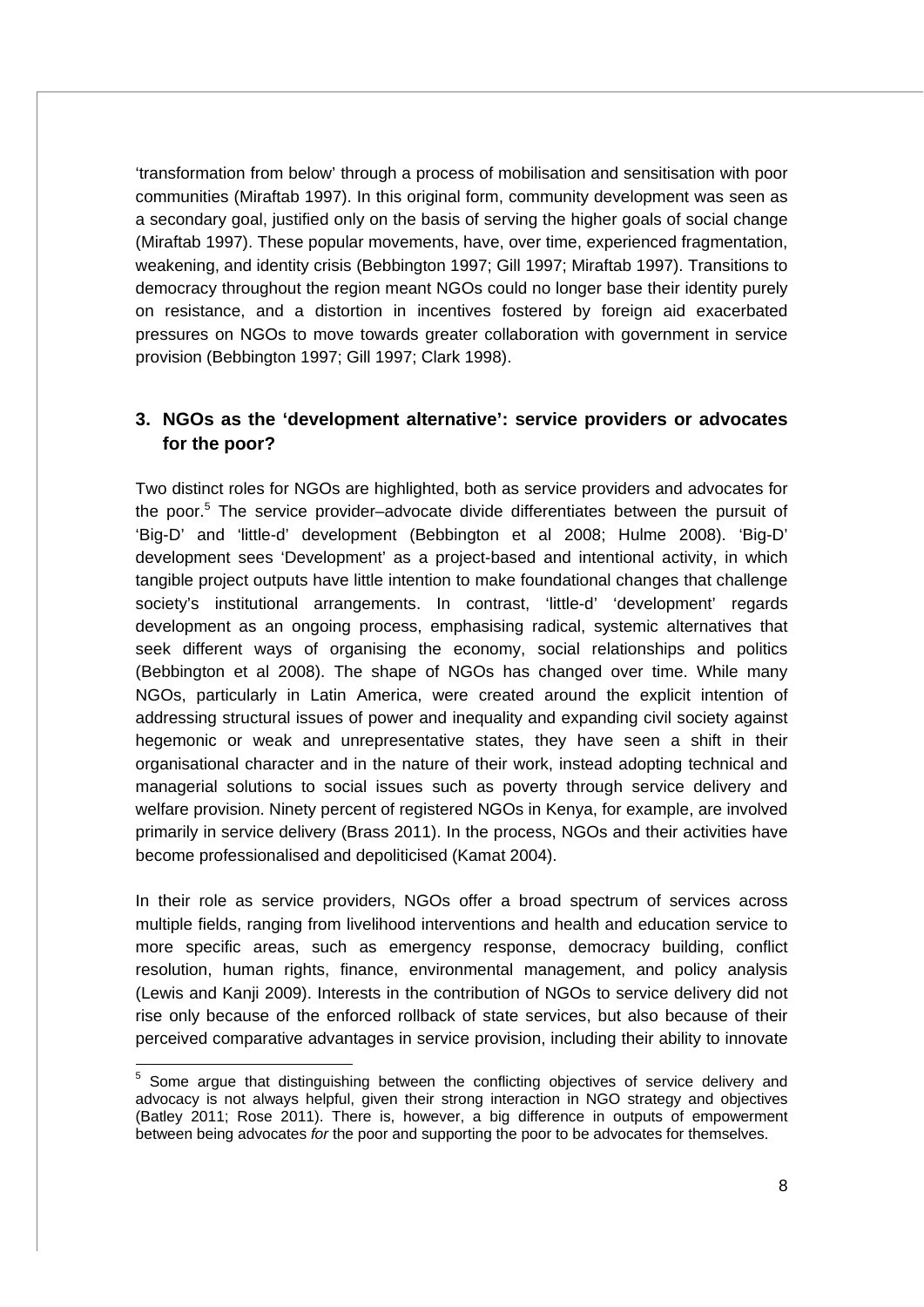'transformation from below' through a process of mobilisation and sensitisation with poor communities (Miraftab 1997). In this original form, community development was seen as a secondary goal, justified only on the basis of serving the higher goals of social change (Miraftab 1997). These popular movements, have, over time, experienced fragmentation, weakening, and identity crisis (Bebbington 1997; Gill 1997; Miraftab 1997). Transitions to democracy throughout the region meant NGOs could no longer base their identity purely on resistance, and a distortion in incentives fostered by foreign aid exacerbated pressures on NGOs to move towards greater collaboration with government in service provision (Bebbington 1997; Gill 1997; Clark 1998).

### **3. NGOs as the 'development alternative': service providers or advocates for the poor?**

Two distinct roles for NGOs are highlighted, both as service providers and advocates for the poor.<sup>5</sup> The service provider–advocate divide differentiates between the pursuit of 'Big-D' and 'little-d' development (Bebbington et al 2008; Hulme 2008). 'Big-D' development sees 'Development' as a project-based and intentional activity, in which tangible project outputs have little intention to make foundational changes that challenge society's institutional arrangements. In contrast, 'little-d' 'development' regards development as an ongoing process, emphasising radical, systemic alternatives that seek different ways of organising the economy, social relationships and politics (Bebbington et al 2008). The shape of NGOs has changed over time. While many NGOs, particularly in Latin America, were created around the explicit intention of addressing structural issues of power and inequality and expanding civil society against hegemonic or weak and unrepresentative states, they have seen a shift in their organisational character and in the nature of their work, instead adopting technical and managerial solutions to social issues such as poverty through service delivery and welfare provision. Ninety percent of registered NGOs in Kenya, for example, are involved primarily in service delivery (Brass 2011). In the process, NGOs and their activities have become professionalised and depoliticised (Kamat 2004).

In their role as service providers, NGOs offer a broad spectrum of services across multiple fields, ranging from livelihood interventions and health and education service to more specific areas, such as emergency response, democracy building, conflict resolution, human rights, finance, environmental management, and policy analysis (Lewis and Kanji 2009). Interests in the contribution of NGOs to service delivery did not rise only because of the enforced rollback of state services, but also because of their perceived comparative advantages in service provision, including their ability to innovate

**SECONCE 10 15 100 2010**<br>
<sup>5</sup> Some argue that distinguishing between the conflicting objectives of service delivery and advocacy is not always helpful, given their strong interaction in NGO strategy and objectives (Batley 2011; Rose 2011). There is, however, a big difference in outputs of empowerment between being advocates *for* the poor and supporting the poor to be advocates for themselves.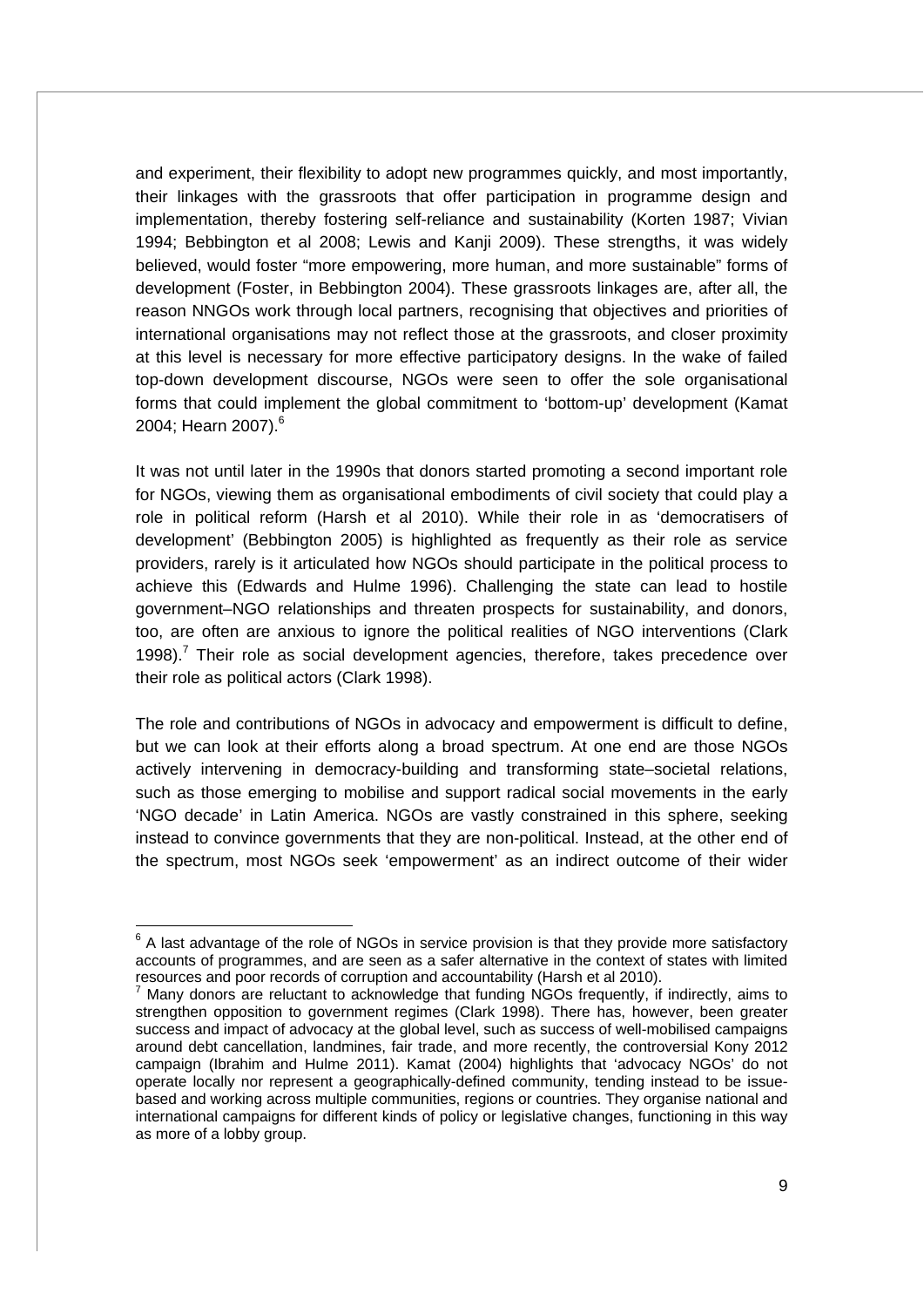and experiment, their flexibility to adopt new programmes quickly, and most importantly, their linkages with the grassroots that offer participation in programme design and implementation, thereby fostering self-reliance and sustainability (Korten 1987; Vivian 1994; Bebbington et al 2008; Lewis and Kanji 2009). These strengths, it was widely believed, would foster "more empowering, more human, and more sustainable" forms of development (Foster, in Bebbington 2004). These grassroots linkages are, after all, the reason NNGOs work through local partners, recognising that objectives and priorities of international organisations may not reflect those at the grassroots, and closer proximity at this level is necessary for more effective participatory designs. In the wake of failed top-down development discourse, NGOs were seen to offer the sole organisational forms that could implement the global commitment to 'bottom-up' development (Kamat 2004; Hearn 2007).<sup>6</sup>

It was not until later in the 1990s that donors started promoting a second important role for NGOs, viewing them as organisational embodiments of civil society that could play a role in political reform (Harsh et al 2010). While their role in as 'democratisers of development' (Bebbington 2005) is highlighted as frequently as their role as service providers, rarely is it articulated how NGOs should participate in the political process to achieve this (Edwards and Hulme 1996). Challenging the state can lead to hostile government–NGO relationships and threaten prospects for sustainability, and donors, too, are often are anxious to ignore the political realities of NGO interventions (Clark 1998).<sup>7</sup> Their role as social development agencies, therefore, takes precedence over their role as political actors (Clark 1998).

The role and contributions of NGOs in advocacy and empowerment is difficult to define, but we can look at their efforts along a broad spectrum. At one end are those NGOs actively intervening in democracy-building and transforming state–societal relations, such as those emerging to mobilise and support radical social movements in the early 'NGO decade' in Latin America. NGOs are vastly constrained in this sphere, seeking instead to convince governments that they are non-political. Instead, at the other end of the spectrum, most NGOs seek 'empowerment' as an indirect outcome of their wider

 $\overline{a}$ 

 $6$  A last advantage of the role of NGOs in service provision is that they provide more satisfactory accounts of programmes, and are seen as a safer alternative in the context of states with limited resources and poor records of corruption and accountability (Harsh et al 2010).

 $^7$  Many donors are reluctant to acknowledge that funding NGOs frequently, if indirectly, aims to strengthen opposition to government regimes (Clark 1998). There has, however, been greater success and impact of advocacy at the global level, such as success of well-mobilised campaigns around debt cancellation, landmines, fair trade, and more recently, the controversial Kony 2012 campaign (Ibrahim and Hulme 2011). Kamat (2004) highlights that 'advocacy NGOs' do not operate locally nor represent a geographically-defined community, tending instead to be issuebased and working across multiple communities, regions or countries. They organise national and international campaigns for different kinds of policy or legislative changes, functioning in this way as more of a lobby group.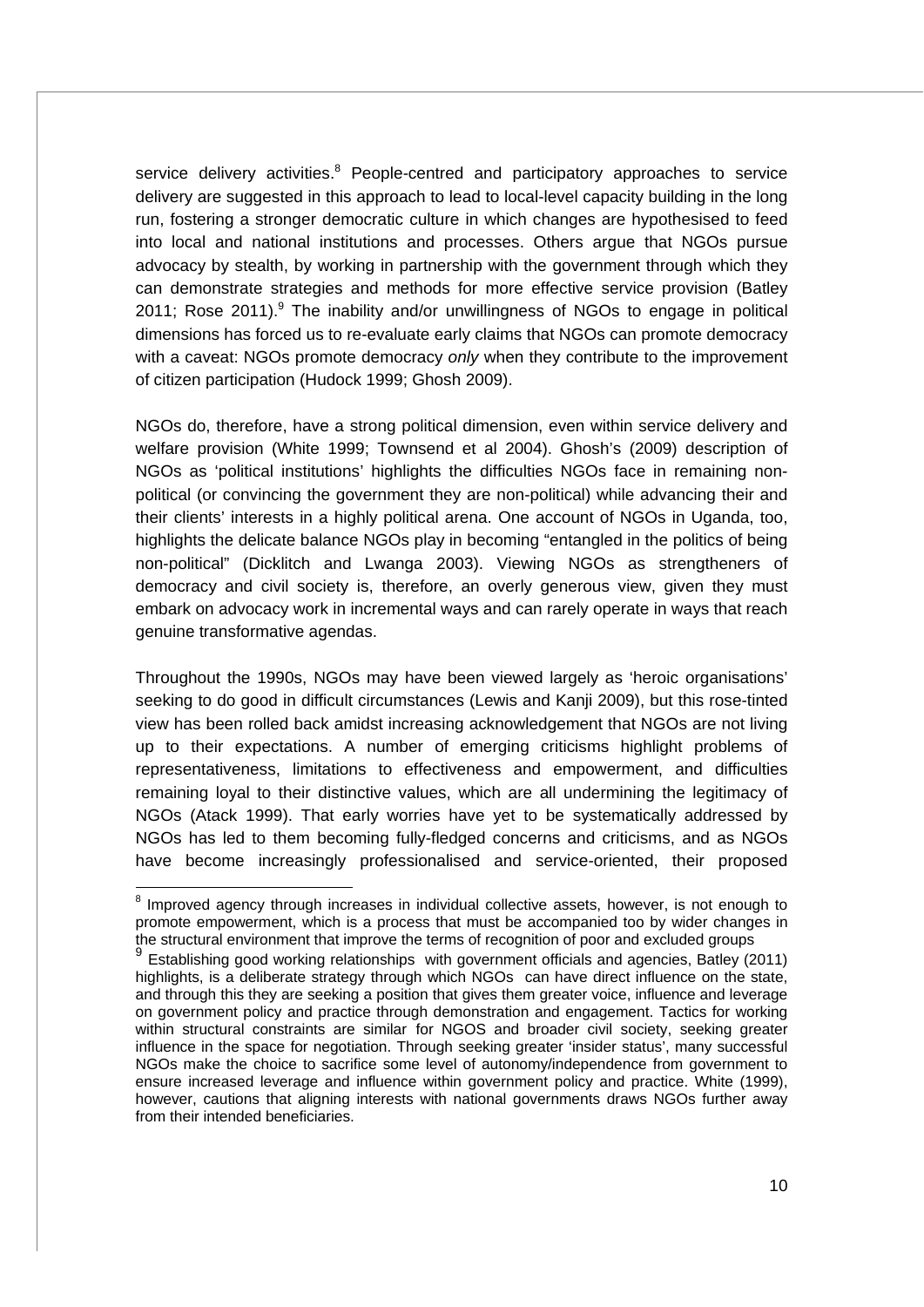service delivery activities.<sup>8</sup> People-centred and participatory approaches to service delivery are suggested in this approach to lead to local-level capacity building in the long run, fostering a stronger democratic culture in which changes are hypothesised to feed into local and national institutions and processes. Others argue that NGOs pursue advocacy by stealth, by working in partnership with the government through which they can demonstrate strategies and methods for more effective service provision (Batley 2011; Rose 2011). $9$  The inability and/or unwillingness of NGOs to engage in political dimensions has forced us to re-evaluate early claims that NGOs can promote democracy with a caveat: NGOs promote democracy *only* when they contribute to the improvement of citizen participation (Hudock 1999; Ghosh 2009).

NGOs do, therefore, have a strong political dimension, even within service delivery and welfare provision (White 1999; Townsend et al 2004). Ghosh's (2009) description of NGOs as 'political institutions' highlights the difficulties NGOs face in remaining nonpolitical (or convincing the government they are non-political) while advancing their and their clients' interests in a highly political arena. One account of NGOs in Uganda, too, highlights the delicate balance NGOs play in becoming "entangled in the politics of being non-political" (Dicklitch and Lwanga 2003). Viewing NGOs as strengtheners of democracy and civil society is, therefore, an overly generous view, given they must embark on advocacy work in incremental ways and can rarely operate in ways that reach genuine transformative agendas.

Throughout the 1990s, NGOs may have been viewed largely as 'heroic organisations' seeking to do good in difficult circumstances (Lewis and Kanji 2009), but this rose-tinted view has been rolled back amidst increasing acknowledgement that NGOs are not living up to their expectations. A number of emerging criticisms highlight problems of representativeness, limitations to effectiveness and empowerment, and difficulties remaining loyal to their distinctive values, which are all undermining the legitimacy of NGOs (Atack 1999). That early worries have yet to be systematically addressed by NGOs has led to them becoming fully-fledged concerns and criticisms, and as NGOs have become increasingly professionalised and service-oriented, their proposed

<sup>&</sup>lt;sup>8</sup> Improved agency through increases in individual collective assets, however, is not enough to promote empowerment, which is a process that must be accompanied too by wider changes in the structural environment that improve the terms of recognition of poor and excluded groups

 $9$  Establishing good working relationships with government officials and agencies, Batley (2011) highlights, is a deliberate strategy through which NGOs can have direct influence on the state. and through this they are seeking a position that gives them greater voice, influence and leverage on government policy and practice through demonstration and engagement. Tactics for working within structural constraints are similar for NGOS and broader civil society, seeking greater influence in the space for negotiation. Through seeking greater 'insider status', many successful NGOs make the choice to sacrifice some level of autonomy/independence from government to ensure increased leverage and influence within government policy and practice. White (1999), however, cautions that aligning interests with national governments draws NGOs further away from their intended beneficiaries.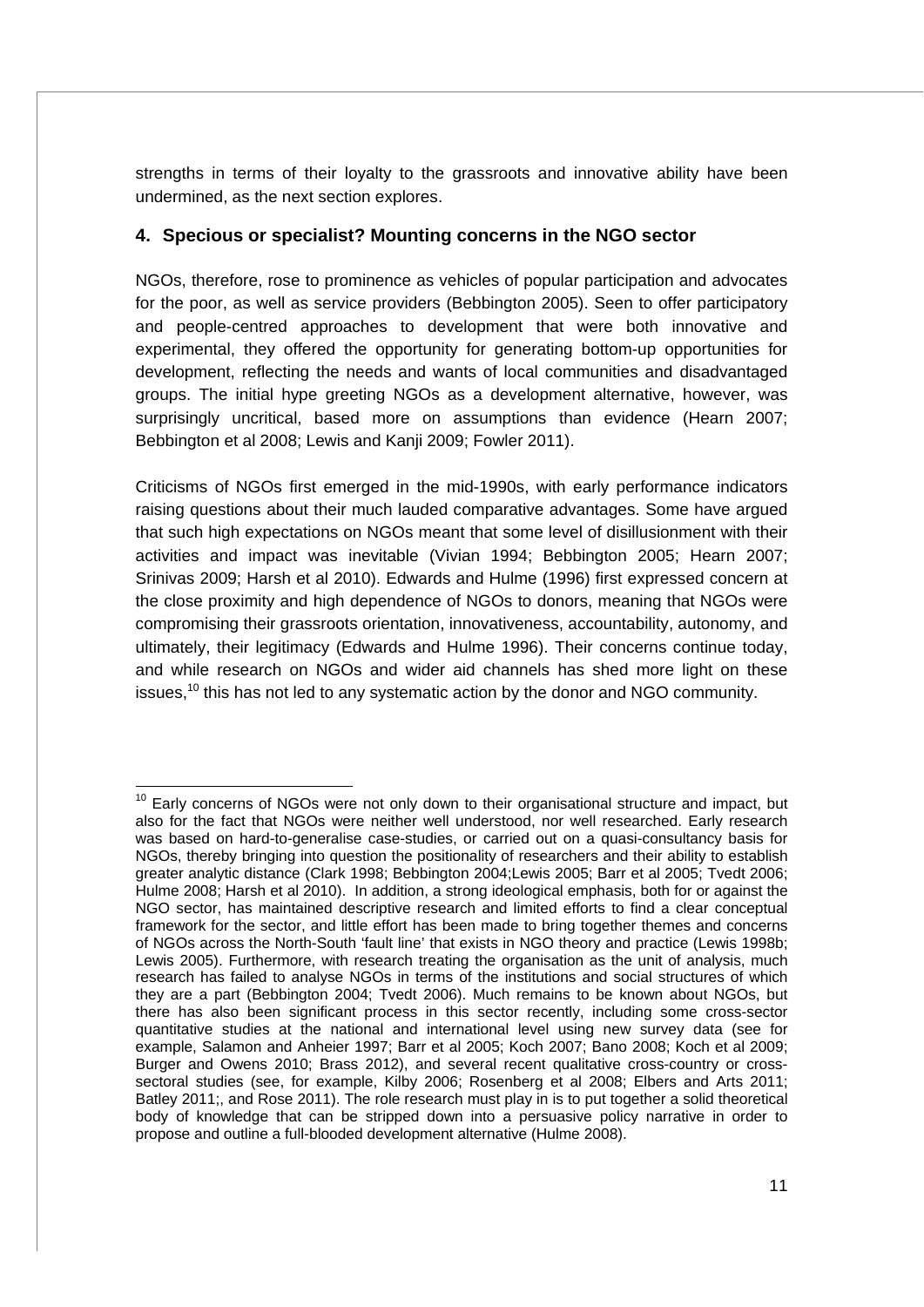strengths in terms of their loyalty to the grassroots and innovative ability have been undermined, as the next section explores.

#### **4. Specious or specialist? Mounting concerns in the NGO sector**

NGOs, therefore, rose to prominence as vehicles of popular participation and advocates for the poor, as well as service providers (Bebbington 2005). Seen to offer participatory and people-centred approaches to development that were both innovative and experimental, they offered the opportunity for generating bottom-up opportunities for development, reflecting the needs and wants of local communities and disadvantaged groups. The initial hype greeting NGOs as a development alternative, however, was surprisingly uncritical, based more on assumptions than evidence (Hearn 2007; Bebbington et al 2008; Lewis and Kanji 2009; Fowler 2011).

Criticisms of NGOs first emerged in the mid-1990s, with early performance indicators raising questions about their much lauded comparative advantages. Some have argued that such high expectations on NGOs meant that some level of disillusionment with their activities and impact was inevitable (Vivian 1994; Bebbington 2005; Hearn 2007; Srinivas 2009; Harsh et al 2010). Edwards and Hulme (1996) first expressed concern at the close proximity and high dependence of NGOs to donors, meaning that NGOs were compromising their grassroots orientation, innovativeness, accountability, autonomy, and ultimately, their legitimacy (Edwards and Hulme 1996). Their concerns continue today, and while research on NGOs and wider aid channels has shed more light on these issues.<sup>10</sup> this has not led to any systematic action by the donor and NGO community.

<sup>-</sup><sup>10</sup> Early concerns of NGOs were not only down to their organisational structure and impact, but also for the fact that NGOs were neither well understood, nor well researched. Early research was based on hard-to-generalise case-studies, or carried out on a quasi-consultancy basis for NGOs, thereby bringing into question the positionality of researchers and their ability to establish greater analytic distance (Clark 1998; Bebbington 2004;Lewis 2005; Barr et al 2005; Tvedt 2006; Hulme 2008; Harsh et al 2010). In addition, a strong ideological emphasis, both for or against the NGO sector, has maintained descriptive research and limited efforts to find a clear conceptual framework for the sector, and little effort has been made to bring together themes and concerns of NGOs across the North-South 'fault line' that exists in NGO theory and practice (Lewis 1998b; Lewis 2005). Furthermore, with research treating the organisation as the unit of analysis, much research has failed to analyse NGOs in terms of the institutions and social structures of which they are a part (Bebbington 2004; Tvedt 2006). Much remains to be known about NGOs, but there has also been significant process in this sector recently, including some cross-sector quantitative studies at the national and international level using new survey data (see for example, Salamon and Anheier 1997; Barr et al 2005; Koch 2007; Bano 2008; Koch et al 2009; Burger and Owens 2010; Brass 2012), and several recent qualitative cross-country or crosssectoral studies (see, for example, Kilby 2006; Rosenberg et al 2008; Elbers and Arts 2011; Batley 2011;, and Rose 2011). The role research must play in is to put together a solid theoretical body of knowledge that can be stripped down into a persuasive policy narrative in order to propose and outline a full-blooded development alternative (Hulme 2008).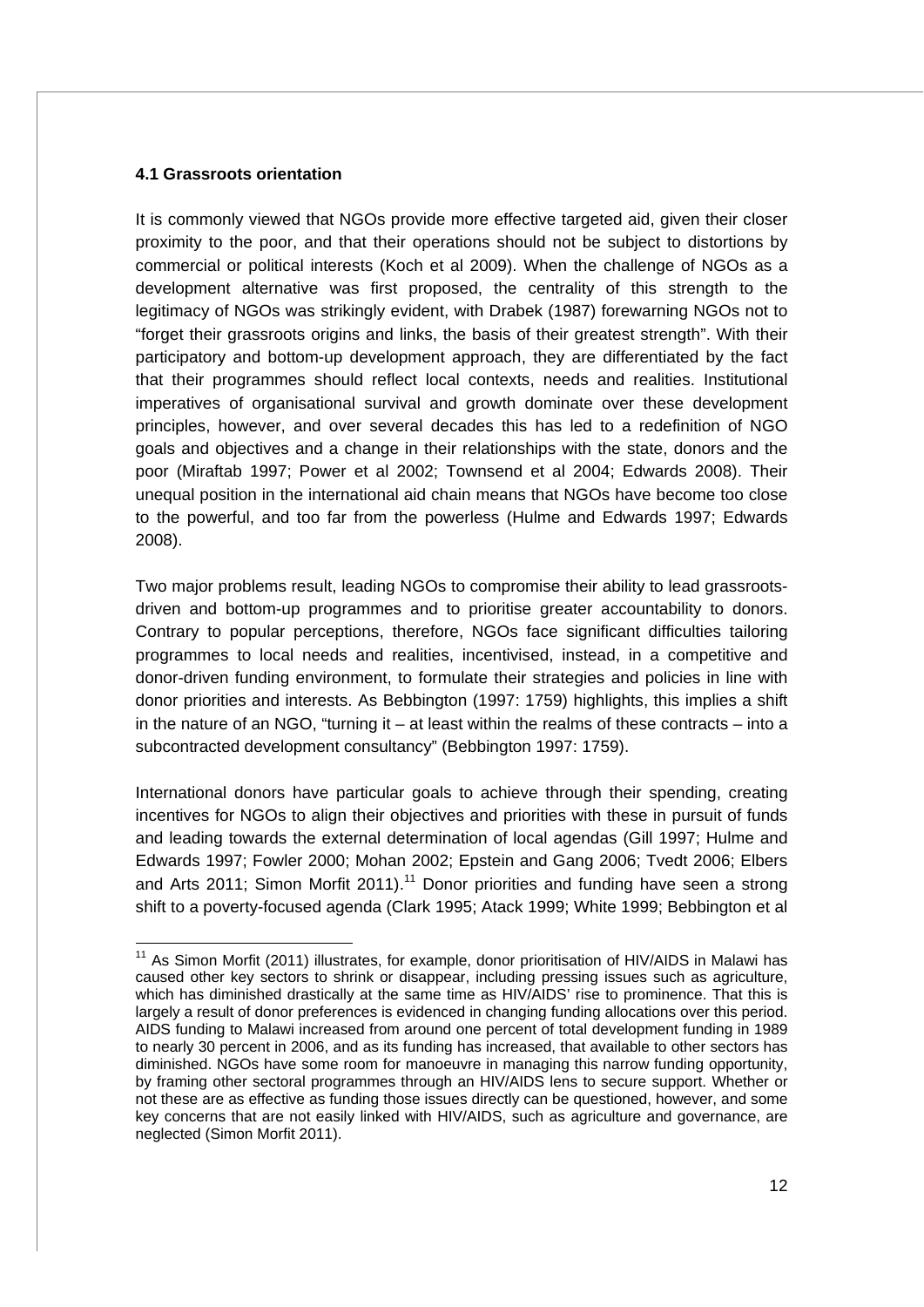#### **4.1 Grassroots orientation**

-

It is commonly viewed that NGOs provide more effective targeted aid, given their closer proximity to the poor, and that their operations should not be subject to distortions by commercial or political interests (Koch et al 2009). When the challenge of NGOs as a development alternative was first proposed, the centrality of this strength to the legitimacy of NGOs was strikingly evident, with Drabek (1987) forewarning NGOs not to "forget their grassroots origins and links, the basis of their greatest strength". With their participatory and bottom-up development approach, they are differentiated by the fact that their programmes should reflect local contexts, needs and realities. Institutional imperatives of organisational survival and growth dominate over these development principles, however, and over several decades this has led to a redefinition of NGO goals and objectives and a change in their relationships with the state, donors and the poor (Miraftab 1997; Power et al 2002; Townsend et al 2004; Edwards 2008). Their unequal position in the international aid chain means that NGOs have become too close to the powerful, and too far from the powerless (Hulme and Edwards 1997; Edwards 2008).

Two major problems result, leading NGOs to compromise their ability to lead grassrootsdriven and bottom-up programmes and to prioritise greater accountability to donors. Contrary to popular perceptions, therefore, NGOs face significant difficulties tailoring programmes to local needs and realities, incentivised, instead, in a competitive and donor-driven funding environment, to formulate their strategies and policies in line with donor priorities and interests. As Bebbington (1997: 1759) highlights, this implies a shift in the nature of an NGO, "turning it – at least within the realms of these contracts – into a subcontracted development consultancy" (Bebbington 1997: 1759).

International donors have particular goals to achieve through their spending, creating incentives for NGOs to align their objectives and priorities with these in pursuit of funds and leading towards the external determination of local agendas (Gill 1997; Hulme and Edwards 1997; Fowler 2000; Mohan 2002; Epstein and Gang 2006; Tvedt 2006; Elbers and Arts 2011; Simon Morfit 2011).<sup>11</sup> Donor priorities and funding have seen a strong shift to a poverty-focused agenda (Clark 1995; Atack 1999; White 1999; Bebbington et al

 $11$  As Simon Morfit (2011) illustrates, for example, donor prioritisation of HIV/AIDS in Malawi has caused other key sectors to shrink or disappear, including pressing issues such as agriculture, which has diminished drastically at the same time as HIV/AIDS' rise to prominence. That this is largely a result of donor preferences is evidenced in changing funding allocations over this period. AIDS funding to Malawi increased from around one percent of total development funding in 1989 to nearly 30 percent in 2006, and as its funding has increased, that available to other sectors has diminished. NGOs have some room for manoeuvre in managing this narrow funding opportunity, by framing other sectoral programmes through an HIV/AIDS lens to secure support. Whether or not these are as effective as funding those issues directly can be questioned, however, and some key concerns that are not easily linked with HIV/AIDS, such as agriculture and governance, are neglected (Simon Morfit 2011).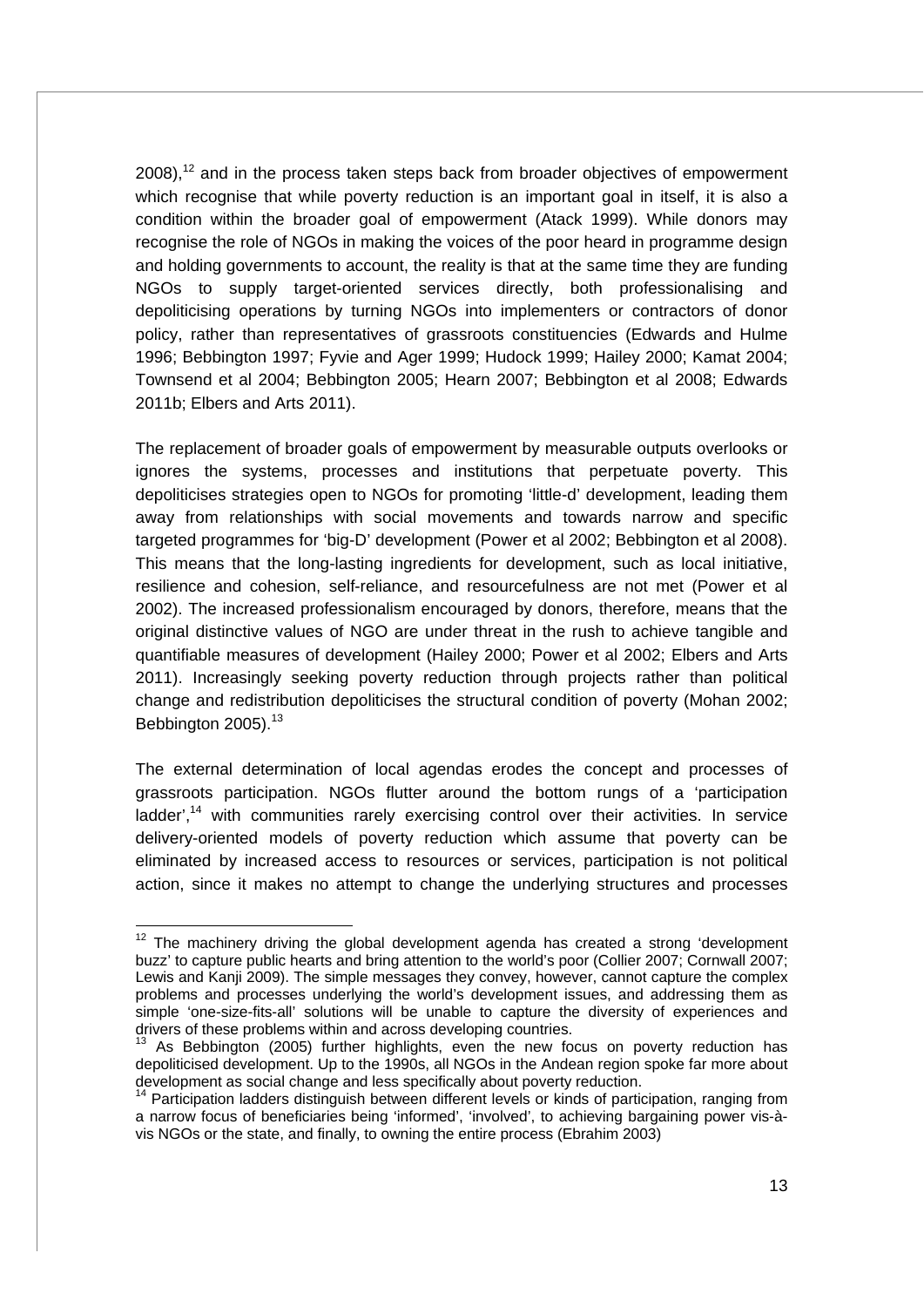$2008$ ,<sup>12</sup> and in the process taken steps back from broader objectives of empowerment which recognise that while poverty reduction is an important goal in itself, it is also a condition within the broader goal of empowerment (Atack 1999). While donors may recognise the role of NGOs in making the voices of the poor heard in programme design and holding governments to account, the reality is that at the same time they are funding NGOs to supply target-oriented services directly, both professionalising and depoliticising operations by turning NGOs into implementers or contractors of donor policy, rather than representatives of grassroots constituencies (Edwards and Hulme 1996; Bebbington 1997; Fyvie and Ager 1999; Hudock 1999; Hailey 2000; Kamat 2004; Townsend et al 2004; Bebbington 2005; Hearn 2007; Bebbington et al 2008; Edwards 2011b; Elbers and Arts 2011).

The replacement of broader goals of empowerment by measurable outputs overlooks or ignores the systems, processes and institutions that perpetuate poverty. This depoliticises strategies open to NGOs for promoting 'little-d' development, leading them away from relationships with social movements and towards narrow and specific targeted programmes for 'big-D' development (Power et al 2002; Bebbington et al 2008). This means that the long-lasting ingredients for development, such as local initiative, resilience and cohesion, self-reliance, and resourcefulness are not met (Power et al 2002). The increased professionalism encouraged by donors, therefore, means that the original distinctive values of NGO are under threat in the rush to achieve tangible and quantifiable measures of development (Hailey 2000; Power et al 2002; Elbers and Arts 2011). Increasingly seeking poverty reduction through projects rather than political change and redistribution depoliticises the structural condition of poverty (Mohan 2002; Bebbington 2005).<sup>13</sup>

The external determination of local agendas erodes the concept and processes of grassroots participation. NGOs flutter around the bottom rungs of a 'participation ladder',<sup>14</sup> with communities rarely exercising control over their activities. In service delivery-oriented models of poverty reduction which assume that poverty can be eliminated by increased access to resources or services, participation is not political action, since it makes no attempt to change the underlying structures and processes

 $\overline{a}$ 

 $12$  The machinery driving the global development agenda has created a strong 'development buzz' to capture public hearts and bring attention to the world's poor (Collier 2007; Cornwall 2007; Lewis and Kanji 2009). The simple messages they convey, however, cannot capture the complex problems and processes underlying the world's development issues, and addressing them as simple 'one-size-fits-all' solutions will be unable to capture the diversity of experiences and drivers of these problems within and across developing countries.

 $13$  As Bebbington (2005) further highlights, even the new focus on poverty reduction has depoliticised development. Up to the 1990s, all NGOs in the Andean region spoke far more about development as social change and less specifically about poverty reduction.

<sup>&</sup>lt;sup>14</sup> Participation ladders distinguish between different levels or kinds of participation, ranging from a narrow focus of beneficiaries being 'informed', 'involved', to achieving bargaining power vis-àvis NGOs or the state, and finally, to owning the entire process (Ebrahim 2003)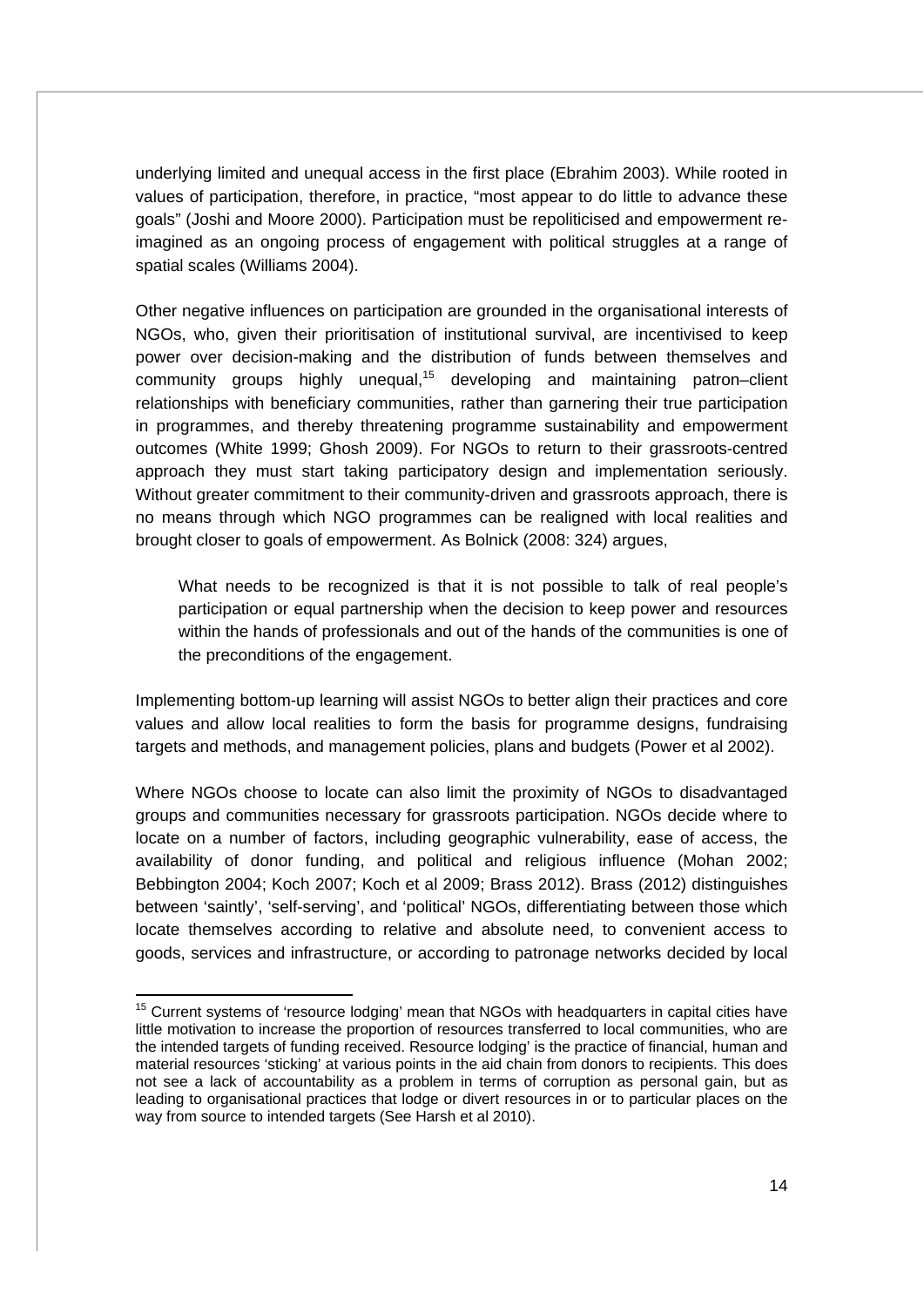underlying limited and unequal access in the first place (Ebrahim 2003). While rooted in values of participation, therefore, in practice, "most appear to do little to advance these goals" (Joshi and Moore 2000). Participation must be repoliticised and empowerment reimagined as an ongoing process of engagement with political struggles at a range of spatial scales (Williams 2004).

Other negative influences on participation are grounded in the organisational interests of NGOs, who, given their prioritisation of institutional survival, are incentivised to keep power over decision-making and the distribution of funds between themselves and community groups highly unequal,<sup>15</sup> developing and maintaining patron-client relationships with beneficiary communities, rather than garnering their true participation in programmes, and thereby threatening programme sustainability and empowerment outcomes (White 1999; Ghosh 2009). For NGOs to return to their grassroots-centred approach they must start taking participatory design and implementation seriously. Without greater commitment to their community-driven and grassroots approach, there is no means through which NGO programmes can be realigned with local realities and brought closer to goals of empowerment. As Bolnick (2008: 324) argues,

What needs to be recognized is that it is not possible to talk of real people's participation or equal partnership when the decision to keep power and resources within the hands of professionals and out of the hands of the communities is one of the preconditions of the engagement.

Implementing bottom-up learning will assist NGOs to better align their practices and core values and allow local realities to form the basis for programme designs, fundraising targets and methods, and management policies, plans and budgets (Power et al 2002).

Where NGOs choose to locate can also limit the proximity of NGOs to disadvantaged groups and communities necessary for grassroots participation. NGOs decide where to locate on a number of factors, including geographic vulnerability, ease of access, the availability of donor funding, and political and religious influence (Mohan 2002; Bebbington 2004; Koch 2007; Koch et al 2009; Brass 2012). Brass (2012) distinguishes between 'saintly', 'self-serving', and 'political' NGOs, differentiating between those which locate themselves according to relative and absolute need, to convenient access to goods, services and infrastructure, or according to patronage networks decided by local

 $15$  Current systems of 'resource lodging' mean that NGOs with headquarters in capital cities have little motivation to increase the proportion of resources transferred to local communities, who are the intended targets of funding received. Resource lodging' is the practice of financial, human and material resources 'sticking' at various points in the aid chain from donors to recipients. This does not see a lack of accountability as a problem in terms of corruption as personal gain, but as leading to organisational practices that lodge or divert resources in or to particular places on the way from source to intended targets (See Harsh et al 2010).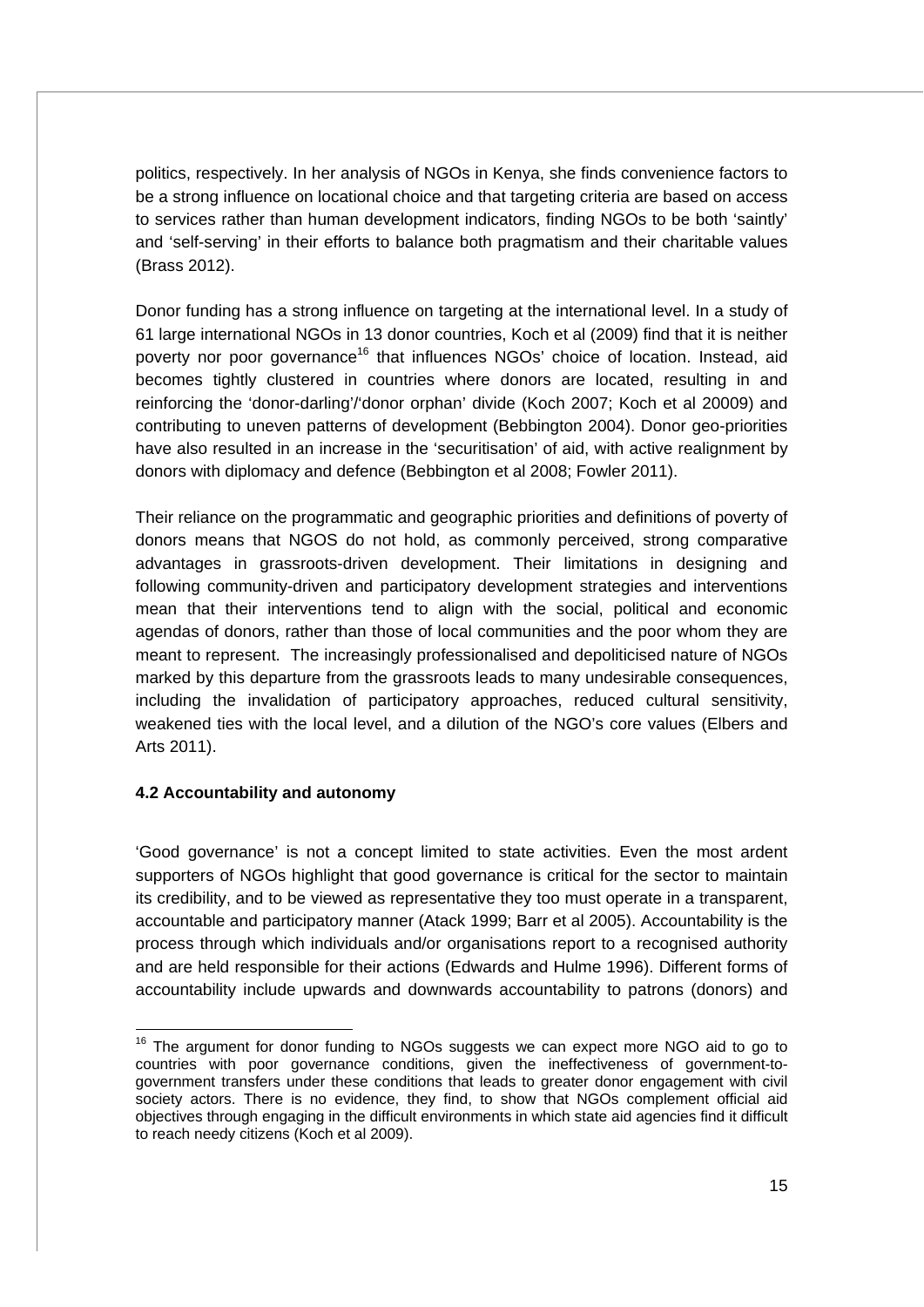politics, respectively. In her analysis of NGOs in Kenya, she finds convenience factors to be a strong influence on locational choice and that targeting criteria are based on access to services rather than human development indicators, finding NGOs to be both 'saintly' and 'self-serving' in their efforts to balance both pragmatism and their charitable values (Brass 2012).

Donor funding has a strong influence on targeting at the international level. In a study of 61 large international NGOs in 13 donor countries, Koch et al (2009) find that it is neither poverty nor poor governance<sup>16</sup> that influences NGOs' choice of location. Instead, aid becomes tightly clustered in countries where donors are located, resulting in and reinforcing the 'donor-darling'/'donor orphan' divide (Koch 2007; Koch et al 20009) and contributing to uneven patterns of development (Bebbington 2004). Donor geo-priorities have also resulted in an increase in the 'securitisation' of aid, with active realignment by donors with diplomacy and defence (Bebbington et al 2008; Fowler 2011).

Their reliance on the programmatic and geographic priorities and definitions of poverty of donors means that NGOS do not hold, as commonly perceived, strong comparative advantages in grassroots-driven development. Their limitations in designing and following community-driven and participatory development strategies and interventions mean that their interventions tend to align with the social, political and economic agendas of donors, rather than those of local communities and the poor whom they are meant to represent. The increasingly professionalised and depoliticised nature of NGOs marked by this departure from the grassroots leads to many undesirable consequences, including the invalidation of participatory approaches, reduced cultural sensitivity, weakened ties with the local level, and a dilution of the NGO's core values (Elbers and Arts 2011).

#### **4.2 Accountability and autonomy**

'Good governance' is not a concept limited to state activities. Even the most ardent supporters of NGOs highlight that good governance is critical for the sector to maintain its credibility, and to be viewed as representative they too must operate in a transparent, accountable and participatory manner (Atack 1999; Barr et al 2005). Accountability is the process through which individuals and/or organisations report to a recognised authority and are held responsible for their actions (Edwards and Hulme 1996). Different forms of accountability include upwards and downwards accountability to patrons (donors) and

<sup>-</sup><sup>16</sup> The argument for donor funding to NGOs suggests we can expect more NGO aid to go to countries with poor governance conditions, given the ineffectiveness of government-togovernment transfers under these conditions that leads to greater donor engagement with civil society actors. There is no evidence, they find, to show that NGOs complement official aid objectives through engaging in the difficult environments in which state aid agencies find it difficult to reach needy citizens (Koch et al 2009).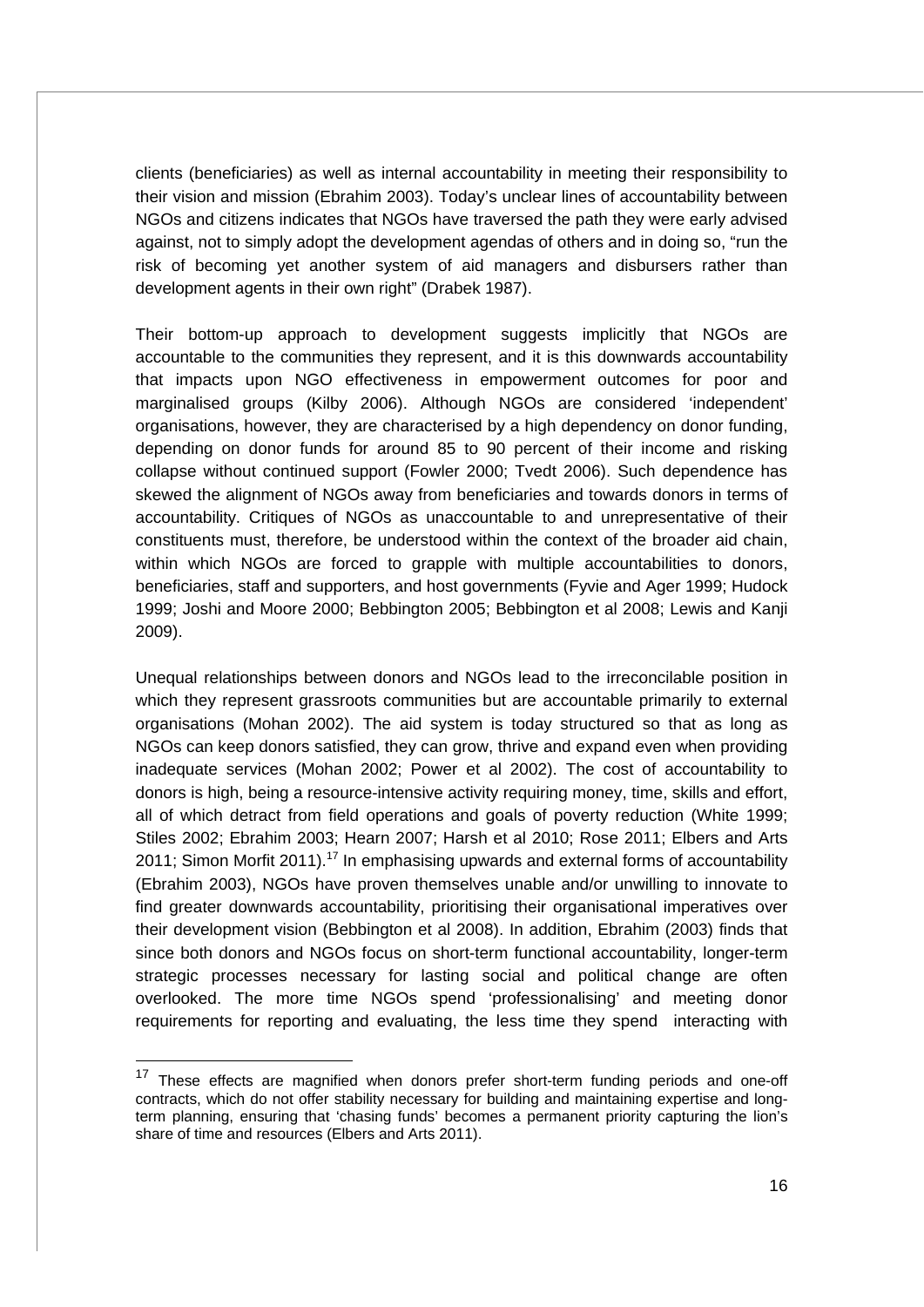clients (beneficiaries) as well as internal accountability in meeting their responsibility to their vision and mission (Ebrahim 2003). Today's unclear lines of accountability between NGOs and citizens indicates that NGOs have traversed the path they were early advised against, not to simply adopt the development agendas of others and in doing so, "run the risk of becoming yet another system of aid managers and disbursers rather than development agents in their own right" (Drabek 1987).

Their bottom-up approach to development suggests implicitly that NGOs are accountable to the communities they represent, and it is this downwards accountability that impacts upon NGO effectiveness in empowerment outcomes for poor and marginalised groups (Kilby 2006). Although NGOs are considered 'independent' organisations, however, they are characterised by a high dependency on donor funding, depending on donor funds for around 85 to 90 percent of their income and risking collapse without continued support (Fowler 2000; Tvedt 2006). Such dependence has skewed the alignment of NGOs away from beneficiaries and towards donors in terms of accountability. Critiques of NGOs as unaccountable to and unrepresentative of their constituents must, therefore, be understood within the context of the broader aid chain, within which NGOs are forced to grapple with multiple accountabilities to donors, beneficiaries, staff and supporters, and host governments (Fyvie and Ager 1999; Hudock 1999; Joshi and Moore 2000; Bebbington 2005; Bebbington et al 2008; Lewis and Kanji 2009).

Unequal relationships between donors and NGOs lead to the irreconcilable position in which they represent grassroots communities but are accountable primarily to external organisations (Mohan 2002). The aid system is today structured so that as long as NGOs can keep donors satisfied, they can grow, thrive and expand even when providing inadequate services (Mohan 2002; Power et al 2002). The cost of accountability to donors is high, being a resource-intensive activity requiring money, time, skills and effort, all of which detract from field operations and goals of poverty reduction (White 1999; Stiles 2002; Ebrahim 2003; Hearn 2007; Harsh et al 2010; Rose 2011; Elbers and Arts 2011: Simon Morfit 2011).<sup>17</sup> In emphasising upwards and external forms of accountability (Ebrahim 2003), NGOs have proven themselves unable and/or unwilling to innovate to find greater downwards accountability, prioritising their organisational imperatives over their development vision (Bebbington et al 2008). In addition, Ebrahim (2003) finds that since both donors and NGOs focus on short-term functional accountability, longer-term strategic processes necessary for lasting social and political change are often overlooked. The more time NGOs spend 'professionalising' and meeting donor requirements for reporting and evaluating, the less time they spend interacting with

<sup>&</sup>lt;sup>17</sup> These effects are magnified when donors prefer short-term funding periods and one-off contracts, which do not offer stability necessary for building and maintaining expertise and longterm planning, ensuring that 'chasing funds' becomes a permanent priority capturing the lion's share of time and resources (Elbers and Arts 2011).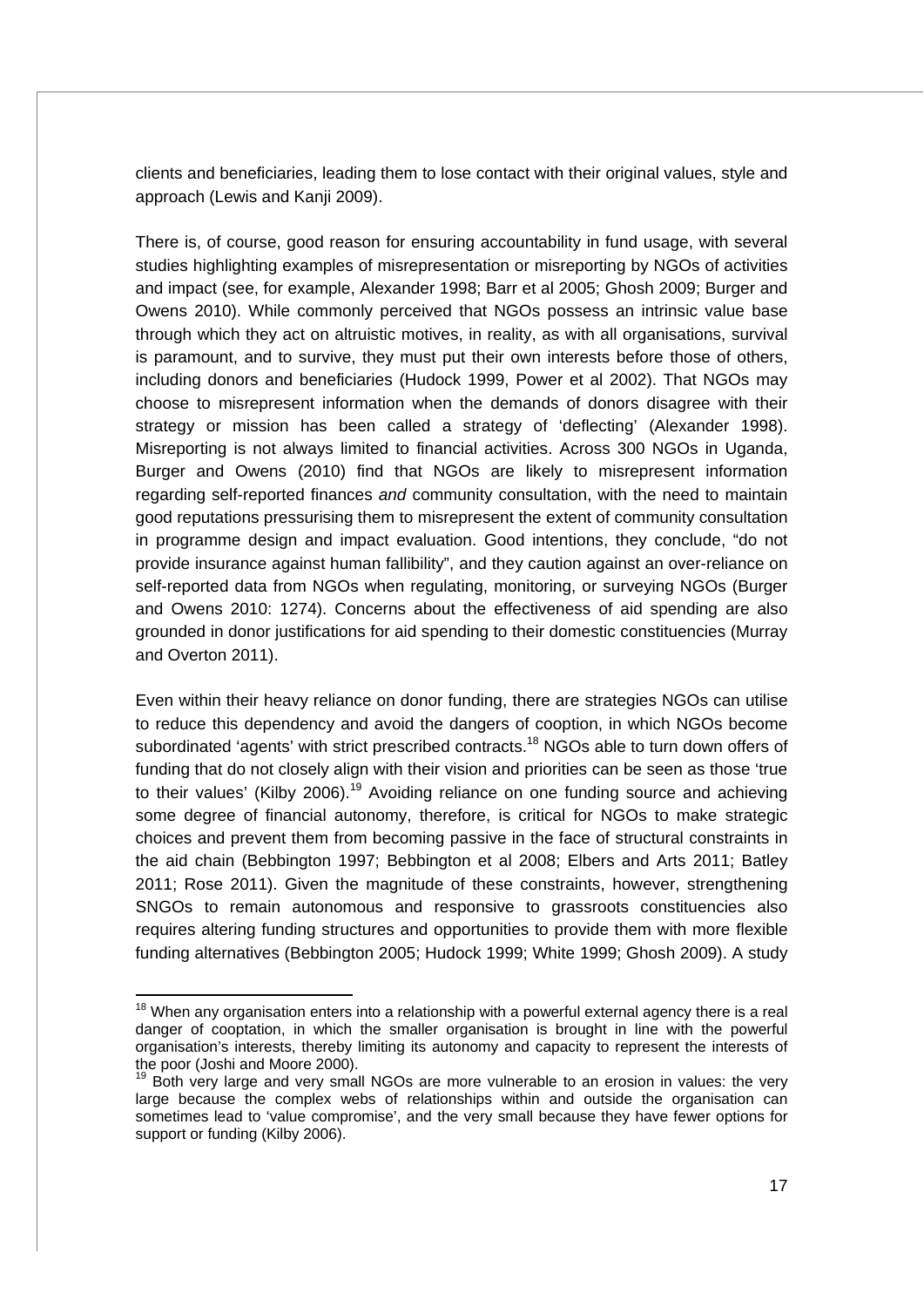clients and beneficiaries, leading them to lose contact with their original values, style and approach (Lewis and Kanji 2009).

There is, of course, good reason for ensuring accountability in fund usage, with several studies highlighting examples of misrepresentation or misreporting by NGOs of activities and impact (see, for example, Alexander 1998; Barr et al 2005; Ghosh 2009; Burger and Owens 2010). While commonly perceived that NGOs possess an intrinsic value base through which they act on altruistic motives, in reality, as with all organisations, survival is paramount, and to survive, they must put their own interests before those of others, including donors and beneficiaries (Hudock 1999, Power et al 2002). That NGOs may choose to misrepresent information when the demands of donors disagree with their strategy or mission has been called a strategy of 'deflecting' (Alexander 1998). Misreporting is not always limited to financial activities. Across 300 NGOs in Uganda, Burger and Owens (2010) find that NGOs are likely to misrepresent information regarding self-reported finances *and* community consultation, with the need to maintain good reputations pressurising them to misrepresent the extent of community consultation in programme design and impact evaluation. Good intentions, they conclude, "do not provide insurance against human fallibility", and they caution against an over-reliance on self-reported data from NGOs when regulating, monitoring, or surveying NGOs (Burger and Owens 2010: 1274). Concerns about the effectiveness of aid spending are also grounded in donor justifications for aid spending to their domestic constituencies (Murray and Overton 2011).

Even within their heavy reliance on donor funding, there are strategies NGOs can utilise to reduce this dependency and avoid the dangers of cooption, in which NGOs become subordinated 'agents' with strict prescribed contracts.<sup>18</sup> NGOs able to turn down offers of funding that do not closely align with their vision and priorities can be seen as those 'true to their values' (Kilby 2006).<sup>19</sup> Avoiding reliance on one funding source and achieving some degree of financial autonomy, therefore, is critical for NGOs to make strategic choices and prevent them from becoming passive in the face of structural constraints in the aid chain (Bebbington 1997; Bebbington et al 2008; Elbers and Arts 2011; Batley 2011; Rose 2011). Given the magnitude of these constraints, however, strengthening SNGOs to remain autonomous and responsive to grassroots constituencies also requires altering funding structures and opportunities to provide them with more flexible funding alternatives (Bebbington 2005; Hudock 1999; White 1999; Ghosh 2009). A study

 $18$  When any organisation enters into a relationship with a powerful external agency there is a real danger of cooptation, in which the smaller organisation is brought in line with the powerful organisation's interests, thereby limiting its autonomy and capacity to represent the interests of the poor (Joshi and Moore 2000).

 $19$  Both very large and very small NGOs are more vulnerable to an erosion in values: the very large because the complex webs of relationships within and outside the organisation can sometimes lead to 'value compromise', and the very small because they have fewer options for support or funding (Kilby 2006).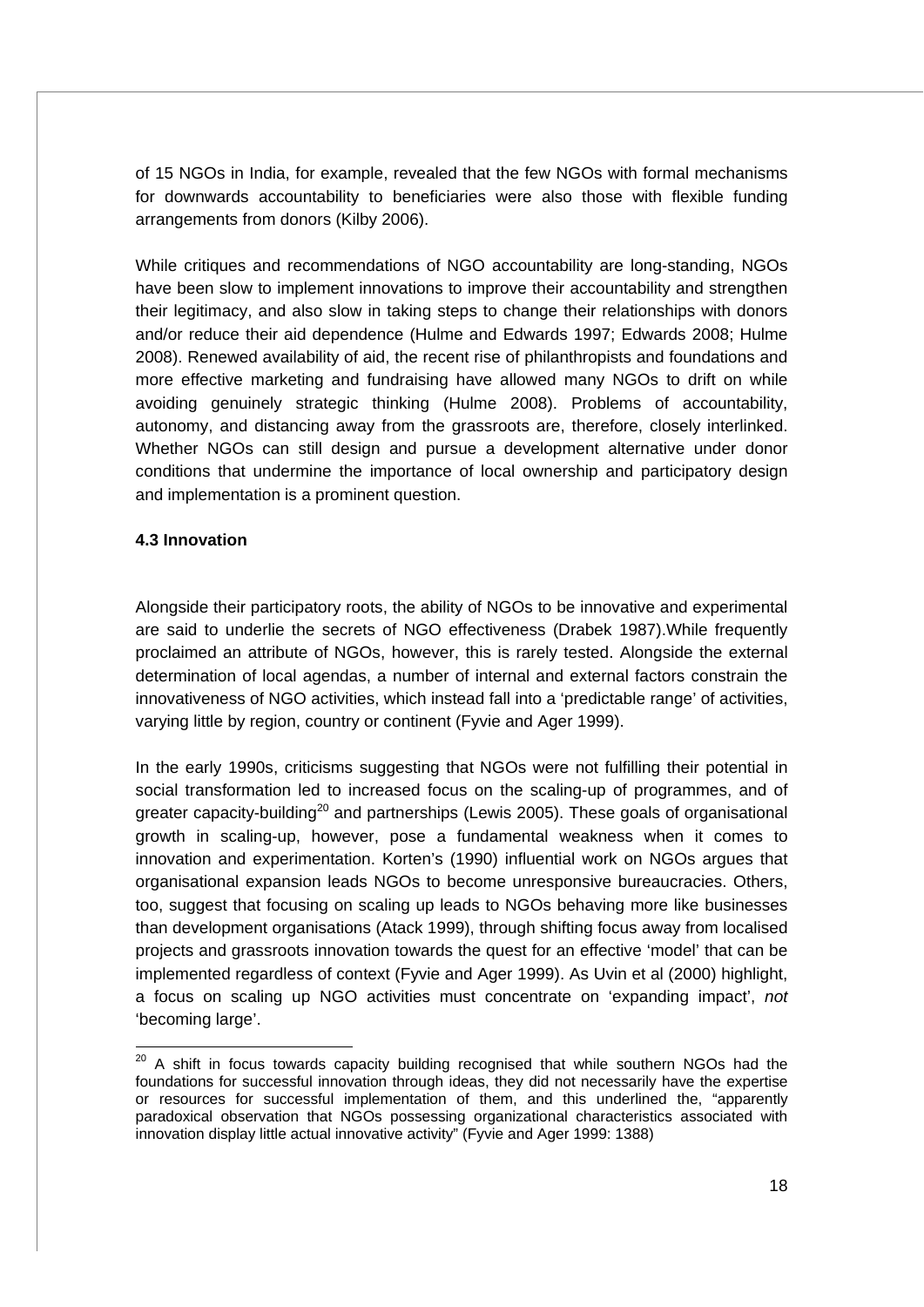of 15 NGOs in India, for example, revealed that the few NGOs with formal mechanisms for downwards accountability to beneficiaries were also those with flexible funding arrangements from donors (Kilby 2006).

While critiques and recommendations of NGO accountability are long-standing, NGOs have been slow to implement innovations to improve their accountability and strengthen their legitimacy, and also slow in taking steps to change their relationships with donors and/or reduce their aid dependence (Hulme and Edwards 1997; Edwards 2008; Hulme 2008). Renewed availability of aid, the recent rise of philanthropists and foundations and more effective marketing and fundraising have allowed many NGOs to drift on while avoiding genuinely strategic thinking (Hulme 2008). Problems of accountability, autonomy, and distancing away from the grassroots are, therefore, closely interlinked. Whether NGOs can still design and pursue a development alternative under donor conditions that undermine the importance of local ownership and participatory design and implementation is a prominent question.

#### **4.3 Innovation**

-

Alongside their participatory roots, the ability of NGOs to be innovative and experimental are said to underlie the secrets of NGO effectiveness (Drabek 1987).While frequently proclaimed an attribute of NGOs, however, this is rarely tested. Alongside the external determination of local agendas, a number of internal and external factors constrain the innovativeness of NGO activities, which instead fall into a 'predictable range' of activities, varying little by region, country or continent (Fyvie and Ager 1999).

In the early 1990s, criticisms suggesting that NGOs were not fulfilling their potential in social transformation led to increased focus on the scaling-up of programmes, and of greater capacity-building<sup>20</sup> and partnerships (Lewis 2005). These goals of organisational growth in scaling-up, however, pose a fundamental weakness when it comes to innovation and experimentation. Korten's (1990) influential work on NGOs argues that organisational expansion leads NGOs to become unresponsive bureaucracies. Others, too, suggest that focusing on scaling up leads to NGOs behaving more like businesses than development organisations (Atack 1999), through shifting focus away from localised projects and grassroots innovation towards the quest for an effective 'model' that can be implemented regardless of context (Fyvie and Ager 1999). As Uvin et al (2000) highlight, a focus on scaling up NGO activities must concentrate on 'expanding impact', *not*  'becoming large'.

 $20$  A shift in focus towards capacity building recognised that while southern NGOs had the foundations for successful innovation through ideas, they did not necessarily have the expertise or resources for successful implementation of them, and this underlined the, "apparently paradoxical observation that NGOs possessing organizational characteristics associated with innovation display little actual innovative activity" (Fyvie and Ager 1999: 1388)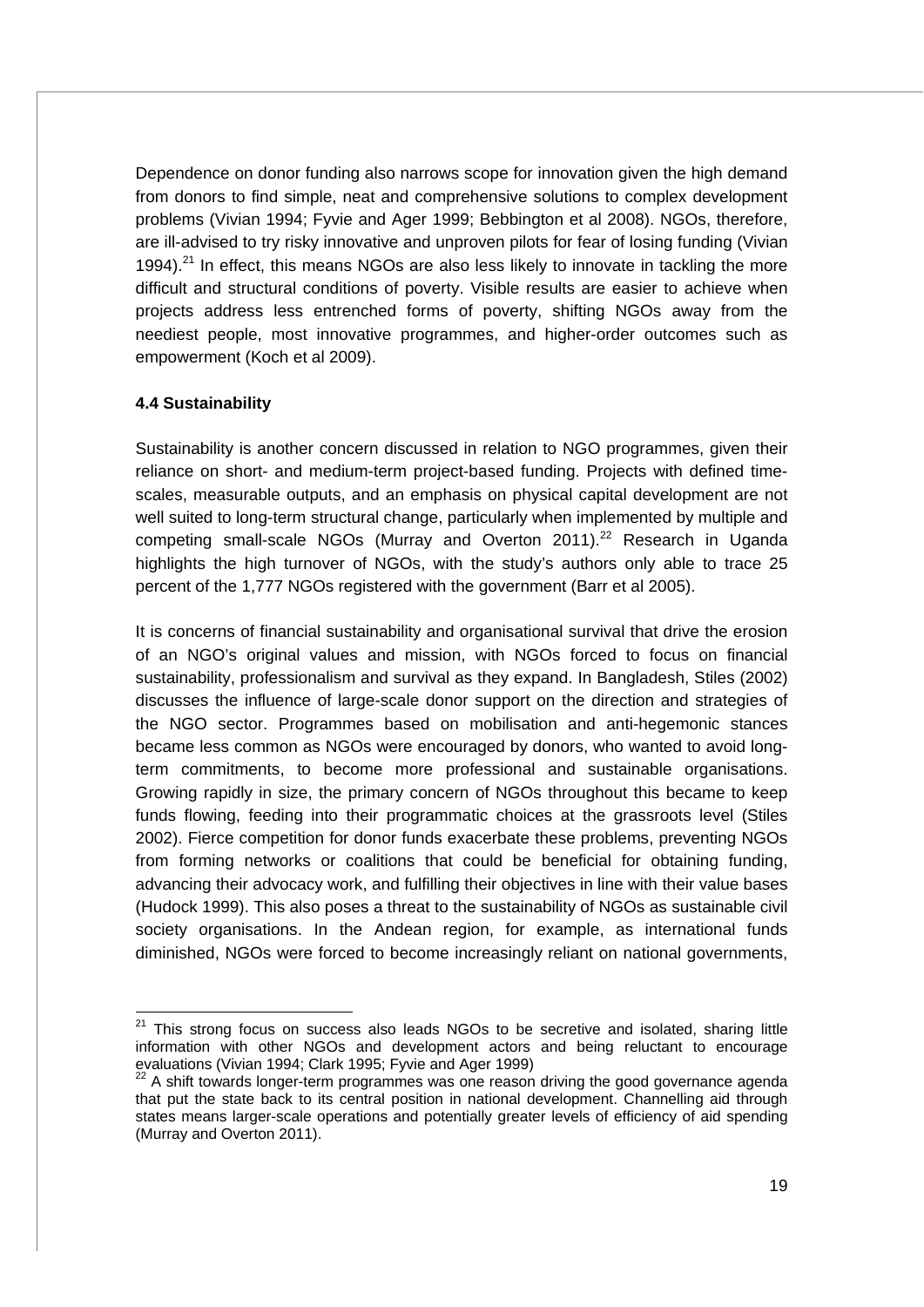Dependence on donor funding also narrows scope for innovation given the high demand from donors to find simple, neat and comprehensive solutions to complex development problems (Vivian 1994; Fyvie and Ager 1999; Bebbington et al 2008). NGOs, therefore, are ill-advised to try risky innovative and unproven pilots for fear of losing funding (Vivian 1994).<sup>21</sup> In effect, this means NGOs are also less likely to innovate in tackling the more difficult and structural conditions of poverty. Visible results are easier to achieve when projects address less entrenched forms of poverty, shifting NGOs away from the neediest people, most innovative programmes, and higher-order outcomes such as empowerment (Koch et al 2009).

#### **4.4 Sustainability**

 $\overline{a}$ 

Sustainability is another concern discussed in relation to NGO programmes, given their reliance on short- and medium-term project-based funding. Projects with defined timescales, measurable outputs, and an emphasis on physical capital development are not well suited to long-term structural change, particularly when implemented by multiple and competing small-scale NGOs (Murray and Overton 2011).<sup>22</sup> Research in Uganda highlights the high turnover of NGOs, with the study's authors only able to trace 25 percent of the 1,777 NGOs registered with the government (Barr et al 2005).

It is concerns of financial sustainability and organisational survival that drive the erosion of an NGO's original values and mission, with NGOs forced to focus on financial sustainability, professionalism and survival as they expand. In Bangladesh, Stiles (2002) discusses the influence of large-scale donor support on the direction and strategies of the NGO sector. Programmes based on mobilisation and anti-hegemonic stances became less common as NGOs were encouraged by donors, who wanted to avoid longterm commitments, to become more professional and sustainable organisations. Growing rapidly in size, the primary concern of NGOs throughout this became to keep funds flowing, feeding into their programmatic choices at the grassroots level (Stiles 2002). Fierce competition for donor funds exacerbate these problems, preventing NGOs from forming networks or coalitions that could be beneficial for obtaining funding, advancing their advocacy work, and fulfilling their objectives in line with their value bases (Hudock 1999). This also poses a threat to the sustainability of NGOs as sustainable civil society organisations. In the Andean region, for example, as international funds diminished, NGOs were forced to become increasingly reliant on national governments,

 $21$  This strong focus on success also leads NGOs to be secretive and isolated, sharing little information with other NGOs and development actors and being reluctant to encourage evaluations (Vivian 1994; Clark 1995; Fyvie and Ager 1999)

 $22$  A shift towards longer-term programmes was one reason driving the good governance agenda that put the state back to its central position in national development. Channelling aid through states means larger-scale operations and potentially greater levels of efficiency of aid spending (Murray and Overton 2011).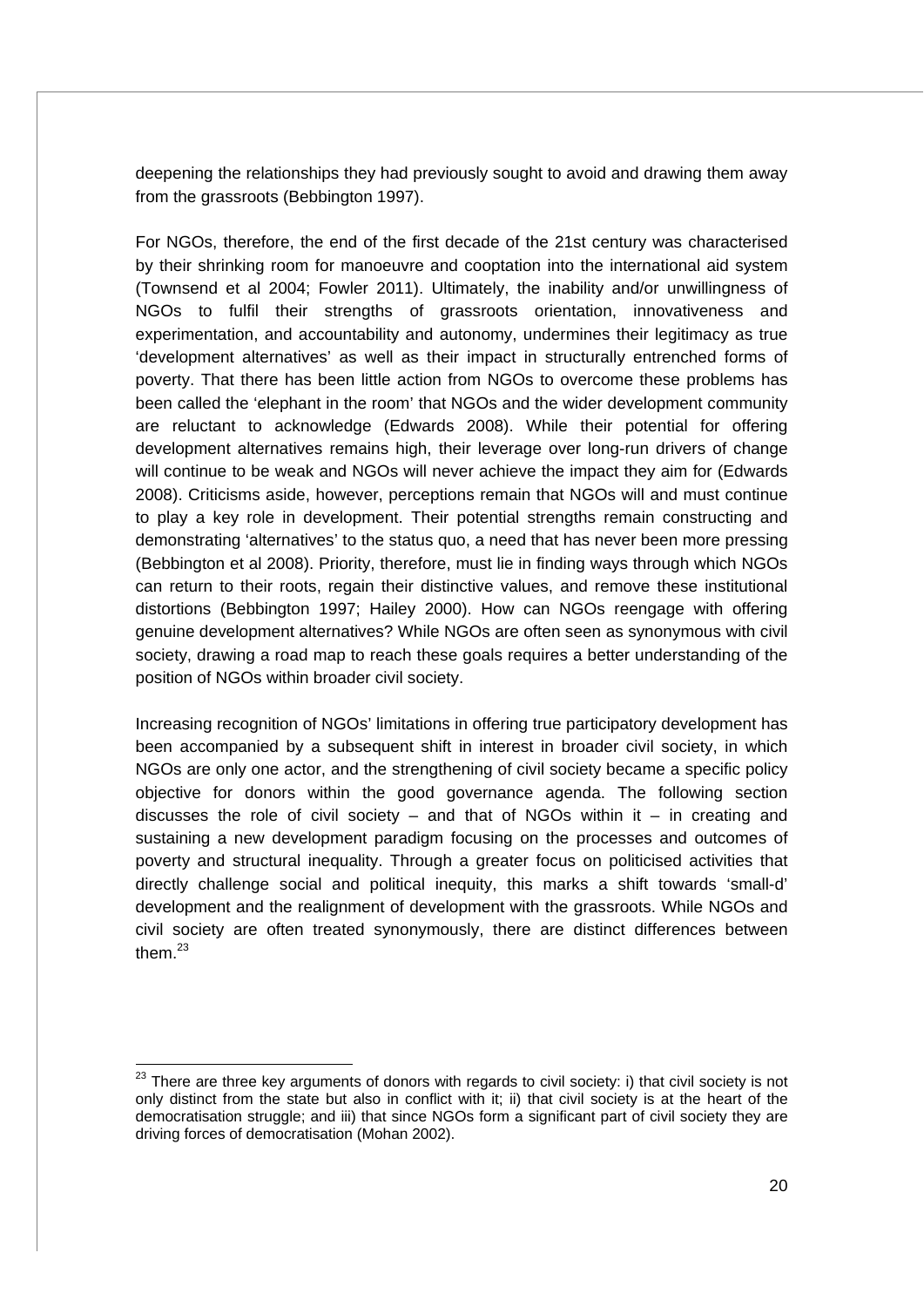deepening the relationships they had previously sought to avoid and drawing them away from the grassroots (Bebbington 1997).

For NGOs, therefore, the end of the first decade of the 21st century was characterised by their shrinking room for manoeuvre and cooptation into the international aid system (Townsend et al 2004; Fowler 2011). Ultimately, the inability and/or unwillingness of NGOs to fulfil their strengths of grassroots orientation, innovativeness and experimentation, and accountability and autonomy, undermines their legitimacy as true 'development alternatives' as well as their impact in structurally entrenched forms of poverty. That there has been little action from NGOs to overcome these problems has been called the 'elephant in the room' that NGOs and the wider development community are reluctant to acknowledge (Edwards 2008). While their potential for offering development alternatives remains high, their leverage over long-run drivers of change will continue to be weak and NGOs will never achieve the impact they aim for (Edwards 2008). Criticisms aside, however, perceptions remain that NGOs will and must continue to play a key role in development. Their potential strengths remain constructing and demonstrating 'alternatives' to the status quo, a need that has never been more pressing (Bebbington et al 2008). Priority, therefore, must lie in finding ways through which NGOs can return to their roots, regain their distinctive values, and remove these institutional distortions (Bebbington 1997; Hailey 2000). How can NGOs reengage with offering genuine development alternatives? While NGOs are often seen as synonymous with civil society, drawing a road map to reach these goals requires a better understanding of the position of NGOs within broader civil society.

Increasing recognition of NGOs' limitations in offering true participatory development has been accompanied by a subsequent shift in interest in broader civil society, in which NGOs are only one actor, and the strengthening of civil society became a specific policy objective for donors within the good governance agenda. The following section discusses the role of civil society – and that of NGOs within it – in creating and sustaining a new development paradigm focusing on the processes and outcomes of poverty and structural inequality. Through a greater focus on politicised activities that directly challenge social and political inequity, this marks a shift towards 'small-d' development and the realignment of development with the grassroots. While NGOs and civil society are often treated synonymously, there are distinct differences between them. $23$ 

 $^{23}$  There are three key arguments of donors with regards to civil society: i) that civil society is not only distinct from the state but also in conflict with it; ii) that civil society is at the heart of the democratisation struggle; and iii) that since NGOs form a significant part of civil society they are driving forces of democratisation (Mohan 2002).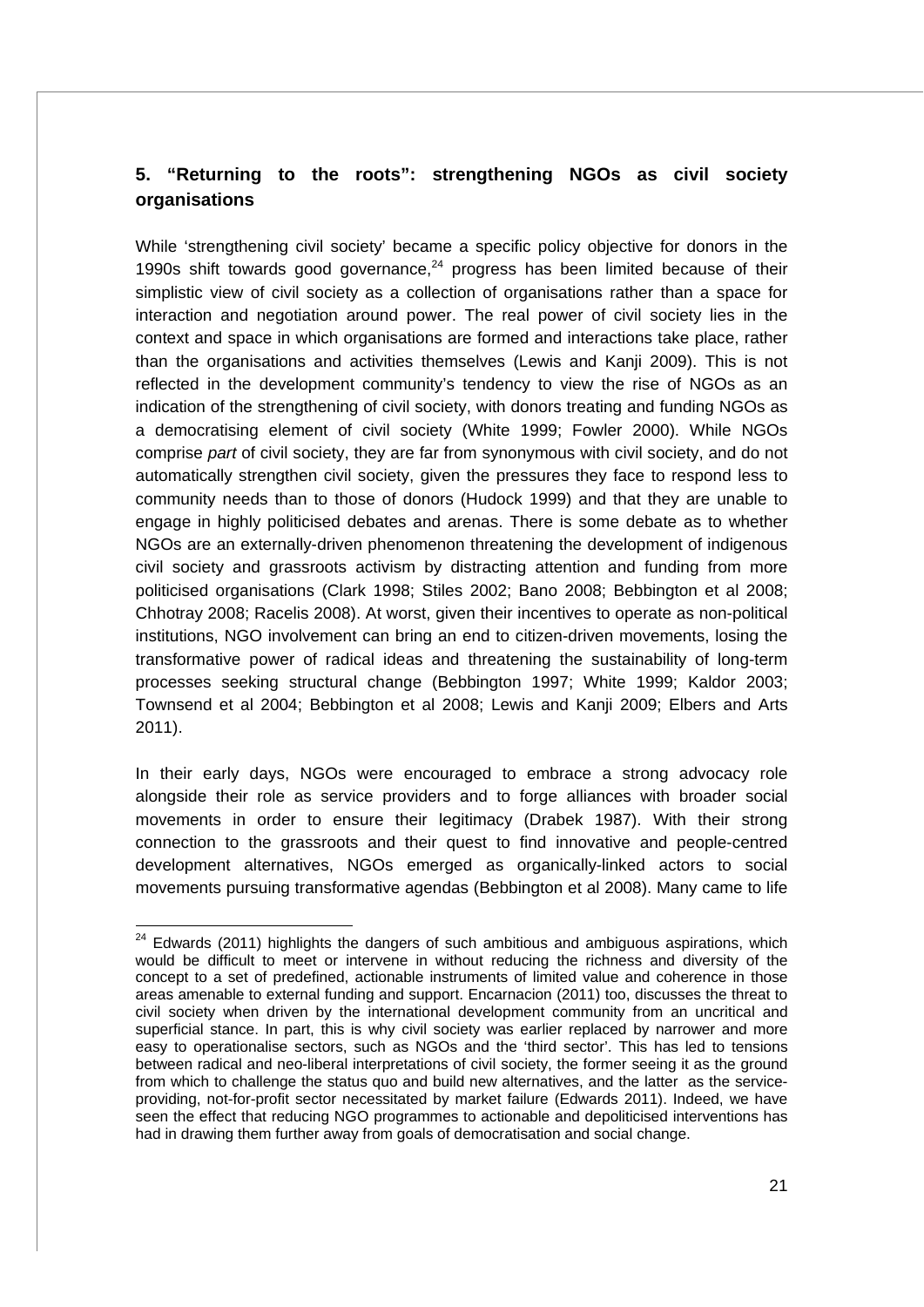## **5. "Returning to the roots": strengthening NGOs as civil society organisations**

While 'strengthening civil society' became a specific policy objective for donors in the 1990s shift towards good governance, $24$  progress has been limited because of their simplistic view of civil society as a collection of organisations rather than a space for interaction and negotiation around power. The real power of civil society lies in the context and space in which organisations are formed and interactions take place, rather than the organisations and activities themselves (Lewis and Kanji 2009). This is not reflected in the development community's tendency to view the rise of NGOs as an indication of the strengthening of civil society, with donors treating and funding NGOs as a democratising element of civil society (White 1999; Fowler 2000). While NGOs comprise *part* of civil society, they are far from synonymous with civil society, and do not automatically strengthen civil society, given the pressures they face to respond less to community needs than to those of donors (Hudock 1999) and that they are unable to engage in highly politicised debates and arenas. There is some debate as to whether NGOs are an externally-driven phenomenon threatening the development of indigenous civil society and grassroots activism by distracting attention and funding from more politicised organisations (Clark 1998; Stiles 2002; Bano 2008; Bebbington et al 2008; Chhotray 2008; Racelis 2008). At worst, given their incentives to operate as non-political institutions, NGO involvement can bring an end to citizen-driven movements, losing the transformative power of radical ideas and threatening the sustainability of long-term processes seeking structural change (Bebbington 1997; White 1999; Kaldor 2003; Townsend et al 2004; Bebbington et al 2008; Lewis and Kanji 2009; Elbers and Arts 2011).

In their early days, NGOs were encouraged to embrace a strong advocacy role alongside their role as service providers and to forge alliances with broader social movements in order to ensure their legitimacy (Drabek 1987). With their strong connection to the grassroots and their quest to find innovative and people-centred development alternatives, NGOs emerged as organically-linked actors to social movements pursuing transformative agendas (Bebbington et al 2008). Many came to life

 $\overline{a}$ 

 $24$  Edwards (2011) highlights the dangers of such ambitious and ambiguous aspirations, which would be difficult to meet or intervene in without reducing the richness and diversity of the concept to a set of predefined, actionable instruments of limited value and coherence in those areas amenable to external funding and support. Encarnacion (2011) too, discusses the threat to civil society when driven by the international development community from an uncritical and superficial stance. In part, this is why civil society was earlier replaced by narrower and more easy to operationalise sectors, such as NGOs and the 'third sector'. This has led to tensions between radical and neo-liberal interpretations of civil society, the former seeing it as the ground from which to challenge the status quo and build new alternatives, and the latter as the serviceproviding, not-for-profit sector necessitated by market failure (Edwards 2011). Indeed, we have seen the effect that reducing NGO programmes to actionable and depoliticised interventions has had in drawing them further away from goals of democratisation and social change.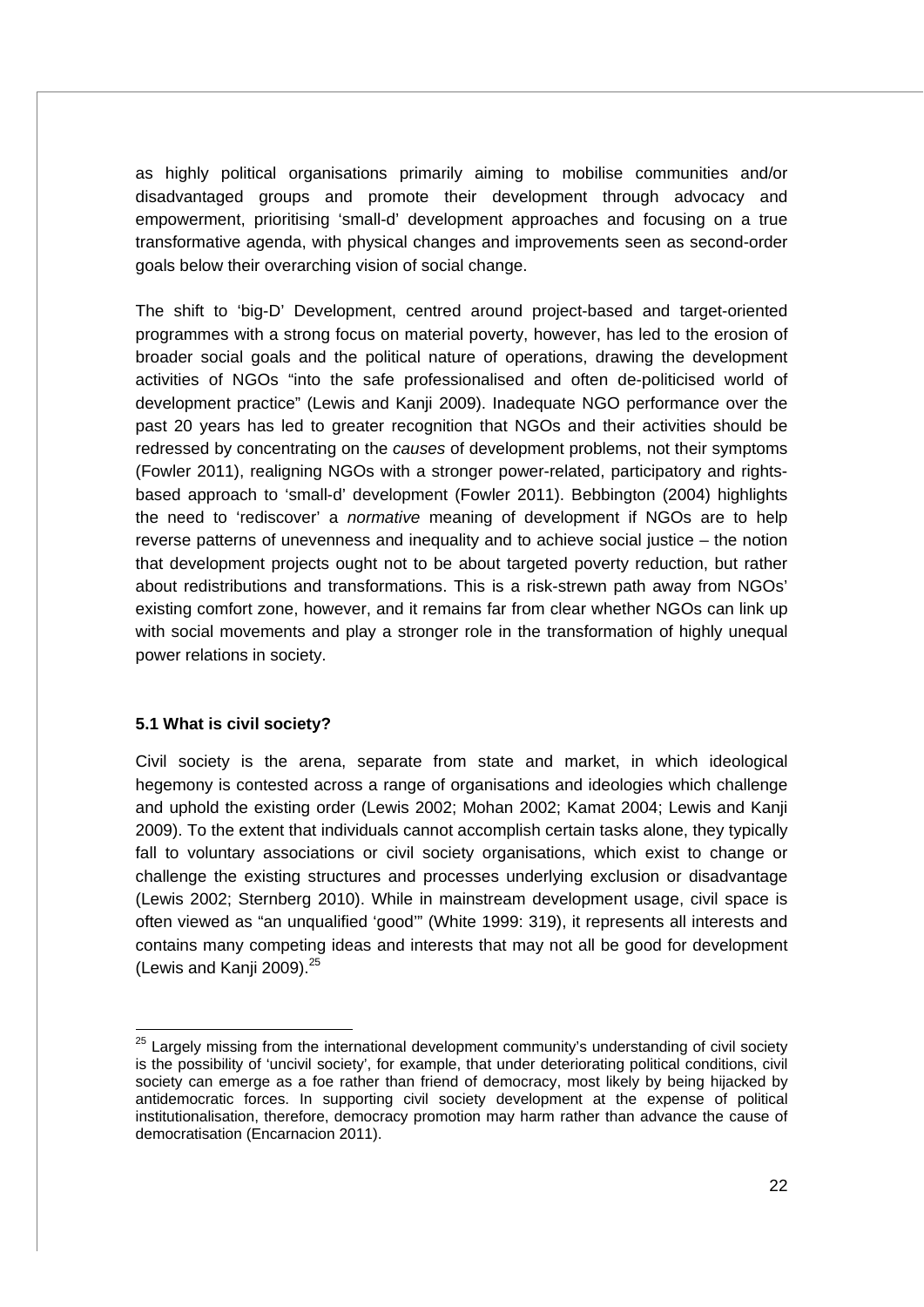as highly political organisations primarily aiming to mobilise communities and/or disadvantaged groups and promote their development through advocacy and empowerment, prioritising 'small-d' development approaches and focusing on a true transformative agenda, with physical changes and improvements seen as second-order goals below their overarching vision of social change.

The shift to 'big-D' Development, centred around project-based and target-oriented programmes with a strong focus on material poverty, however, has led to the erosion of broader social goals and the political nature of operations, drawing the development activities of NGOs "into the safe professionalised and often de-politicised world of development practice" (Lewis and Kanji 2009). Inadequate NGO performance over the past 20 years has led to greater recognition that NGOs and their activities should be redressed by concentrating on the *causes* of development problems, not their symptoms (Fowler 2011), realigning NGOs with a stronger power-related, participatory and rightsbased approach to 'small-d' development (Fowler 2011). Bebbington (2004) highlights the need to 'rediscover' a *normative* meaning of development if NGOs are to help reverse patterns of unevenness and inequality and to achieve social justice – the notion that development projects ought not to be about targeted poverty reduction, but rather about redistributions and transformations. This is a risk-strewn path away from NGOs' existing comfort zone, however, and it remains far from clear whether NGOs can link up with social movements and play a stronger role in the transformation of highly unequal power relations in society.

#### **5.1 What is civil society?**

-

Civil society is the arena, separate from state and market, in which ideological hegemony is contested across a range of organisations and ideologies which challenge and uphold the existing order (Lewis 2002; Mohan 2002; Kamat 2004; Lewis and Kanji 2009). To the extent that individuals cannot accomplish certain tasks alone, they typically fall to voluntary associations or civil society organisations, which exist to change or challenge the existing structures and processes underlying exclusion or disadvantage (Lewis 2002; Sternberg 2010). While in mainstream development usage, civil space is often viewed as "an unqualified 'good'" (White 1999: 319), it represents all interests and contains many competing ideas and interests that may not all be good for development (Lewis and Kanji 2009).<sup>25</sup>

 $25$  Largely missing from the international development community's understanding of civil society is the possibility of 'uncivil society', for example, that under deteriorating political conditions, civil society can emerge as a foe rather than friend of democracy, most likely by being hijacked by antidemocratic forces. In supporting civil society development at the expense of political institutionalisation, therefore, democracy promotion may harm rather than advance the cause of democratisation (Encarnacion 2011).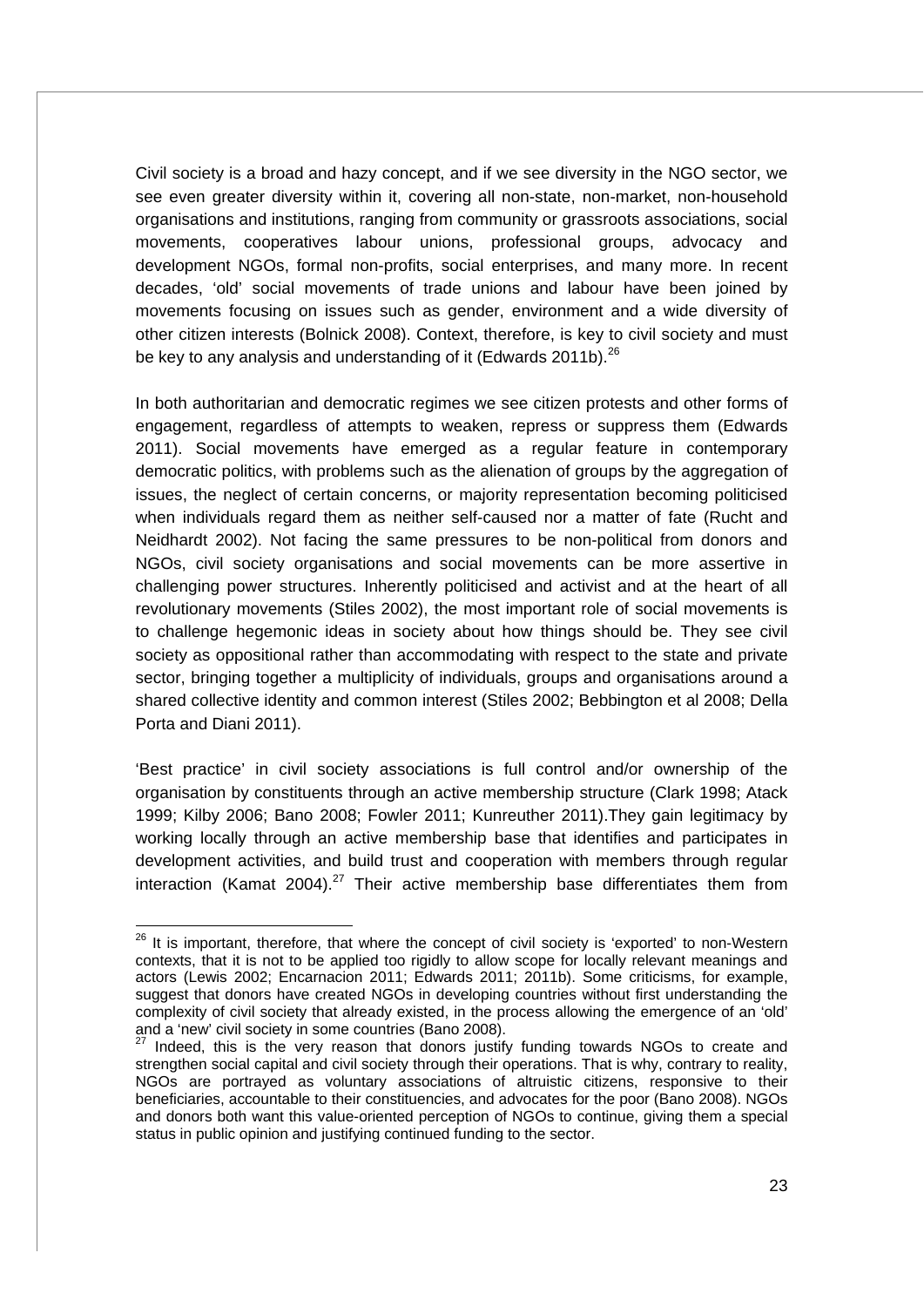Civil society is a broad and hazy concept, and if we see diversity in the NGO sector, we see even greater diversity within it, covering all non-state, non-market, non-household organisations and institutions, ranging from community or grassroots associations, social movements, cooperatives labour unions, professional groups, advocacy and development NGOs, formal non-profits, social enterprises, and many more. In recent decades, 'old' social movements of trade unions and labour have been joined by movements focusing on issues such as gender, environment and a wide diversity of other citizen interests (Bolnick 2008). Context, therefore, is key to civil society and must be key to any analysis and understanding of it (Edwards 2011b).<sup>26</sup>

In both authoritarian and democratic regimes we see citizen protests and other forms of engagement, regardless of attempts to weaken, repress or suppress them (Edwards 2011). Social movements have emerged as a regular feature in contemporary democratic politics, with problems such as the alienation of groups by the aggregation of issues, the neglect of certain concerns, or majority representation becoming politicised when individuals regard them as neither self-caused nor a matter of fate (Rucht and Neidhardt 2002). Not facing the same pressures to be non-political from donors and NGOs, civil society organisations and social movements can be more assertive in challenging power structures. Inherently politicised and activist and at the heart of all revolutionary movements (Stiles 2002), the most important role of social movements is to challenge hegemonic ideas in society about how things should be. They see civil society as oppositional rather than accommodating with respect to the state and private sector, bringing together a multiplicity of individuals, groups and organisations around a shared collective identity and common interest (Stiles 2002; Bebbington et al 2008; Della Porta and Diani 2011).

'Best practice' in civil society associations is full control and/or ownership of the organisation by constituents through an active membership structure (Clark 1998; Atack 1999; Kilby 2006; Bano 2008; Fowler 2011; Kunreuther 2011).They gain legitimacy by working locally through an active membership base that identifies and participates in development activities, and build trust and cooperation with members through regular interaction (Kamat 2004).<sup>27</sup> Their active membership base differentiates them from

 $\overline{a}$ 

 $26$  It is important, therefore, that where the concept of civil society is 'exported' to non-Western contexts, that it is not to be applied too rigidly to allow scope for locally relevant meanings and actors (Lewis 2002; Encarnacion 2011; Edwards 2011; 2011b). Some criticisms, for example, suggest that donors have created NGOs in developing countries without first understanding the complexity of civil society that already existed, in the process allowing the emergence of an 'old' and a 'new' civil society in some countries (Bano 2008).

 $27$  Indeed, this is the very reason that donors justify funding towards NGOs to create and strengthen social capital and civil society through their operations. That is why, contrary to reality, NGOs are portrayed as voluntary associations of altruistic citizens, responsive to their beneficiaries, accountable to their constituencies, and advocates for the poor (Bano 2008). NGOs and donors both want this value-oriented perception of NGOs to continue, giving them a special status in public opinion and justifying continued funding to the sector.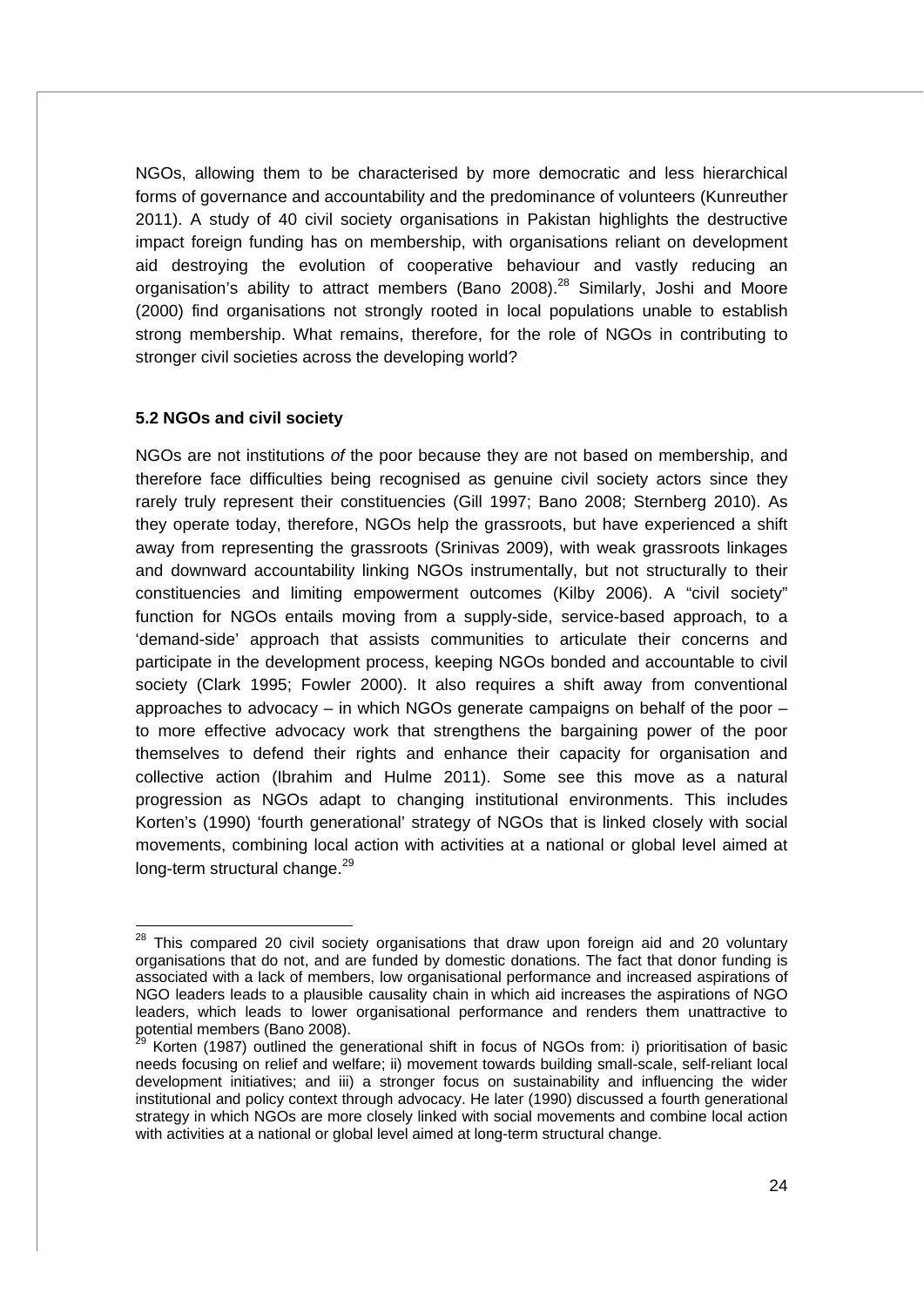NGOs, allowing them to be characterised by more democratic and less hierarchical forms of governance and accountability and the predominance of volunteers (Kunreuther 2011). A study of 40 civil society organisations in Pakistan highlights the destructive impact foreign funding has on membership, with organisations reliant on development aid destroying the evolution of cooperative behaviour and vastly reducing an organisation's ability to attract members (Bano 2008).<sup>28</sup> Similarly, Joshi and Moore (2000) find organisations not strongly rooted in local populations unable to establish strong membership. What remains, therefore, for the role of NGOs in contributing to stronger civil societies across the developing world?

#### **5.2 NGOs and civil society**

 $\overline{a}$ 

NGOs are not institutions *of* the poor because they are not based on membership, and therefore face difficulties being recognised as genuine civil society actors since they rarely truly represent their constituencies (Gill 1997; Bano 2008; Sternberg 2010). As they operate today, therefore, NGOs help the grassroots, but have experienced a shift away from representing the grassroots (Srinivas 2009), with weak grassroots linkages and downward accountability linking NGOs instrumentally, but not structurally to their constituencies and limiting empowerment outcomes (Kilby 2006). A "civil society" function for NGOs entails moving from a supply-side, service-based approach, to a 'demand-side' approach that assists communities to articulate their concerns and participate in the development process, keeping NGOs bonded and accountable to civil society (Clark 1995; Fowler 2000). It also requires a shift away from conventional approaches to advocacy – in which NGOs generate campaigns on behalf of the poor – to more effective advocacy work that strengthens the bargaining power of the poor themselves to defend their rights and enhance their capacity for organisation and collective action (Ibrahim and Hulme 2011). Some see this move as a natural progression as NGOs adapt to changing institutional environments. This includes Korten's (1990) 'fourth generational' strategy of NGOs that is linked closely with social movements, combining local action with activities at a national or global level aimed at long-term structural change.<sup>29</sup>

 $28$  This compared 20 civil society organisations that draw upon foreign aid and 20 voluntary organisations that do not, and are funded by domestic donations. The fact that donor funding is associated with a lack of members, low organisational performance and increased aspirations of NGO leaders leads to a plausible causality chain in which aid increases the aspirations of NGO leaders, which leads to lower organisational performance and renders them unattractive to potential members (Bano 2008).

 $9$  Korten (1987) outlined the generational shift in focus of NGOs from: i) prioritisation of basic needs focusing on relief and welfare; ii) movement towards building small-scale, self-reliant local development initiatives; and iii) a stronger focus on sustainability and influencing the wider institutional and policy context through advocacy. He later (1990) discussed a fourth generational strategy in which NGOs are more closely linked with social movements and combine local action with activities at a national or global level aimed at long-term structural change.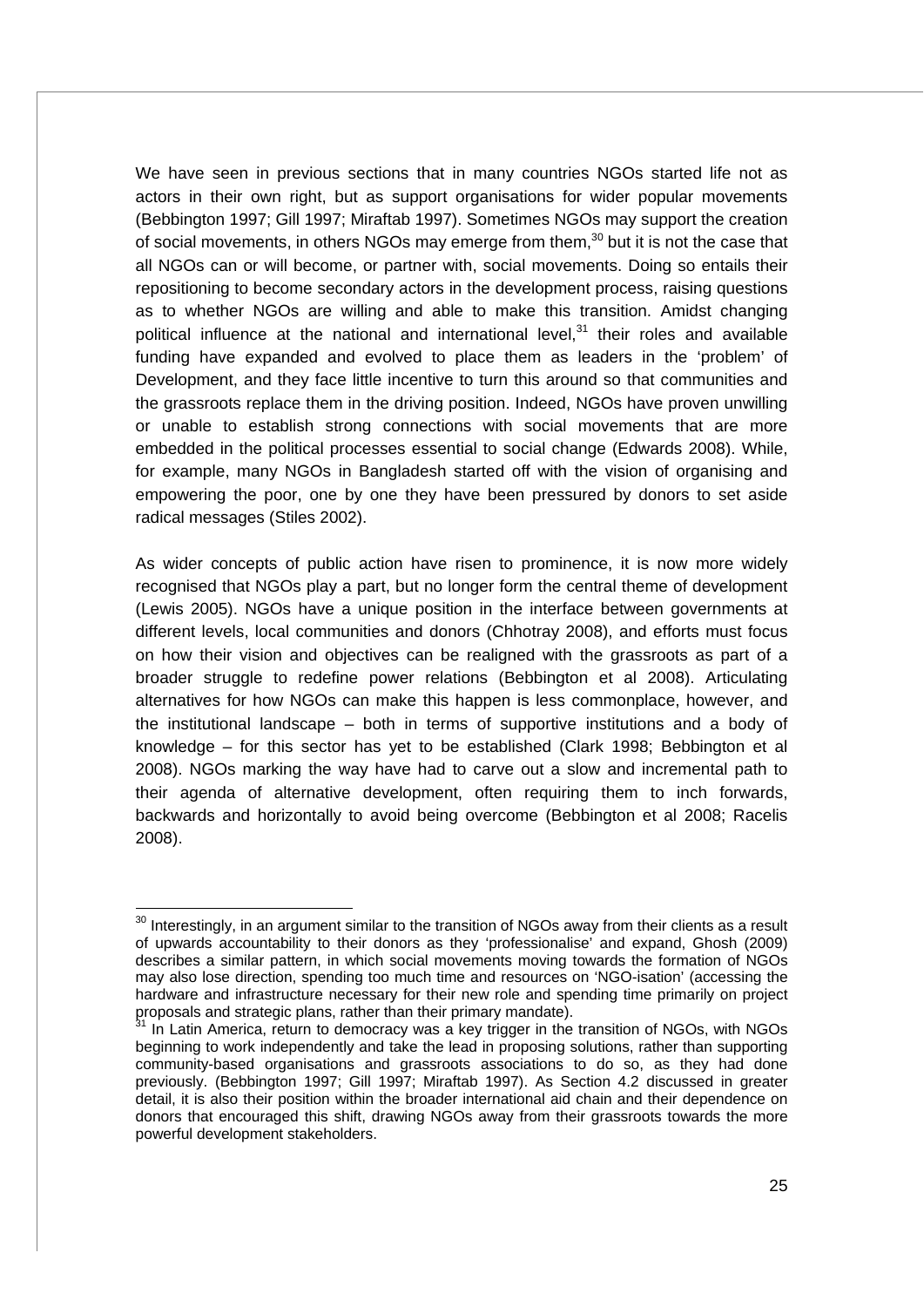We have seen in previous sections that in many countries NGOs started life not as actors in their own right, but as support organisations for wider popular movements (Bebbington 1997; Gill 1997; Miraftab 1997). Sometimes NGOs may support the creation of social movements, in others NGOs may emerge from them,<sup>30</sup> but it is not the case that all NGOs can or will become, or partner with, social movements. Doing so entails their repositioning to become secondary actors in the development process, raising questions as to whether NGOs are willing and able to make this transition. Amidst changing political influence at the national and international level, $31$  their roles and available funding have expanded and evolved to place them as leaders in the 'problem' of Development, and they face little incentive to turn this around so that communities and the grassroots replace them in the driving position. Indeed, NGOs have proven unwilling or unable to establish strong connections with social movements that are more embedded in the political processes essential to social change (Edwards 2008). While, for example, many NGOs in Bangladesh started off with the vision of organising and empowering the poor, one by one they have been pressured by donors to set aside radical messages (Stiles 2002).

As wider concepts of public action have risen to prominence, it is now more widely recognised that NGOs play a part, but no longer form the central theme of development (Lewis 2005). NGOs have a unique position in the interface between governments at different levels, local communities and donors (Chhotray 2008), and efforts must focus on how their vision and objectives can be realigned with the grassroots as part of a broader struggle to redefine power relations (Bebbington et al 2008). Articulating alternatives for how NGOs can make this happen is less commonplace, however, and the institutional landscape – both in terms of supportive institutions and a body of knowledge – for this sector has yet to be established (Clark 1998; Bebbington et al 2008). NGOs marking the way have had to carve out a slow and incremental path to their agenda of alternative development, often requiring them to inch forwards, backwards and horizontally to avoid being overcome (Bebbington et al 2008; Racelis 2008).

 $30$  Interestingly, in an argument similar to the transition of NGOs away from their clients as a result of upwards accountability to their donors as they 'professionalise' and expand, Ghosh (2009) describes a similar pattern, in which social movements moving towards the formation of NGOs may also lose direction, spending too much time and resources on 'NGO-isation' (accessing the hardware and infrastructure necessary for their new role and spending time primarily on project proposals and strategic plans, rather than their primary mandate).

<sup>&</sup>lt;sup>31</sup> In Latin America, return to democracy was a key trigger in the transition of NGOs, with NGOs beginning to work independently and take the lead in proposing solutions, rather than supporting community-based organisations and grassroots associations to do so, as they had done previously. (Bebbington 1997; Gill 1997; Miraftab 1997). As Section 4.2 discussed in greater detail, it is also their position within the broader international aid chain and their dependence on donors that encouraged this shift, drawing NGOs away from their grassroots towards the more powerful development stakeholders.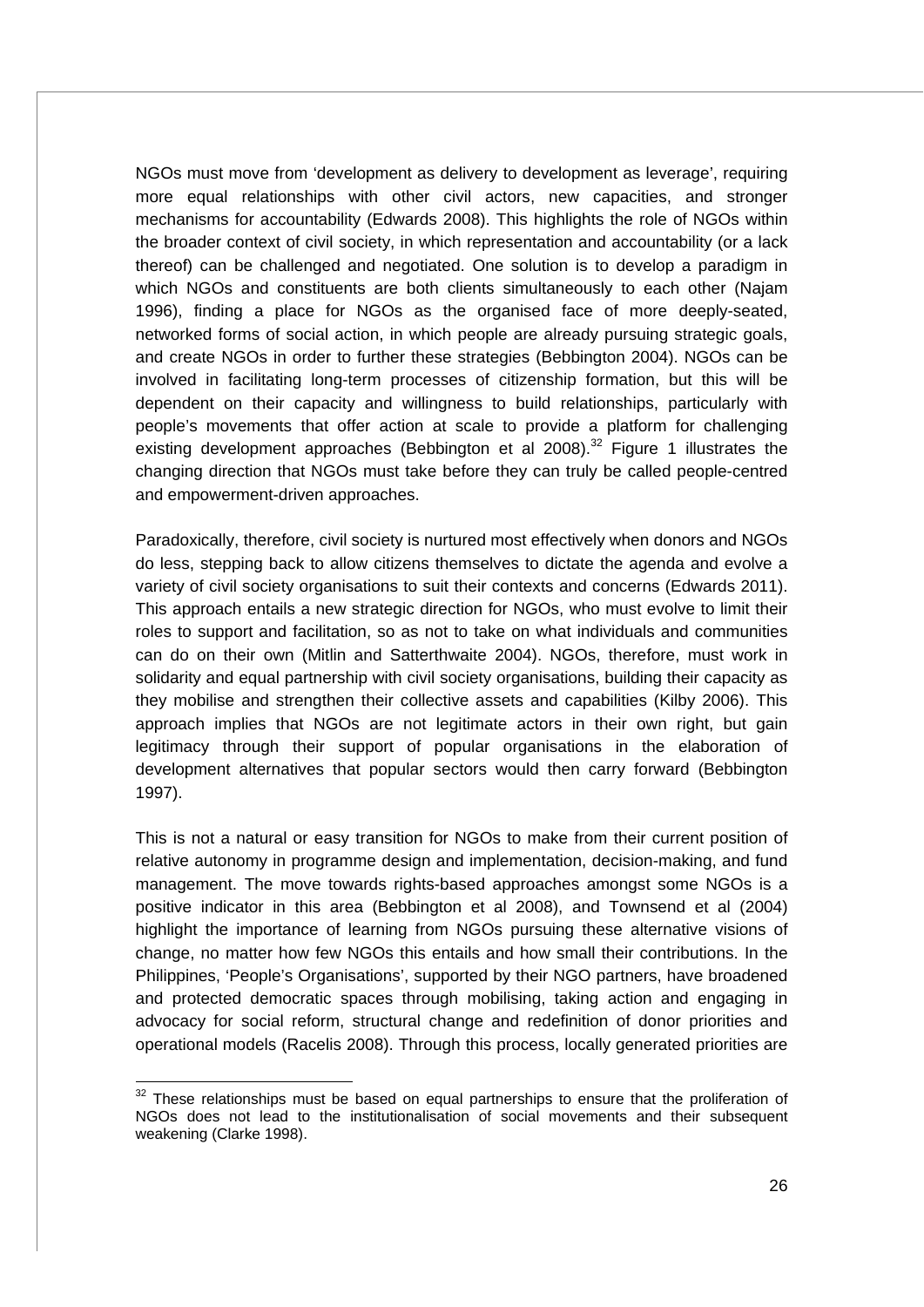NGOs must move from 'development as delivery to development as leverage', requiring more equal relationships with other civil actors, new capacities, and stronger mechanisms for accountability (Edwards 2008). This highlights the role of NGOs within the broader context of civil society, in which representation and accountability (or a lack thereof) can be challenged and negotiated. One solution is to develop a paradigm in which NGOs and constituents are both clients simultaneously to each other (Najam 1996), finding a place for NGOs as the organised face of more deeply-seated, networked forms of social action, in which people are already pursuing strategic goals, and create NGOs in order to further these strategies (Bebbington 2004). NGOs can be involved in facilitating long-term processes of citizenship formation, but this will be dependent on their capacity and willingness to build relationships, particularly with people's movements that offer action at scale to provide a platform for challenging existing development approaches (Bebbington et al  $2008$ ).<sup>32</sup> Figure 1 illustrates the changing direction that NGOs must take before they can truly be called people-centred and empowerment-driven approaches.

Paradoxically, therefore, civil society is nurtured most effectively when donors and NGOs do less, stepping back to allow citizens themselves to dictate the agenda and evolve a variety of civil society organisations to suit their contexts and concerns (Edwards 2011). This approach entails a new strategic direction for NGOs, who must evolve to limit their roles to support and facilitation, so as not to take on what individuals and communities can do on their own (Mitlin and Satterthwaite 2004). NGOs, therefore, must work in solidarity and equal partnership with civil society organisations, building their capacity as they mobilise and strengthen their collective assets and capabilities (Kilby 2006). This approach implies that NGOs are not legitimate actors in their own right, but gain legitimacy through their support of popular organisations in the elaboration of development alternatives that popular sectors would then carry forward (Bebbington 1997).

This is not a natural or easy transition for NGOs to make from their current position of relative autonomy in programme design and implementation, decision-making, and fund management. The move towards rights-based approaches amongst some NGOs is a positive indicator in this area (Bebbington et al 2008), and Townsend et al (2004) highlight the importance of learning from NGOs pursuing these alternative visions of change, no matter how few NGOs this entails and how small their contributions. In the Philippines, 'People's Organisations', supported by their NGO partners, have broadened and protected democratic spaces through mobilising, taking action and engaging in advocacy for social reform, structural change and redefinition of donor priorities and operational models (Racelis 2008). Through this process, locally generated priorities are

 $32$  These relationships must be based on equal partnerships to ensure that the proliferation of NGOs does not lead to the institutionalisation of social movements and their subsequent weakening (Clarke 1998).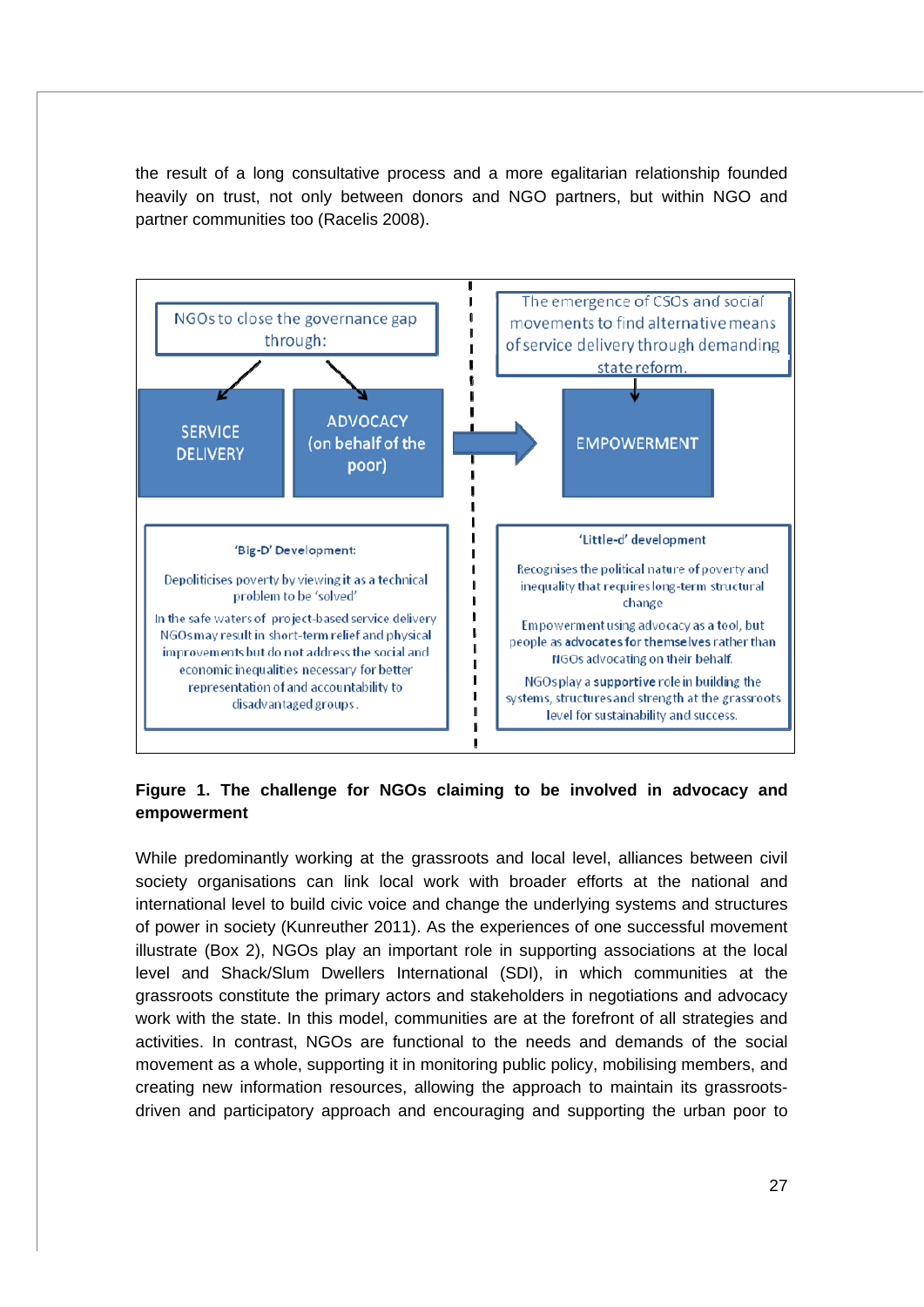the result of a long consultative process and a more egalitarian relationship founded heavily on trust, not only between donors and NGO partners, but within NGO and partner communities too (Racelis 2008).



#### **Figure 1. The challenge for NGOs claiming to be involved in advocacy and empowerment**

While predominantly working at the grassroots and local level, alliances between civil society organisations can link local work with broader efforts at the national and international level to build civic voice and change the underlying systems and structures of power in society (Kunreuther 2011). As the experiences of one successful movement illustrate (Box 2), NGOs play an important role in supporting associations at the local level and Shack/Slum Dwellers International (SDI), in which communities at the grassroots constitute the primary actors and stakeholders in negotiations and advocacy work with the state. In this model, communities are at the forefront of all strategies and activities. In contrast, NGOs are functional to the needs and demands of the social movement as a whole, supporting it in monitoring public policy, mobilising members, and creating new information resources, allowing the approach to maintain its grassrootsdriven and participatory approach and encouraging and supporting the urban poor to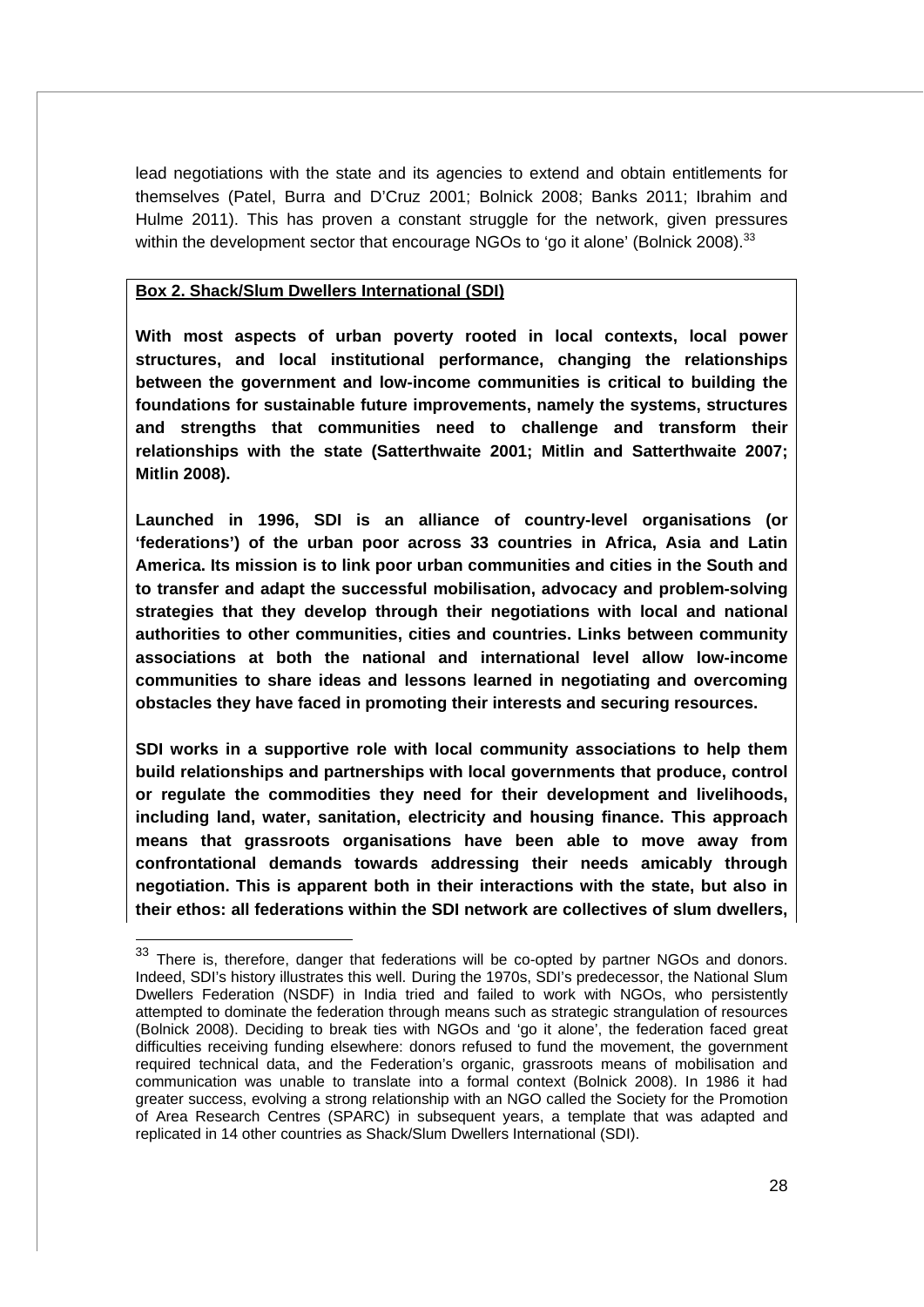lead negotiations with the state and its agencies to extend and obtain entitlements for themselves (Patel, Burra and D'Cruz 2001; Bolnick 2008; Banks 2011; Ibrahim and Hulme 2011). This has proven a constant struggle for the network, given pressures within the development sector that encourage NGOs to 'go it alone' (Bolnick 2008).<sup>33</sup>

#### **Box 2. Shack/Slum Dwellers International (SDI)**

-

**With most aspects of urban poverty rooted in local contexts, local power structures, and local institutional performance, changing the relationships between the government and low-income communities is critical to building the foundations for sustainable future improvements, namely the systems, structures and strengths that communities need to challenge and transform their relationships with the state (Satterthwaite 2001; Mitlin and Satterthwaite 2007; Mitlin 2008).** 

**Launched in 1996, SDI is an alliance of country-level organisations (or 'federations') of the urban poor across 33 countries in Africa, Asia and Latin America. Its mission is to link poor urban communities and cities in the South and to transfer and adapt the successful mobilisation, advocacy and problem-solving strategies that they develop through their negotiations with local and national authorities to other communities, cities and countries. Links between community associations at both the national and international level allow low-income communities to share ideas and lessons learned in negotiating and overcoming obstacles they have faced in promoting their interests and securing resources.** 

**SDI works in a supportive role with local community associations to help them build relationships and partnerships with local governments that produce, control or regulate the commodities they need for their development and livelihoods, including land, water, sanitation, electricity and housing finance. This approach means that grassroots organisations have been able to move away from confrontational demands towards addressing their needs amicably through negotiation. This is apparent both in their interactions with the state, but also in their ethos: all federations within the SDI network are collectives of slum dwellers,** 

<sup>&</sup>lt;sup>33</sup> There is, therefore, danger that federations will be co-opted by partner NGOs and donors. Indeed, SDI's history illustrates this well. During the 1970s, SDI's predecessor, the National Slum Dwellers Federation (NSDF) in India tried and failed to work with NGOs, who persistently attempted to dominate the federation through means such as strategic strangulation of resources (Bolnick 2008). Deciding to break ties with NGOs and 'go it alone', the federation faced great difficulties receiving funding elsewhere: donors refused to fund the movement, the government required technical data, and the Federation's organic, grassroots means of mobilisation and communication was unable to translate into a formal context (Bolnick 2008). In 1986 it had greater success, evolving a strong relationship with an NGO called the Society for the Promotion of Area Research Centres (SPARC) in subsequent years, a template that was adapted and replicated in 14 other countries as Shack/Slum Dwellers International (SDI).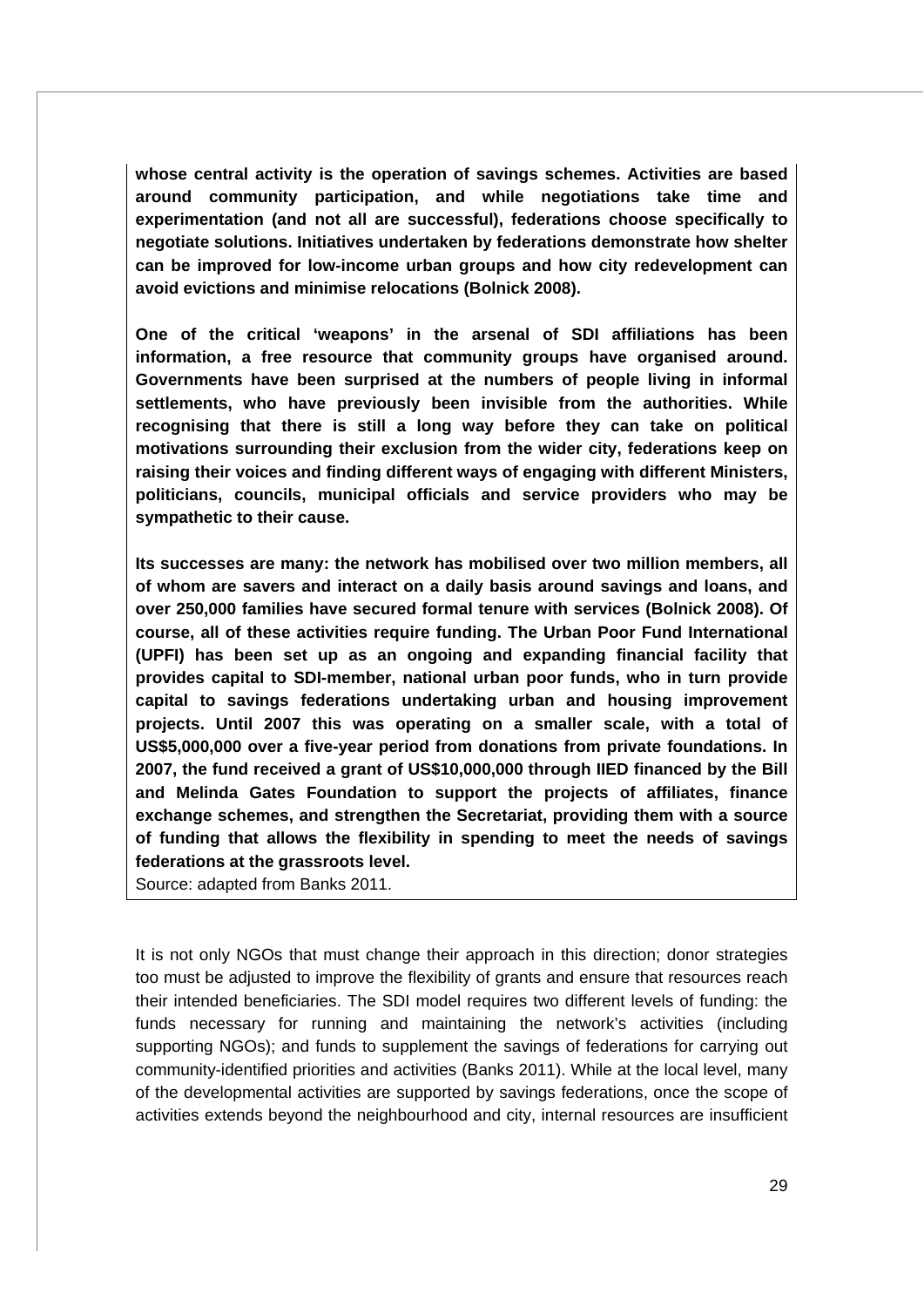**whose central activity is the operation of savings schemes. Activities are based around community participation, and while negotiations take time and experimentation (and not all are successful), federations choose specifically to negotiate solutions. Initiatives undertaken by federations demonstrate how shelter can be improved for low-income urban groups and how city redevelopment can avoid evictions and minimise relocations (Bolnick 2008).** 

**One of the critical 'weapons' in the arsenal of SDI affiliations has been information, a free resource that community groups have organised around. Governments have been surprised at the numbers of people living in informal settlements, who have previously been invisible from the authorities. While recognising that there is still a long way before they can take on political motivations surrounding their exclusion from the wider city, federations keep on raising their voices and finding different ways of engaging with different Ministers, politicians, councils, municipal officials and service providers who may be sympathetic to their cause.** 

**Its successes are many: the network has mobilised over two million members, all of whom are savers and interact on a daily basis around savings and loans, and over 250,000 families have secured formal tenure with services (Bolnick 2008). Of course, all of these activities require funding. The Urban Poor Fund International (UPFI) has been set up as an ongoing and expanding financial facility that provides capital to SDI-member, national urban poor funds, who in turn provide capital to savings federations undertaking urban and housing improvement projects. Until 2007 this was operating on a smaller scale, with a total of US\$5,000,000 over a five-year period from donations from private foundations. In 2007, the fund received a grant of US\$10,000,000 through IIED financed by the Bill and Melinda Gates Foundation to support the projects of affiliates, finance exchange schemes, and strengthen the Secretariat, providing them with a source of funding that allows the flexibility in spending to meet the needs of savings federations at the grassroots level.** 

Source: adapted from Banks 2011.

It is not only NGOs that must change their approach in this direction; donor strategies too must be adjusted to improve the flexibility of grants and ensure that resources reach their intended beneficiaries. The SDI model requires two different levels of funding: the funds necessary for running and maintaining the network's activities (including supporting NGOs); and funds to supplement the savings of federations for carrying out community-identified priorities and activities (Banks 2011). While at the local level, many of the developmental activities are supported by savings federations, once the scope of activities extends beyond the neighbourhood and city, internal resources are insufficient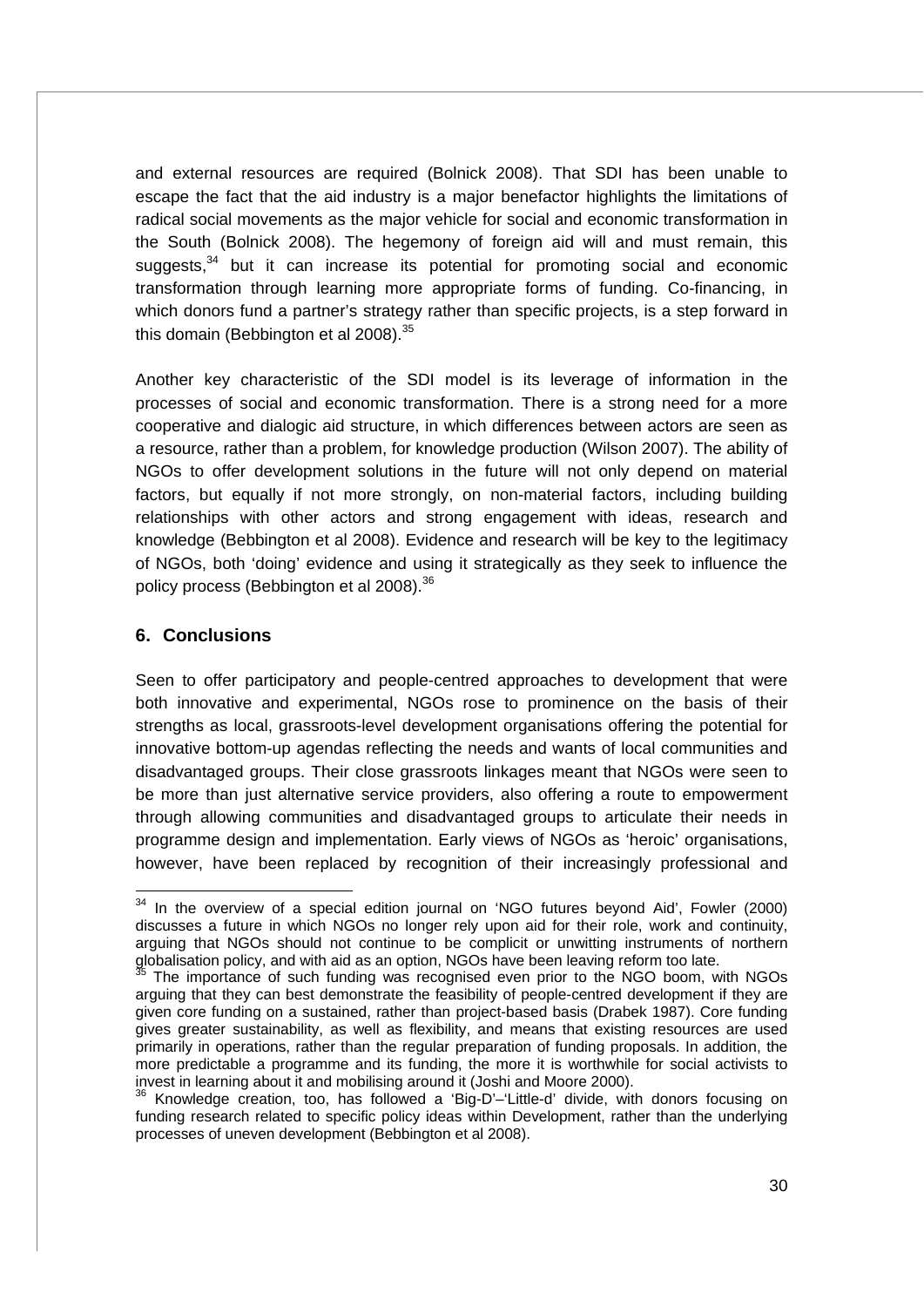and external resources are required (Bolnick 2008). That SDI has been unable to escape the fact that the aid industry is a major benefactor highlights the limitations of radical social movements as the major vehicle for social and economic transformation in the South (Bolnick 2008). The hegemony of foreign aid will and must remain, this suggests.<sup>34</sup> but it can increase its potential for promoting social and economic transformation through learning more appropriate forms of funding. Co-financing, in which donors fund a partner's strategy rather than specific projects, is a step forward in this domain (Bebbington et al 2008).<sup>35</sup>

Another key characteristic of the SDI model is its leverage of information in the processes of social and economic transformation. There is a strong need for a more cooperative and dialogic aid structure, in which differences between actors are seen as a resource, rather than a problem, for knowledge production (Wilson 2007). The ability of NGOs to offer development solutions in the future will not only depend on material factors, but equally if not more strongly, on non-material factors, including building relationships with other actors and strong engagement with ideas, research and knowledge (Bebbington et al 2008). Evidence and research will be key to the legitimacy of NGOs, both 'doing' evidence and using it strategically as they seek to influence the policy process (Bebbington et al 2008).<sup>36</sup>

#### **6. Conclusions**

-

Seen to offer participatory and people-centred approaches to development that were both innovative and experimental, NGOs rose to prominence on the basis of their strengths as local, grassroots-level development organisations offering the potential for innovative bottom-up agendas reflecting the needs and wants of local communities and disadvantaged groups. Their close grassroots linkages meant that NGOs were seen to be more than just alternative service providers, also offering a route to empowerment through allowing communities and disadvantaged groups to articulate their needs in programme design and implementation. Early views of NGOs as 'heroic' organisations, however, have been replaced by recognition of their increasingly professional and

 $34$  In the overview of a special edition journal on 'NGO futures beyond Aid', Fowler (2000) discusses a future in which NGOs no longer rely upon aid for their role, work and continuity, arguing that NGOs should not continue to be complicit or unwitting instruments of northern globalisation policy, and with aid as an option, NGOs have been leaving reform too late.

The importance of such funding was recognised even prior to the NGO boom, with NGOs arguing that they can best demonstrate the feasibility of people-centred development if they are given core funding on a sustained, rather than project-based basis (Drabek 1987). Core funding gives greater sustainability, as well as flexibility, and means that existing resources are used primarily in operations, rather than the regular preparation of funding proposals. In addition, the more predictable a programme and its funding, the more it is worthwhile for social activists to invest in learning about it and mobilising around it (Joshi and Moore 2000).

<sup>36</sup> Knowledge creation, too, has followed a 'Big-D'–'Little-d' divide, with donors focusing on funding research related to specific policy ideas within Development, rather than the underlying processes of uneven development (Bebbington et al 2008).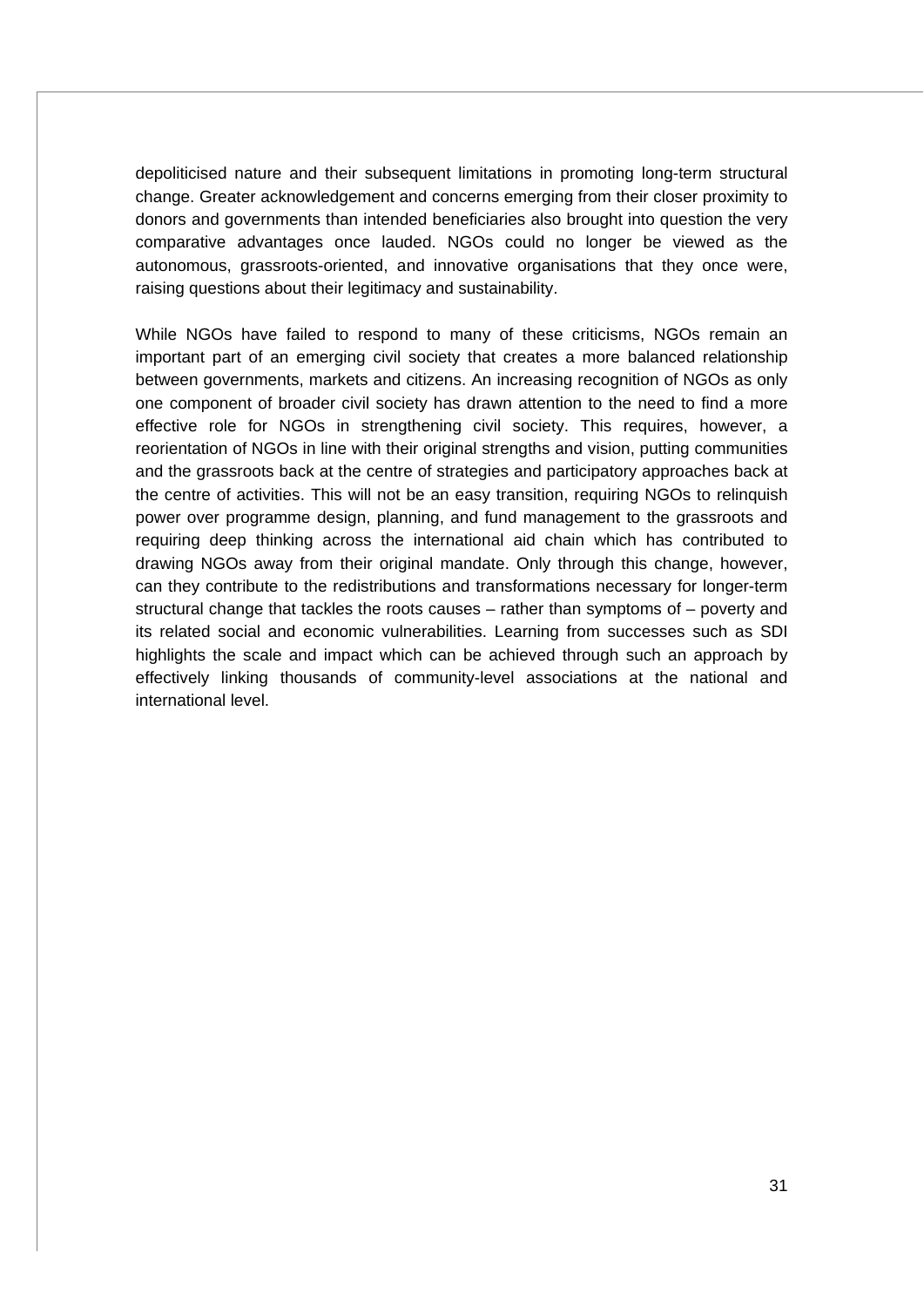depoliticised nature and their subsequent limitations in promoting long-term structural change. Greater acknowledgement and concerns emerging from their closer proximity to donors and governments than intended beneficiaries also brought into question the very comparative advantages once lauded. NGOs could no longer be viewed as the autonomous, grassroots-oriented, and innovative organisations that they once were, raising questions about their legitimacy and sustainability.

While NGOs have failed to respond to many of these criticisms, NGOs remain an important part of an emerging civil society that creates a more balanced relationship between governments, markets and citizens. An increasing recognition of NGOs as only one component of broader civil society has drawn attention to the need to find a more effective role for NGOs in strengthening civil society. This requires, however, a reorientation of NGOs in line with their original strengths and vision, putting communities and the grassroots back at the centre of strategies and participatory approaches back at the centre of activities. This will not be an easy transition, requiring NGOs to relinquish power over programme design, planning, and fund management to the grassroots and requiring deep thinking across the international aid chain which has contributed to drawing NGOs away from their original mandate. Only through this change, however, can they contribute to the redistributions and transformations necessary for longer-term structural change that tackles the roots causes – rather than symptoms of – poverty and its related social and economic vulnerabilities. Learning from successes such as SDI highlights the scale and impact which can be achieved through such an approach by effectively linking thousands of community-level associations at the national and international level.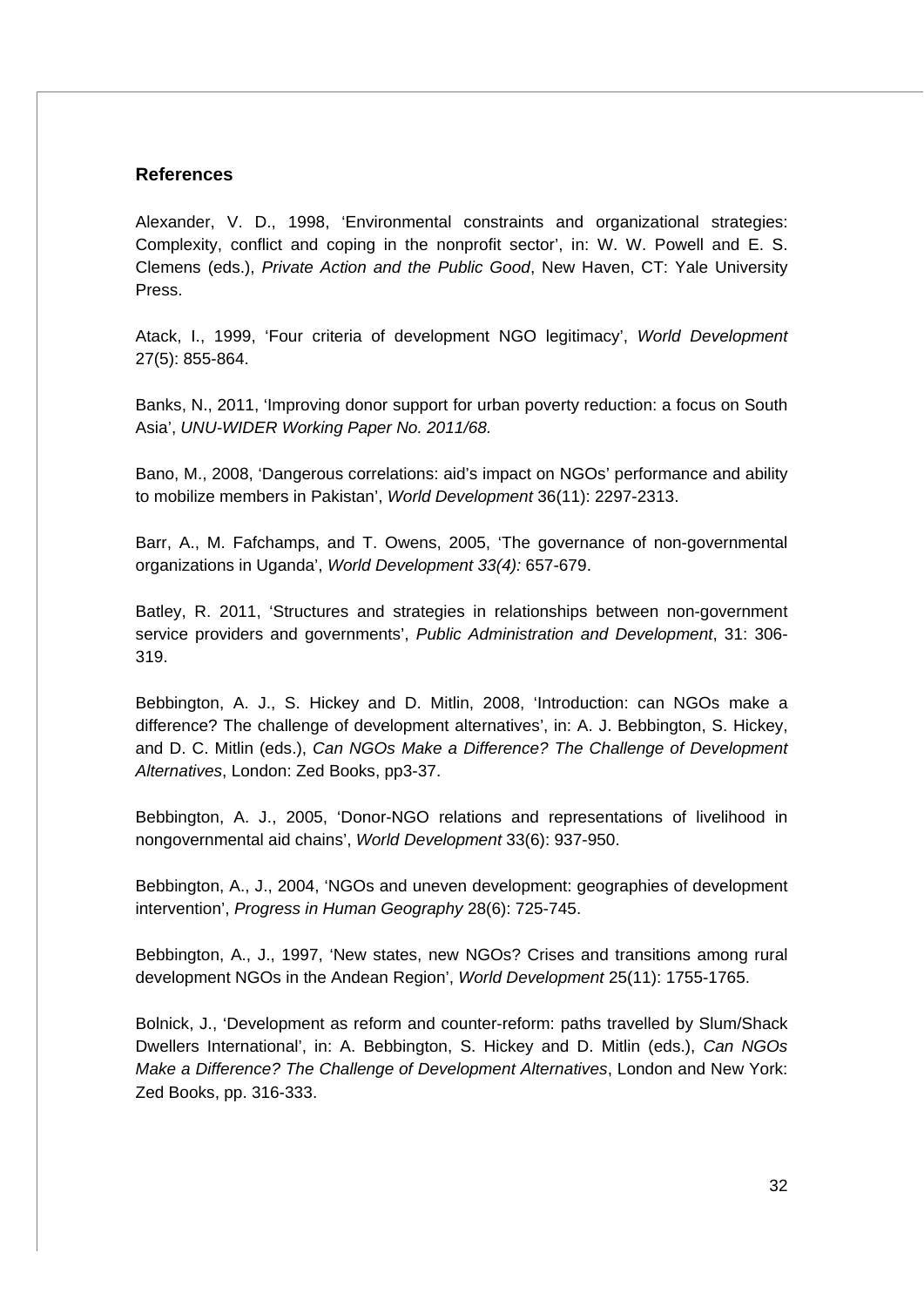#### **References**

Alexander, V. D., 1998, 'Environmental constraints and organizational strategies: Complexity, conflict and coping in the nonprofit sector', in: W. W. Powell and E. S. Clemens (eds.), *Private Action and the Public Good*, New Haven, CT: Yale University Press.

Atack, I., 1999, 'Four criteria of development NGO legitimacy', *World Development*  27(5): 855-864.

Banks, N., 2011, 'Improving donor support for urban poverty reduction: a focus on South Asia', *UNU-WIDER Working Paper No. 2011/68.*

Bano, M., 2008, 'Dangerous correlations: aid's impact on NGOs' performance and ability to mobilize members in Pakistan', *World Development* 36(11): 2297-2313.

Barr, A., M. Fafchamps, and T. Owens, 2005, 'The governance of non-governmental organizations in Uganda', *World Development 33(4):* 657-679.

Batley, R. 2011, 'Structures and strategies in relationships between non-government service providers and governments', *Public Administration and Development*, 31: 306- 319.

Bebbington, A. J., S. Hickey and D. Mitlin, 2008, 'Introduction: can NGOs make a difference? The challenge of development alternatives', in: A. J. Bebbington, S. Hickey, and D. C. Mitlin (eds.), *Can NGOs Make a Difference? The Challenge of Development Alternatives*, London: Zed Books, pp3-37.

Bebbington, A. J., 2005, 'Donor-NGO relations and representations of livelihood in nongovernmental aid chains', *World Development* 33(6): 937-950.

Bebbington, A., J., 2004, 'NGOs and uneven development: geographies of development intervention', *Progress in Human Geography* 28(6): 725-745.

Bebbington, A., J., 1997, 'New states, new NGOs? Crises and transitions among rural development NGOs in the Andean Region', *World Development* 25(11): 1755-1765.

Bolnick, J., 'Development as reform and counter-reform: paths travelled by Slum/Shack Dwellers International', in: A. Bebbington, S. Hickey and D. Mitlin (eds.), *Can NGOs Make a Difference? The Challenge of Development Alternatives*, London and New York: Zed Books, pp. 316-333.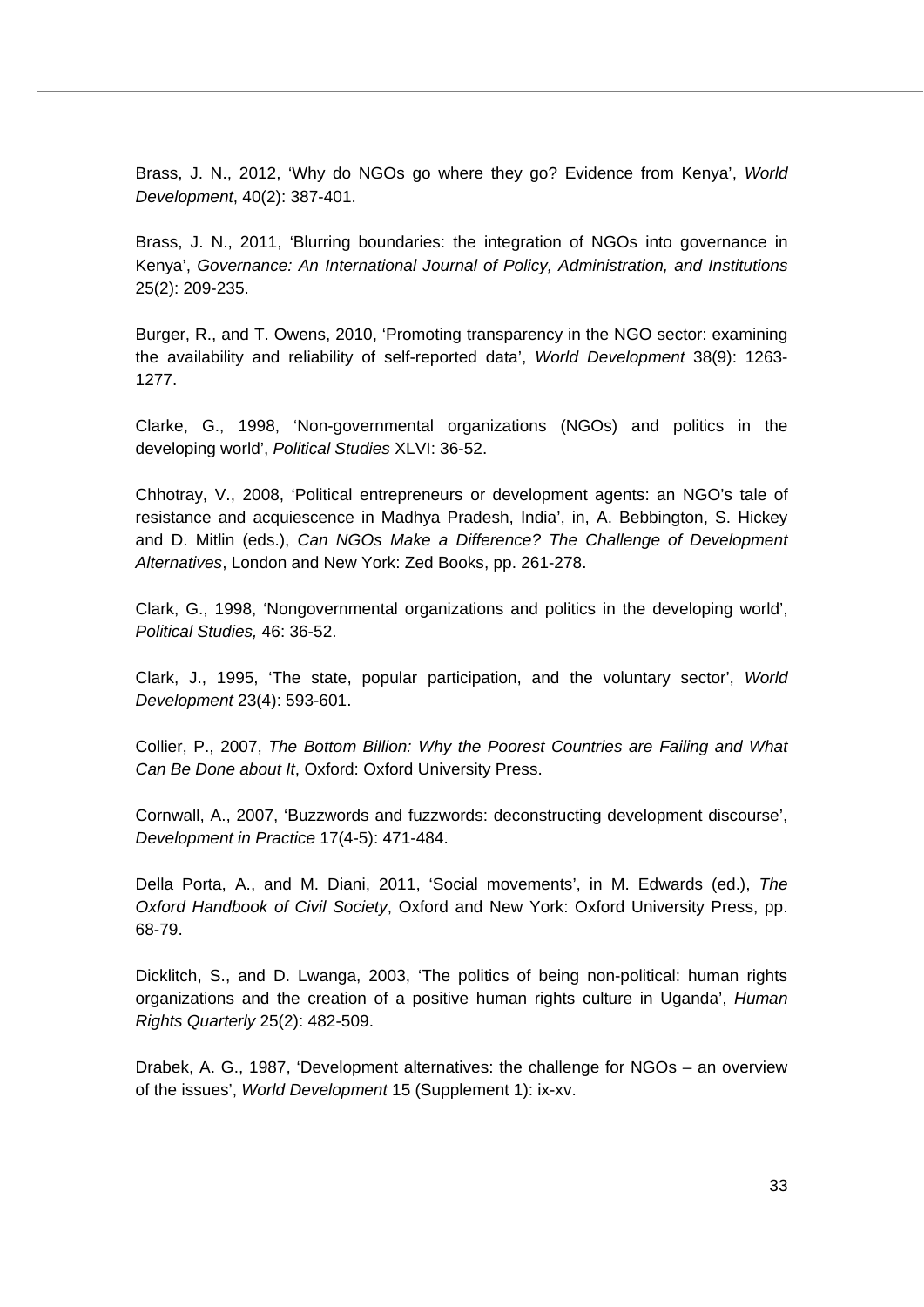Brass, J. N., 2012, 'Why do NGOs go where they go? Evidence from Kenya', *World Development*, 40(2): 387-401.

Brass, J. N., 2011, 'Blurring boundaries: the integration of NGOs into governance in Kenya', *Governance: An International Journal of Policy, Administration, and Institutions* 25(2): 209-235.

Burger, R., and T. Owens, 2010, 'Promoting transparency in the NGO sector: examining the availability and reliability of self-reported data', *World Development* 38(9): 1263- 1277.

Clarke, G., 1998, 'Non-governmental organizations (NGOs) and politics in the developing world', *Political Studies* XLVI: 36-52.

Chhotray, V., 2008, 'Political entrepreneurs or development agents: an NGO's tale of resistance and acquiescence in Madhya Pradesh, India', in, A. Bebbington, S. Hickey and D. Mitlin (eds.), *Can NGOs Make a Difference? The Challenge of Development Alternatives*, London and New York: Zed Books, pp. 261-278.

Clark, G., 1998, 'Nongovernmental organizations and politics in the developing world', *Political Studies,* 46: 36-52.

Clark, J., 1995, 'The state, popular participation, and the voluntary sector', *World Development* 23(4): 593-601.

Collier, P., 2007, *The Bottom Billion: Why the Poorest Countries are Failing and What Can Be Done about It*, Oxford: Oxford University Press.

Cornwall, A., 2007, 'Buzzwords and fuzzwords: deconstructing development discourse', *Development in Practice* 17(4-5): 471-484.

Della Porta, A., and M. Diani, 2011, 'Social movements', in M. Edwards (ed.), *The Oxford Handbook of Civil Society*, Oxford and New York: Oxford University Press, pp. 68-79.

Dicklitch, S., and D. Lwanga, 2003, 'The politics of being non-political: human rights organizations and the creation of a positive human rights culture in Uganda', *Human Rights Quarterly* 25(2): 482-509.

Drabek, A. G., 1987, 'Development alternatives: the challenge for NGOs – an overview of the issues', *World Development* 15 (Supplement 1): ix-xv.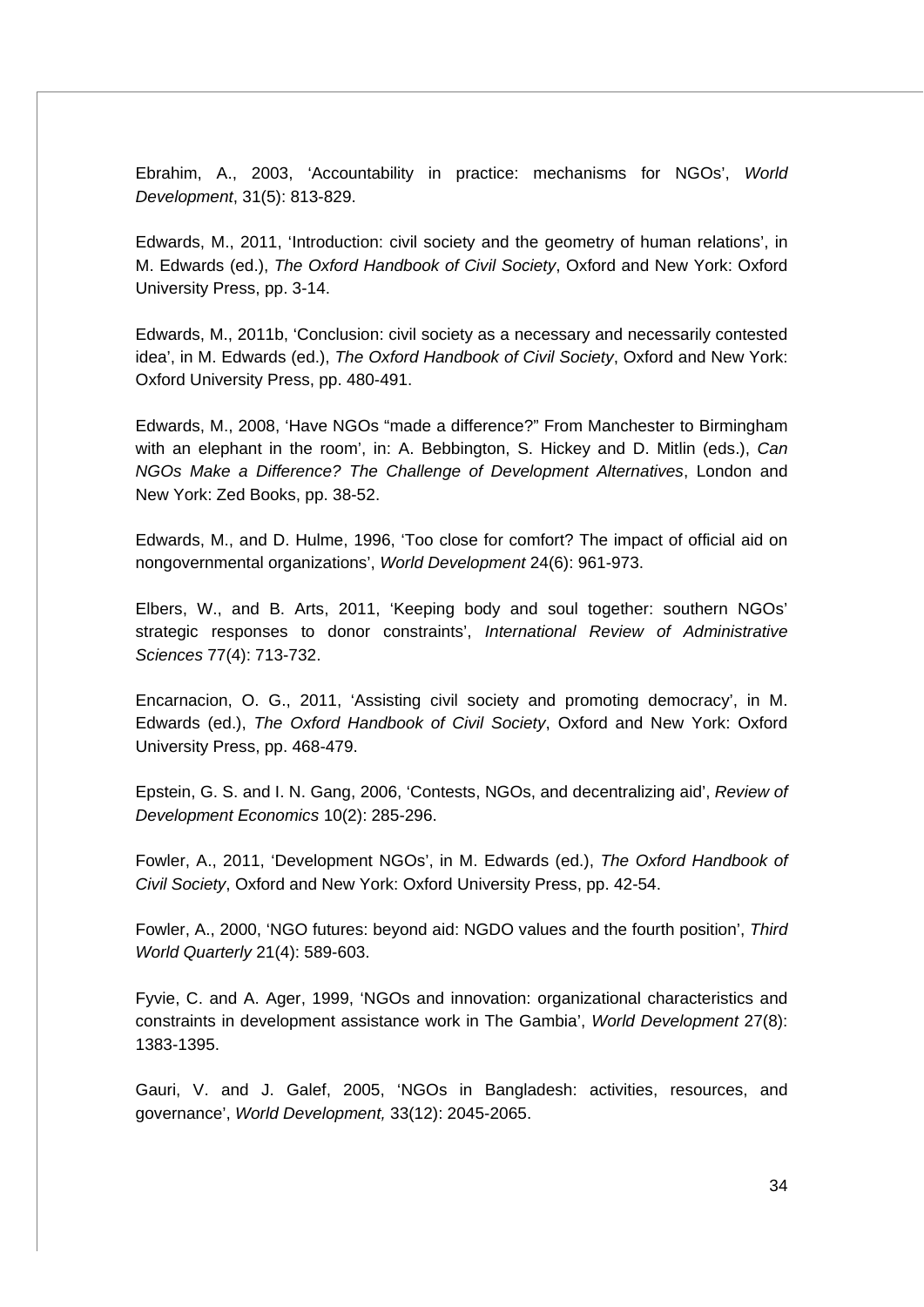Ebrahim, A., 2003, 'Accountability in practice: mechanisms for NGOs', *World Development*, 31(5): 813-829.

Edwards, M., 2011, 'Introduction: civil society and the geometry of human relations', in M. Edwards (ed.), *The Oxford Handbook of Civil Society*, Oxford and New York: Oxford University Press, pp. 3-14.

Edwards, M., 2011b, 'Conclusion: civil society as a necessary and necessarily contested idea', in M. Edwards (ed.), *The Oxford Handbook of Civil Society*, Oxford and New York: Oxford University Press, pp. 480-491.

Edwards, M., 2008, 'Have NGOs "made a difference?" From Manchester to Birmingham with an elephant in the room', in: A. Bebbington, S. Hickey and D. Mitlin (eds.), *Can NGOs Make a Difference? The Challenge of Development Alternatives*, London and New York: Zed Books, pp. 38-52.

Edwards, M., and D. Hulme, 1996, 'Too close for comfort? The impact of official aid on nongovernmental organizations', *World Development* 24(6): 961-973.

Elbers, W., and B. Arts, 2011, 'Keeping body and soul together: southern NGOs' strategic responses to donor constraints', *International Review of Administrative Sciences* 77(4): 713-732.

Encarnacion, O. G., 2011, 'Assisting civil society and promoting democracy', in M. Edwards (ed.), *The Oxford Handbook of Civil Society*, Oxford and New York: Oxford University Press, pp. 468-479.

Epstein, G. S. and I. N. Gang, 2006, 'Contests, NGOs, and decentralizing aid', *Review of Development Economics* 10(2): 285-296.

Fowler, A., 2011, 'Development NGOs', in M. Edwards (ed.), *The Oxford Handbook of Civil Society*, Oxford and New York: Oxford University Press, pp. 42-54.

Fowler, A., 2000, 'NGO futures: beyond aid: NGDO values and the fourth position', *Third World Quarterly* 21(4): 589-603.

Fyvie, C. and A. Ager, 1999, 'NGOs and innovation: organizational characteristics and constraints in development assistance work in The Gambia', *World Development* 27(8): 1383-1395.

Gauri, V. and J. Galef, 2005, 'NGOs in Bangladesh: activities, resources, and governance', *World Development,* 33(12): 2045-2065.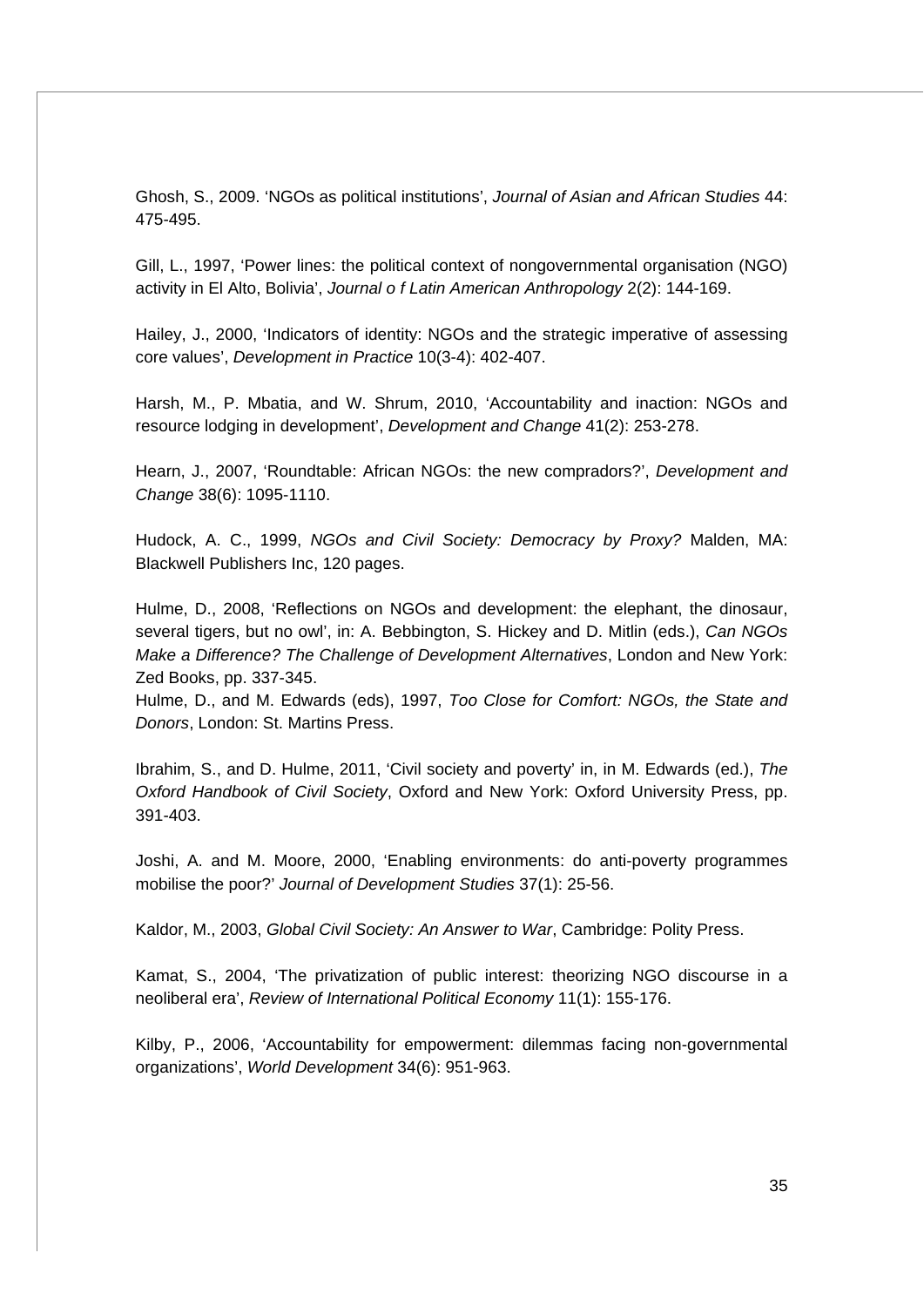Ghosh, S., 2009. 'NGOs as political institutions', *Journal of Asian and African Studies* 44: 475-495.

Gill, L., 1997, 'Power lines: the political context of nongovernmental organisation (NGO) activity in El Alto, Bolivia', *Journal o f Latin American Anthropology* 2(2): 144-169.

Hailey, J., 2000, 'Indicators of identity: NGOs and the strategic imperative of assessing core values', *Development in Practice* 10(3-4): 402-407.

Harsh, M., P. Mbatia, and W. Shrum, 2010, 'Accountability and inaction: NGOs and resource lodging in development', *Development and Change* 41(2): 253-278.

Hearn, J., 2007, 'Roundtable: African NGOs: the new compradors?', *Development and Change* 38(6): 1095-1110.

Hudock, A. C., 1999, *NGOs and Civil Society: Democracy by Proxy?* Malden, MA: Blackwell Publishers Inc, 120 pages.

Hulme, D., 2008, 'Reflections on NGOs and development: the elephant, the dinosaur, several tigers, but no owl', in: A. Bebbington, S. Hickey and D. Mitlin (eds.), *Can NGOs Make a Difference? The Challenge of Development Alternatives*, London and New York: Zed Books, pp. 337-345.

Hulme, D., and M. Edwards (eds), 1997, *Too Close for Comfort: NGOs, the State and Donors*, London: St. Martins Press.

Ibrahim, S., and D. Hulme, 2011, 'Civil society and poverty' in, in M. Edwards (ed.), *The Oxford Handbook of Civil Society*, Oxford and New York: Oxford University Press, pp. 391-403.

Joshi, A. and M. Moore, 2000, 'Enabling environments: do anti-poverty programmes mobilise the poor?' *Journal of Development Studies* 37(1): 25-56.

Kaldor, M., 2003, *Global Civil Society: An Answer to War*, Cambridge: Polity Press.

Kamat, S., 2004, 'The privatization of public interest: theorizing NGO discourse in a neoliberal era', *Review of International Political Economy* 11(1): 155-176.

Kilby, P., 2006, 'Accountability for empowerment: dilemmas facing non-governmental organizations', *World Development* 34(6): 951-963.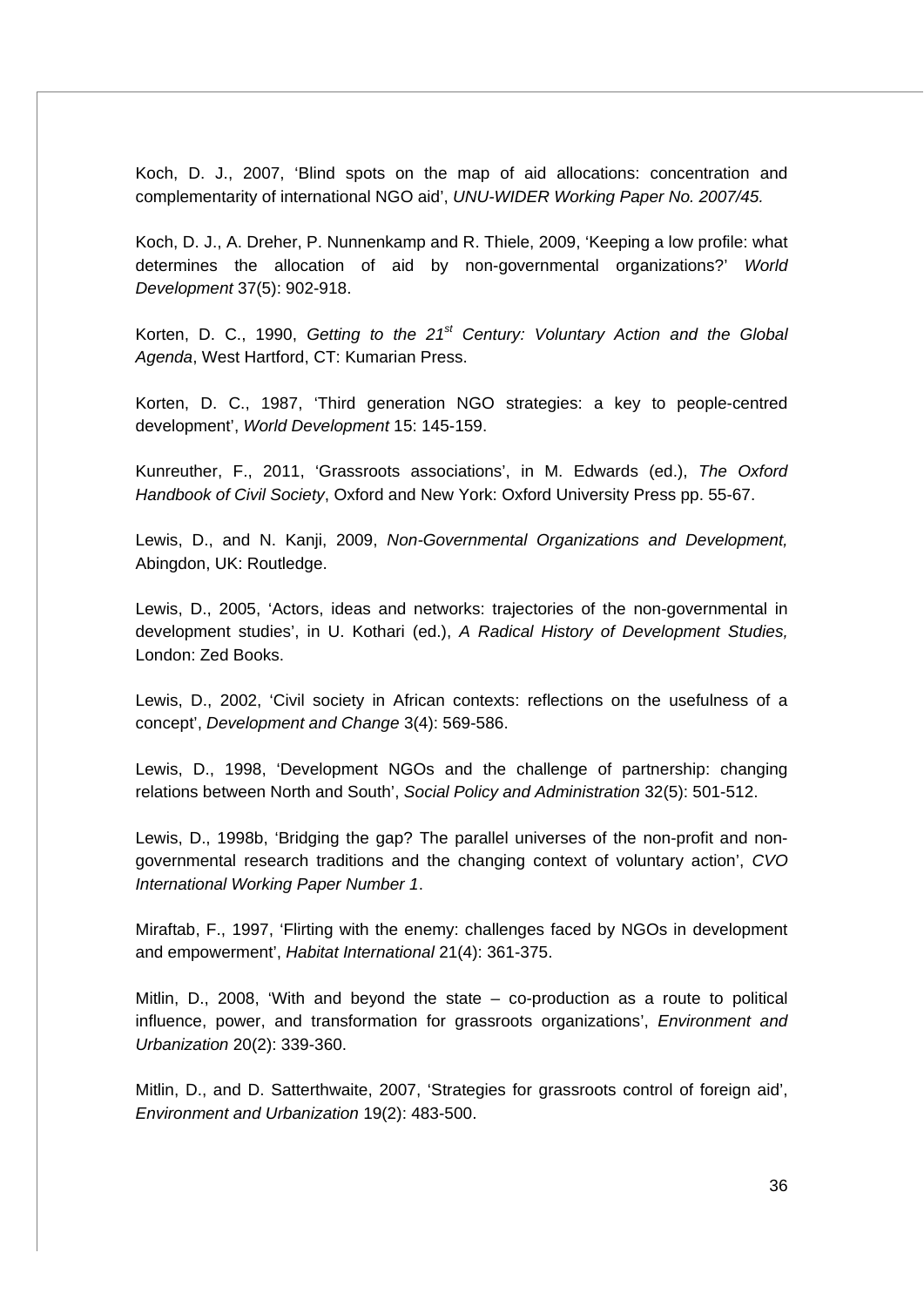Koch, D. J., 2007, 'Blind spots on the map of aid allocations: concentration and complementarity of international NGO aid', *UNU-WIDER Working Paper No. 2007/45.* 

Koch, D. J., A. Dreher, P. Nunnenkamp and R. Thiele, 2009, 'Keeping a low profile: what determines the allocation of aid by non-governmental organizations?' *World Development* 37(5): 902-918.

Korten, D. C., 1990, *Getting to the 21st Century: Voluntary Action and the Global Agenda*, West Hartford, CT: Kumarian Press.

Korten, D. C., 1987, 'Third generation NGO strategies: a key to people-centred development', *World Development* 15: 145-159.

Kunreuther, F., 2011, 'Grassroots associations', in M. Edwards (ed.), *The Oxford Handbook of Civil Society*, Oxford and New York: Oxford University Press pp. 55-67.

Lewis, D., and N. Kanji, 2009, *Non-Governmental Organizations and Development,*  Abingdon, UK: Routledge.

Lewis, D., 2005, 'Actors, ideas and networks: trajectories of the non-governmental in development studies', in U. Kothari (ed.), *A Radical History of Development Studies,* London: Zed Books.

Lewis, D., 2002, 'Civil society in African contexts: reflections on the usefulness of a concept', *Development and Change* 3(4): 569-586.

Lewis, D., 1998, 'Development NGOs and the challenge of partnership: changing relations between North and South', *Social Policy and Administration* 32(5): 501-512.

Lewis, D., 1998b, 'Bridging the gap? The parallel universes of the non-profit and nongovernmental research traditions and the changing context of voluntary action', *CVO International Working Paper Number 1*.

Miraftab, F., 1997, 'Flirting with the enemy: challenges faced by NGOs in development and empowerment', *Habitat International* 21(4): 361-375.

Mitlin, D., 2008, 'With and beyond the state – co-production as a route to political influence, power, and transformation for grassroots organizations', *Environment and Urbanization* 20(2): 339-360.

Mitlin, D., and D. Satterthwaite, 2007, 'Strategies for grassroots control of foreign aid', *Environment and Urbanization* 19(2): 483-500.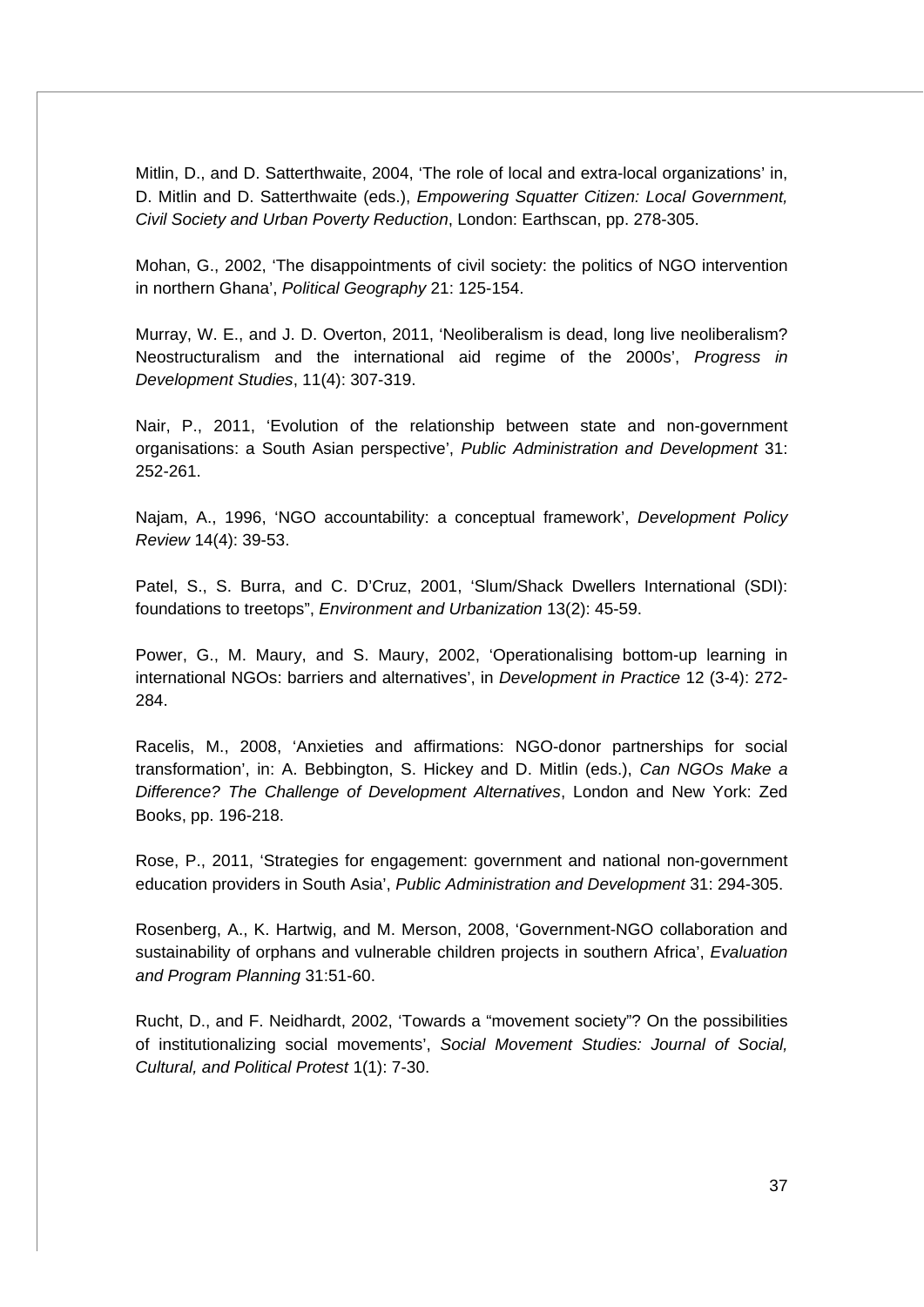Mitlin, D., and D. Satterthwaite, 2004, 'The role of local and extra-local organizations' in, D. Mitlin and D. Satterthwaite (eds.), *Empowering Squatter Citizen: Local Government, Civil Society and Urban Poverty Reduction*, London: Earthscan, pp. 278-305.

Mohan, G., 2002, 'The disappointments of civil society: the politics of NGO intervention in northern Ghana', *Political Geography* 21: 125-154.

Murray, W. E., and J. D. Overton, 2011, 'Neoliberalism is dead, long live neoliberalism? Neostructuralism and the international aid regime of the 2000s', *Progress in Development Studies*, 11(4): 307-319.

Nair, P., 2011, 'Evolution of the relationship between state and non-government organisations: a South Asian perspective', *Public Administration and Development* 31: 252-261.

Najam, A., 1996, 'NGO accountability: a conceptual framework', *Development Policy Review* 14(4): 39-53.

Patel, S., S. Burra, and C. D'Cruz, 2001, 'Slum/Shack Dwellers International (SDI): foundations to treetops", *Environment and Urbanization* 13(2): 45-59.

Power, G., M. Maury, and S. Maury, 2002, 'Operationalising bottom-up learning in international NGOs: barriers and alternatives', in *Development in Practice* 12 (3-4): 272- 284.

Racelis, M., 2008, 'Anxieties and affirmations: NGO-donor partnerships for social transformation', in: A. Bebbington, S. Hickey and D. Mitlin (eds.), *Can NGOs Make a Difference? The Challenge of Development Alternatives*, London and New York: Zed Books, pp. 196-218.

Rose, P., 2011, 'Strategies for engagement: government and national non-government education providers in South Asia', *Public Administration and Development* 31: 294-305.

Rosenberg, A., K. Hartwig, and M. Merson, 2008, 'Government-NGO collaboration and sustainability of orphans and vulnerable children projects in southern Africa', *Evaluation and Program Planning* 31:51-60.

Rucht, D., and F. Neidhardt, 2002, 'Towards a "movement society"? On the possibilities of institutionalizing social movements', *Social Movement Studies: Journal of Social, Cultural, and Political Protest* 1(1): 7-30.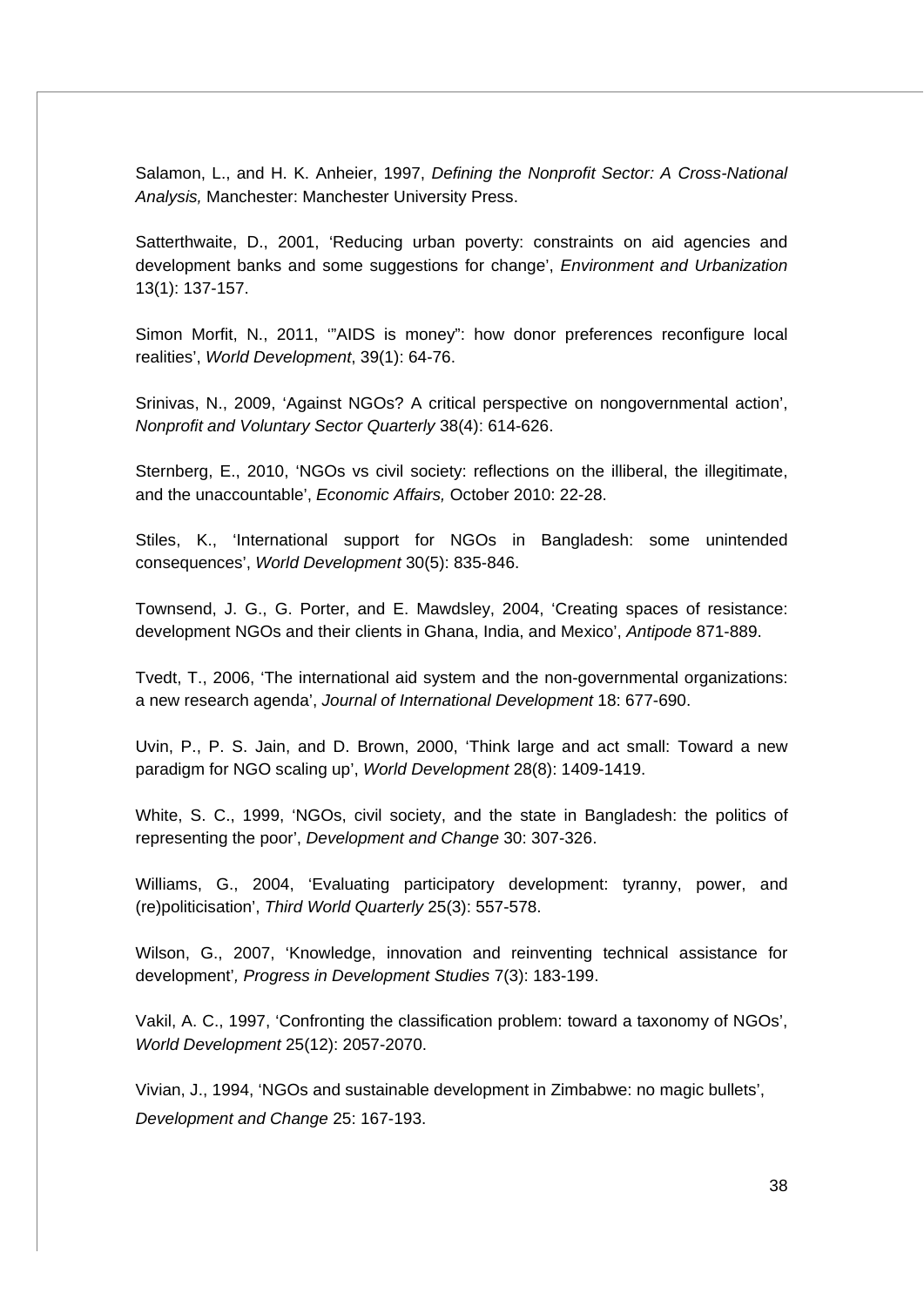Salamon, L., and H. K. Anheier, 1997, *Defining the Nonprofit Sector: A Cross-National Analysis,* Manchester: Manchester University Press.

Satterthwaite, D., 2001, 'Reducing urban poverty: constraints on aid agencies and development banks and some suggestions for change', *Environment and Urbanization*  13(1): 137-157.

Simon Morfit, N., 2011, '"AIDS is money": how donor preferences reconfigure local realities', *World Development*, 39(1): 64-76.

Srinivas, N., 2009, 'Against NGOs? A critical perspective on nongovernmental action', *Nonprofit and Voluntary Sector Quarterly* 38(4): 614-626.

Sternberg, E., 2010, 'NGOs vs civil society: reflections on the illiberal, the illegitimate, and the unaccountable', *Economic Affairs,* October 2010: 22-28.

Stiles, K., 'International support for NGOs in Bangladesh: some unintended consequences', *World Development* 30(5): 835-846.

Townsend, J. G., G. Porter, and E. Mawdsley, 2004, 'Creating spaces of resistance: development NGOs and their clients in Ghana, India, and Mexico', *Antipode* 871-889.

Tvedt, T., 2006, 'The international aid system and the non-governmental organizations: a new research agenda', *Journal of International Development* 18: 677-690.

Uvin, P., P. S. Jain, and D. Brown, 2000, 'Think large and act small: Toward a new paradigm for NGO scaling up', *World Development* 28(8): 1409-1419.

White, S. C., 1999, 'NGOs, civil society, and the state in Bangladesh: the politics of representing the poor', *Development and Change* 30: 307-326.

Williams, G., 2004, 'Evaluating participatory development: tyranny, power, and (re)politicisation', *Third World Quarterly* 25(3): 557-578.

Wilson, G., 2007, 'Knowledge, innovation and reinventing technical assistance for development'*, Progress in Development Studies* 7(3): 183-199.

Vakil, A. C., 1997, 'Confronting the classification problem: toward a taxonomy of NGOs', *World Development* 25(12): 2057-2070.

Vivian, J., 1994, 'NGOs and sustainable development in Zimbabwe: no magic bullets', *Development and Change* 25: 167-193.